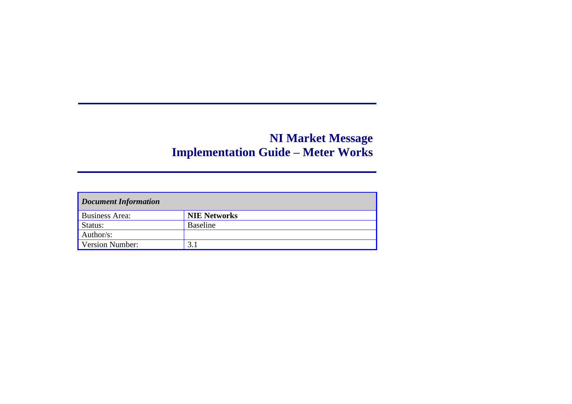| <b>Document Information</b> |                     |  |  |  |  |  |
|-----------------------------|---------------------|--|--|--|--|--|
| <b>Business Area:</b>       | <b>NIE Networks</b> |  |  |  |  |  |
| Status:                     | <b>Baseline</b>     |  |  |  |  |  |
| Author/s:                   |                     |  |  |  |  |  |
| <b>Version Number:</b>      |                     |  |  |  |  |  |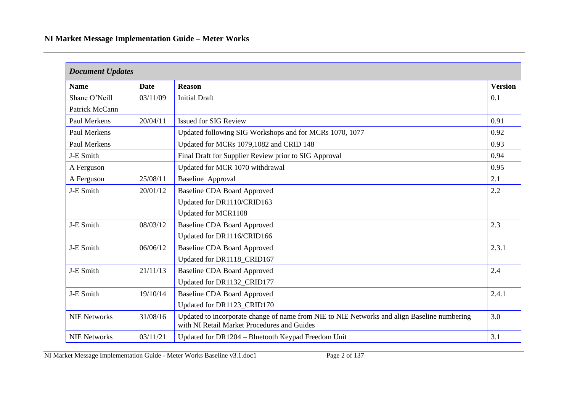|                     | <b>Document Updates</b> |                                                                                                                                            |                |  |  |  |  |  |
|---------------------|-------------------------|--------------------------------------------------------------------------------------------------------------------------------------------|----------------|--|--|--|--|--|
| <b>Name</b>         | <b>Date</b>             | <b>Reason</b>                                                                                                                              | <b>Version</b> |  |  |  |  |  |
| Shane O'Neill       | 03/11/09                | <b>Initial Draft</b>                                                                                                                       | 0.1            |  |  |  |  |  |
| Patrick McCann      |                         |                                                                                                                                            |                |  |  |  |  |  |
| Paul Merkens        | 20/04/11                | <b>Issued for SIG Review</b>                                                                                                               | 0.91           |  |  |  |  |  |
| <b>Paul Merkens</b> |                         | Updated following SIG Workshops and for MCRs 1070, 1077                                                                                    | 0.92           |  |  |  |  |  |
| Paul Merkens        |                         | Updated for MCRs 1079,1082 and CRID 148                                                                                                    | 0.93           |  |  |  |  |  |
| J-E Smith           |                         | Final Draft for Supplier Review prior to SIG Approval                                                                                      | 0.94           |  |  |  |  |  |
| A Ferguson          |                         | Updated for MCR 1070 withdrawal                                                                                                            | 0.95           |  |  |  |  |  |
| A Ferguson          | 25/08/11                | <b>Baseline Approval</b>                                                                                                                   | 2.1            |  |  |  |  |  |
| J-E Smith           | 20/01/12                | <b>Baseline CDA Board Approved</b>                                                                                                         | 2.2            |  |  |  |  |  |
|                     |                         | Updated for DR1110/CRID163                                                                                                                 |                |  |  |  |  |  |
|                     |                         | <b>Updated for MCR1108</b>                                                                                                                 |                |  |  |  |  |  |
| J-E Smith           | 08/03/12                | <b>Baseline CDA Board Approved</b>                                                                                                         | 2.3            |  |  |  |  |  |
|                     |                         | Updated for DR1116/CRID166                                                                                                                 |                |  |  |  |  |  |
| J-E Smith           | 06/06/12                | <b>Baseline CDA Board Approved</b>                                                                                                         | 2.3.1          |  |  |  |  |  |
|                     |                         | Updated for DR1118_CRID167                                                                                                                 |                |  |  |  |  |  |
| J-E Smith           | 21/11/13                | <b>Baseline CDA Board Approved</b>                                                                                                         | 2.4            |  |  |  |  |  |
|                     |                         | Updated for DR1132_CRID177                                                                                                                 |                |  |  |  |  |  |
| J-E Smith           | 19/10/14                | <b>Baseline CDA Board Approved</b>                                                                                                         | 2.4.1          |  |  |  |  |  |
|                     |                         | Updated for DR1123_CRID170                                                                                                                 |                |  |  |  |  |  |
| <b>NIE Networks</b> | 31/08/16                | Updated to incorporate change of name from NIE to NIE Networks and align Baseline numbering<br>with NI Retail Market Procedures and Guides | 3.0            |  |  |  |  |  |
| <b>NIE Networks</b> | 03/11/21                | Updated for DR1204 - Bluetooth Keypad Freedom Unit                                                                                         | 3.1            |  |  |  |  |  |

NI Market Message Implementation Guide - Meter Works Baseline v3.1.doc1 Page 2 of 137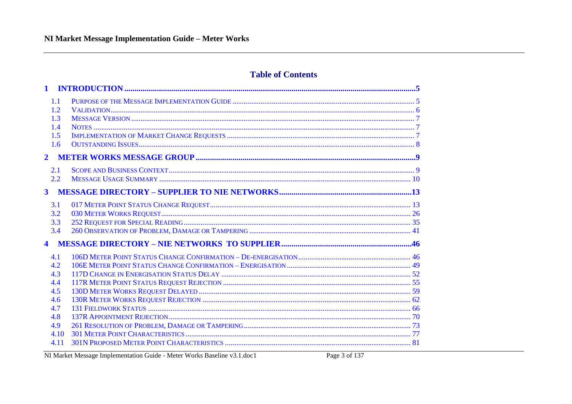### **Table of Contents**

| $\mathbf{1}$                           |  |
|----------------------------------------|--|
| 1.1<br>1.2<br>1.3<br>1.4<br>1.5<br>1.6 |  |
| $\overline{2}$                         |  |
| 2.1<br>2.2<br>3 <sup>1</sup>           |  |
| 3.1                                    |  |
| 3.2                                    |  |
| 3.3<br>3.4                             |  |
| $\blacktriangleleft$                   |  |
| 4.1                                    |  |
| 4.2                                    |  |
| 4.3                                    |  |
| 4.4                                    |  |
| 4.5                                    |  |
| 4.6<br>4.7                             |  |
| 4.8                                    |  |
| 4.9                                    |  |
| 4.10                                   |  |
| 4.11                                   |  |

NI Market Message Implementation Guide - Meter Works Baseline v3.1.doc1

Page 3 of 137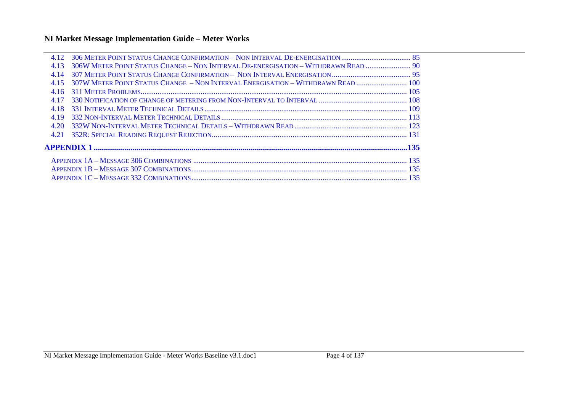| 4.12  |                                                                                    |  |
|-------|------------------------------------------------------------------------------------|--|
| 4.13  | 306W METER POINT STATUS CHANGE - NON INTERVAL DE-ENERGISATION - WITHDRAWN READ  90 |  |
| 4 14  |                                                                                    |  |
| 4.15  | 307W METER POINT STATUS CHANGE - NON INTERVAL ENERGISATION - WITHDRAWN READ  100   |  |
| 4.16  |                                                                                    |  |
| 4 1 7 |                                                                                    |  |
| 4.18  |                                                                                    |  |
| 4.19  |                                                                                    |  |
| 4.20  |                                                                                    |  |
| 4.21  |                                                                                    |  |
|       |                                                                                    |  |
|       |                                                                                    |  |
|       |                                                                                    |  |
|       |                                                                                    |  |
|       |                                                                                    |  |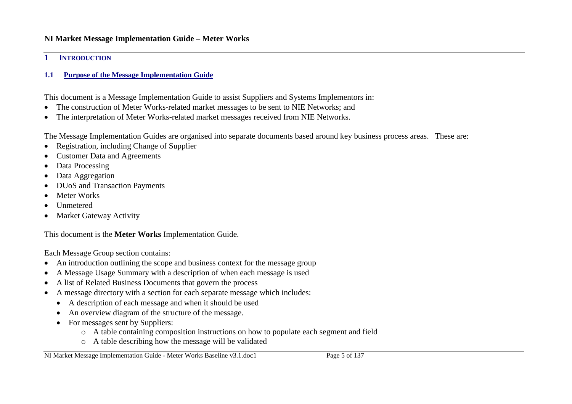#### <span id="page-4-0"></span>**1 INTRODUCTION**

### <span id="page-4-1"></span>**1.1 Purpose of the Message Implementation Guide**

This document is a Message Implementation Guide to assist Suppliers and Systems Implementors in:

- The construction of Meter Works-related market messages to be sent to NIE Networks; and
- The interpretation of Meter Works-related market messages received from NIE Networks.

The Message Implementation Guides are organised into separate documents based around key business process areas. These are:

- Registration, including Change of Supplier
- Customer Data and Agreements
- Data Processing
- Data Aggregation
- DUoS and Transaction Payments
- Meter Works
- Unmetered
- Market Gateway Activity

This document is the **Meter Works** Implementation Guide.

Each Message Group section contains:

- An introduction outlining the scope and business context for the message group
- A Message Usage Summary with a description of when each message is used
- A list of Related Business Documents that govern the process
- A message directory with a section for each separate message which includes:
	- A description of each message and when it should be used
	- An overview diagram of the structure of the message.
	- For messages sent by Suppliers:
		- o A table containing composition instructions on how to populate each segment and field
		- o A table describing how the message will be validated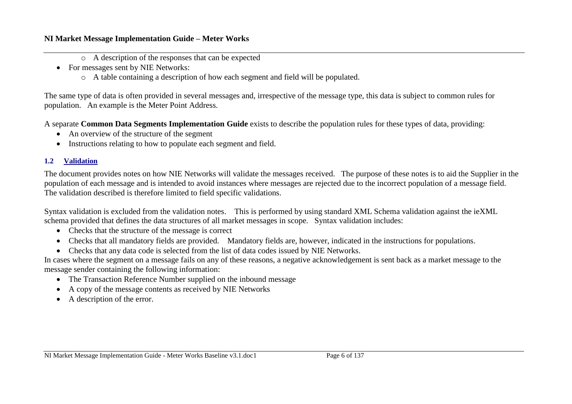- o A description of the responses that can be expected
- For messages sent by NIE Networks:
	- o A table containing a description of how each segment and field will be populated.

The same type of data is often provided in several messages and, irrespective of the message type, this data is subject to common rules for population. An example is the Meter Point Address.

A separate **Common Data Segments Implementation Guide** exists to describe the population rules for these types of data, providing:

- An overview of the structure of the segment
- Instructions relating to how to populate each segment and field.

### <span id="page-5-0"></span>**1.2 Validation**

The document provides notes on how NIE Networks will validate the messages received. The purpose of these notes is to aid the Supplier in the population of each message and is intended to avoid instances where messages are rejected due to the incorrect population of a message field. The validation described is therefore limited to field specific validations.

Syntax validation is excluded from the validation notes. This is performed by using standard XML Schema validation against the ieXML schema provided that defines the data structures of all market messages in scope. Syntax validation includes:

- Checks that the structure of the message is correct
- Checks that all mandatory fields are provided. Mandatory fields are, however, indicated in the instructions for populations.
- Checks that any data code is selected from the list of data codes issued by NIE Networks.

In cases where the segment on a message fails on any of these reasons, a negative acknowledgement is sent back as a market message to the message sender containing the following information:

- The Transaction Reference Number supplied on the inbound message
- A copy of the message contents as received by NIE Networks
- A description of the error.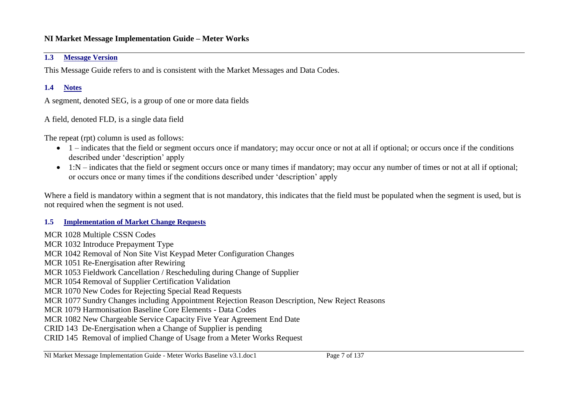### <span id="page-6-0"></span>**1.3 Message Version**

This Message Guide refers to and is consistent with the Market Messages and Data Codes.

### <span id="page-6-1"></span>**1.4 Notes**

A segment, denoted SEG, is a group of one or more data fields

A field, denoted FLD, is a single data field

The repeat (rpt) column is used as follows:

- $\bullet$  1 indicates that the field or segment occurs once if mandatory; may occur once or not at all if optional; or occurs once if the conditions described under 'description' apply
- 1:N indicates that the field or segment occurs once or many times if mandatory; may occur any number of times or not at all if optional; or occurs once or many times if the conditions described under 'description' apply

Where a field is mandatory within a segment that is not mandatory, this indicates that the field must be populated when the segment is used, but is not required when the segment is not used.

### <span id="page-6-2"></span>**1.5 Implementation of Market Change Requests**

MCR 1028 Multiple CSSN Codes MCR 1032 Introduce Prepayment Type MCR 1042 Removal of Non Site Vist Keypad Meter Configuration Changes MCR 1051 Re-Energisation after Rewiring MCR 1053 Fieldwork Cancellation / Rescheduling during Change of Supplier MCR 1054 Removal of Supplier Certification Validation MCR 1070 New Codes for Rejecting Special Read Requests MCR 1077 Sundry Changes including Appointment Rejection Reason Description, New Reject Reasons MCR 1079 Harmonisation Baseline Core Elements - Data Codes MCR 1082 New Chargeable Service Capacity Five Year Agreement End Date CRID 143 De-Energisation when a Change of Supplier is pending CRID 145 Removal of implied Change of Usage from a Meter Works Request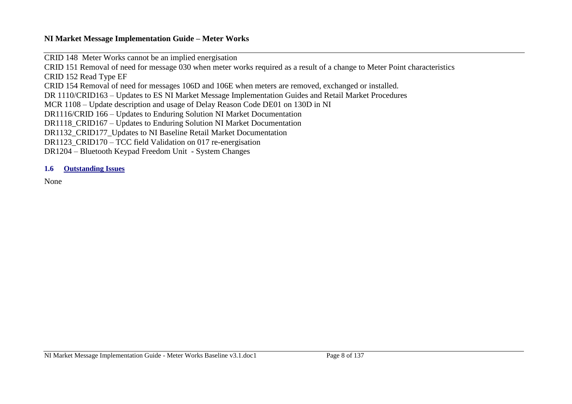CRID 148 Meter Works cannot be an implied energisation

CRID 151 Removal of need for message 030 when meter works required as a result of a change to Meter Point characteristics

CRID 152 Read Type EF

CRID 154 Removal of need for messages 106D and 106E when meters are removed, exchanged or installed.

DR 1110/CRID163 – Updates to ES NI Market Message Implementation Guides and Retail Market Procedures

MCR 1108 – Update description and usage of Delay Reason Code DE01 on 130D in NI

DR1116/CRID 166 – Updates to Enduring Solution NI Market Documentation

DR1118\_CRID167 – Updates to Enduring Solution NI Market Documentation

DR1132 CRID177 Updates to NI Baseline Retail Market Documentation

DR1123\_CRID170 – TCC field Validation on 017 re-energisation

DR1204 – Bluetooth Keypad Freedom Unit - System Changes

### <span id="page-7-0"></span>**1.6 Outstanding Issues**

None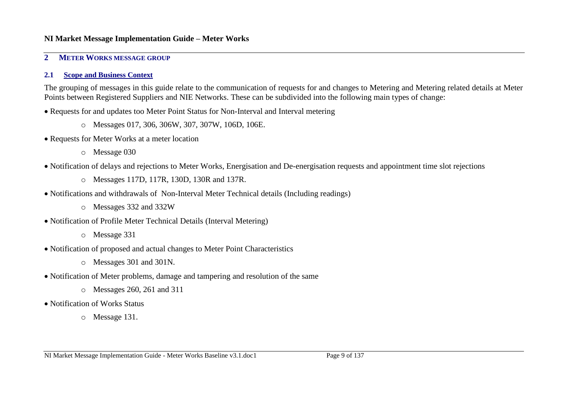#### <span id="page-8-0"></span>**2 METER WORKS MESSAGE GROUP**

#### <span id="page-8-1"></span>**2.1 Scope and Business Context**

The grouping of messages in this guide relate to the communication of requests for and changes to Metering and Metering related details at Meter Points between Registered Suppliers and NIE Networks. These can be subdivided into the following main types of change:

- Requests for and updates too Meter Point Status for Non-Interval and Interval metering
	- o Messages 017, 306, 306W, 307, 307W, 106D, 106E.
- Requests for Meter Works at a meter location
	- o Message 030
- Notification of delays and rejections to Meter Works, Energisation and De-energisation requests and appointment time slot rejections
	- o Messages 117D, 117R, 130D, 130R and 137R.
- Notifications and withdrawals of Non-Interval Meter Technical details (Including readings)
	- o Messages 332 and 332W
- Notification of Profile Meter Technical Details (Interval Metering)
	- o Message 331
- Notification of proposed and actual changes to Meter Point Characteristics
	- o Messages 301 and 301N.
- Notification of Meter problems, damage and tampering and resolution of the same
	- o Messages 260, 261 and 311
- Notification of Works Status
	- o Message 131.

NI Market Message Implementation Guide - Meter Works Baseline v3.1.doc1 Page 9 of 137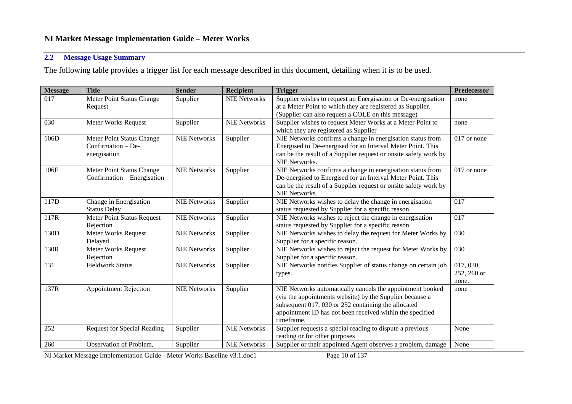### <span id="page-9-0"></span>**2.2 Message Usage Summary**

The following table provides a trigger list for each message described in this document, detailing when it is to be used.

| <b>Message</b>   | <b>Title</b>                       | <b>Sender</b>       | <b>Recipient</b>    | <b>Trigger</b>                                                   | Predecessor |
|------------------|------------------------------------|---------------------|---------------------|------------------------------------------------------------------|-------------|
| 017              | Meter Point Status Change          | Supplier            | <b>NIE Networks</b> | Supplier wishes to request an Energisation or De-energisation    | none        |
|                  | Request                            |                     |                     | at a Meter Point to which they are registered as Supplier.       |             |
|                  |                                    |                     |                     | (Supplier can also request a COLE on this message)               |             |
| 030              | Meter Works Request                | Supplier            | <b>NIE Networks</b> | Supplier wishes to request Meter Works at a Meter Point to       | none        |
|                  |                                    |                     |                     | which they are registered as Supplier                            |             |
| 106D             | Meter Point Status Change          | <b>NIE Networks</b> | Supplier            | NIE Networks confirms a change in energisation status from       | 017 or none |
|                  | Confirmation $-$ De-               |                     |                     | Energised to De-energised for an Interval Meter Point. This      |             |
|                  | energisation                       |                     |                     | can be the result of a Supplier request or onsite safety work by |             |
|                  |                                    |                     |                     | NIE Networks.                                                    |             |
| 106E             | Meter Point Status Change          | <b>NIE Networks</b> | Supplier            | NIE Networks confirms a change in energisation status from       | 017 or none |
|                  | Confirmation – Energisation        |                     |                     | De-energised to Energised for an Interval Meter Point. This      |             |
|                  |                                    |                     |                     | can be the result of a Supplier request or onsite safety work by |             |
|                  |                                    |                     |                     | NIE Networks.                                                    |             |
| 117D             | Change in Energisation             | <b>NIE Networks</b> | Supplier            | NIE Networks wishes to delay the change in energisation          | 017         |
|                  | <b>Status Delay</b>                |                     |                     | status requested by Supplier for a specific reason.              |             |
| 117R             | Meter Point Status Request         | <b>NIE Networks</b> | Supplier            | NIE Networks wishes to reject the change in energisation         | 017         |
|                  | Rejection                          |                     |                     | status requested by Supplier for a specific reason.              |             |
| 130 <sub>D</sub> | Meter Works Request                | <b>NIE Networks</b> | Supplier            | NIE Networks wishes to delay the request for Meter Works by      | 030         |
|                  | Delayed                            |                     |                     | Supplier for a specific reason.                                  |             |
| 130R             | Meter Works Request                | <b>NIE Networks</b> | Supplier            | NIE Networks wishes to reject the request for Meter Works by     | 030         |
|                  | Rejection                          |                     |                     | Supplier for a specific reason.                                  |             |
| 131              | <b>Fieldwork Status</b>            | <b>NIE Networks</b> | Supplier            | NIE Networks notifies Supplier of status change on certain job   | 017, 030,   |
|                  |                                    |                     |                     | types.                                                           | 252, 260 or |
|                  |                                    |                     |                     |                                                                  | none.       |
| 137R             | <b>Appointment Rejection</b>       | <b>NIE Networks</b> | Supplier            | NIE Networks automatically cancels the appointment booked        | none        |
|                  |                                    |                     |                     | (via the appointments website) by the Supplier because a         |             |
|                  |                                    |                     |                     | subsequent 017, 030 or 252 containing the allocated              |             |
|                  |                                    |                     |                     | appointment ID has not been received within the specified        |             |
|                  |                                    |                     |                     | timeframe.                                                       |             |
| 252              | <b>Request for Special Reading</b> | Supplier            | <b>NIE Networks</b> | Supplier requests a special reading to dispute a previous        | None        |
|                  |                                    |                     |                     | reading or for other purposes                                    |             |
| 260              | Observation of Problem,            | Supplier            | <b>NIE Networks</b> | Supplier or their appointed Agent observes a problem, damage     | None        |

NI Market Message Implementation Guide - Meter Works Baseline v3.1.doc1 Page 10 of 137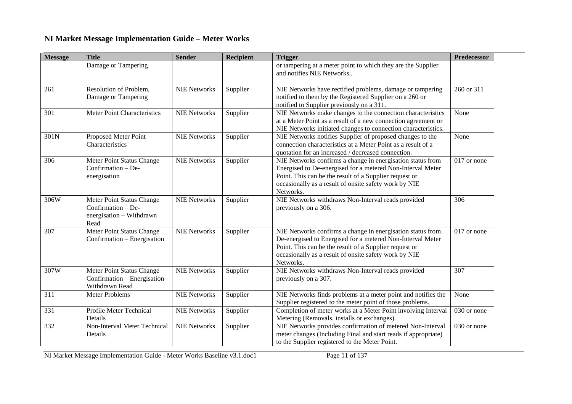| <b>Message</b> | <b>Title</b>                                                                        | <b>Sender</b>       | <b>Recipient</b> | <b>Trigger</b>                                                                                                                                                                                                                                           | <b>Predecessor</b> |
|----------------|-------------------------------------------------------------------------------------|---------------------|------------------|----------------------------------------------------------------------------------------------------------------------------------------------------------------------------------------------------------------------------------------------------------|--------------------|
|                | Damage or Tampering                                                                 |                     |                  | or tampering at a meter point to which they are the Supplier<br>and notifies NIE Networks                                                                                                                                                                |                    |
| 261            | Resolution of Problem,<br>Damage or Tampering                                       | <b>NIE Networks</b> | Supplier         | NIE Networks have rectified problems, damage or tampering<br>notified to them by the Registered Supplier on a 260 or<br>notified to Supplier previously on a 311.                                                                                        | 260 or 311         |
| 301            | Meter Point Characteristics                                                         | <b>NIE Networks</b> | Supplier         | NIE Networks make changes to the connection characteristics<br>at a Meter Point as a result of a new connection agreement or<br>NIE Networks initiated changes to connection characteristics.                                                            | None               |
| 301N           | Proposed Meter Point<br>Characteristics                                             | <b>NIE Networks</b> | Supplier         | NIE Networks notifies Supplier of proposed changes to the<br>connection characteristics at a Meter Point as a result of a<br>quotation for an increased / decreased connection.                                                                          | None               |
| 306            | Meter Point Status Change<br>Confirmation - De-<br>energisation                     | <b>NIE Networks</b> | Supplier         | NIE Networks confirms a change in energisation status from<br>Energised to De-energised for a metered Non-Interval Meter<br>Point. This can be the result of a Supplier request or<br>occasionally as a result of onsite safety work by NIE<br>Networks. | 017 or none        |
| 306W           | Meter Point Status Change<br>Confirmation - De-<br>energisation - Withdrawn<br>Read | <b>NIE Networks</b> | Supplier         | NIE Networks withdraws Non-Interval reads provided<br>previously on a 306.                                                                                                                                                                               | 306                |
| 307            | Meter Point Status Change<br>Confirmation – Energisation                            | <b>NIE Networks</b> | Supplier         | NIE Networks confirms a change in energisation status from<br>De-energised to Energised for a metered Non-Interval Meter<br>Point. This can be the result of a Supplier request or<br>occasionally as a result of onsite safety work by NIE<br>Networks. | 017 or none        |
| 307W           | Meter Point Status Change<br>Confirmation - Energisation-<br>Withdrawn Read         | <b>NIE Networks</b> | Supplier         | NIE Networks withdraws Non-Interval reads provided<br>previously on a 307.                                                                                                                                                                               | 307                |
| 311            | <b>Meter Problems</b>                                                               | <b>NIE Networks</b> | Supplier         | NIE Networks finds problems at a meter point and notifies the<br>Supplier registered to the meter point of those problems.                                                                                                                               | None               |
| 331            | Profile Meter Technical<br>Details                                                  | <b>NIE Networks</b> | Supplier         | Completion of meter works at a Meter Point involving Interval<br>Metering (Removals, installs or exchanges).                                                                                                                                             | 030 or none        |
| 332            | Non-Interval Meter Technical<br>Details                                             | <b>NIE Networks</b> | Supplier         | NIE Networks provides confirmation of metered Non-Interval<br>meter changes (Including Final and start reads if appropriate)<br>to the Supplier registered to the Meter Point.                                                                           | 030 or none        |

NI Market Message Implementation Guide - Meter Works Baseline v3.1.doc1 Page 11 of 137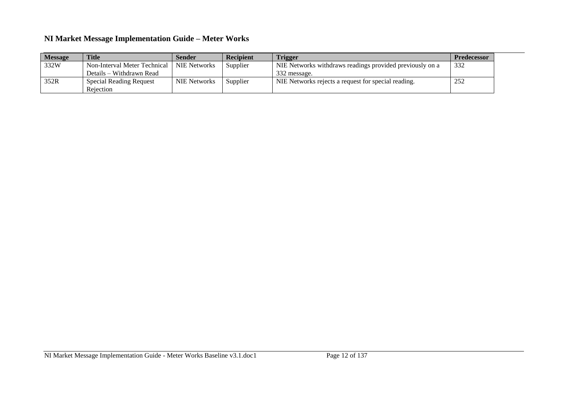| <b>Message</b> | <b>Title</b>                                | <b>Sender</b>       | <b>Recipient</b> | <b>Trigger</b>                                           | <b>Predecessor</b> |
|----------------|---------------------------------------------|---------------------|------------------|----------------------------------------------------------|--------------------|
| 332W           | Non-Interval Meter Technical   NIE Networks |                     | Supplier         | NIE Networks withdraws readings provided previously on a | 332                |
|                | Details – Withdrawn Read                    |                     |                  | 332 message.                                             |                    |
| 352R           | <b>Special Reading Request</b>              | <b>NIE Networks</b> | Supplier         | NIE Networks rejects a request for special reading.      | 252                |
|                | Rejection                                   |                     |                  |                                                          |                    |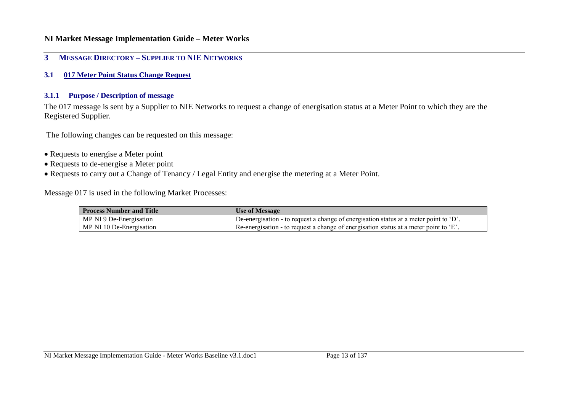#### <span id="page-12-0"></span>**3 MESSAGE DIRECTORY – SUPPLIER TO NIE NETWORKS**

<span id="page-12-1"></span>**3.1 017 Meter Point Status Change Request**

#### **3.1.1 Purpose / Description of message**

The 017 message is sent by a Supplier to NIE Networks to request a change of energisation status at a Meter Point to which they are the Registered Supplier.

The following changes can be requested on this message:

- Requests to energise a Meter point
- Requests to de-energise a Meter point
- Requests to carry out a Change of Tenancy / Legal Entity and energise the metering at a Meter Point.

Message 017 is used in the following Market Processes:

| <b>Process Number and Title</b> | <b>Use of Message</b>                                                                   |
|---------------------------------|-----------------------------------------------------------------------------------------|
| MP NI 9 De-Energisation         | De-energisation - to request a change of energisation status at a meter point to $D'$ . |
| MP NI 10 De-Energisation        | ' Re-energisation - to request a change of energisation status at a meter point to 'E'. |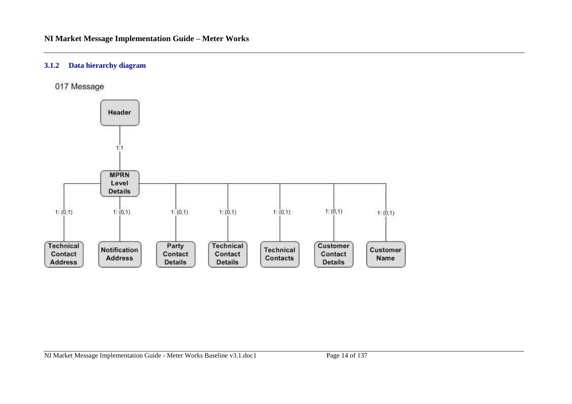#### **3.1.2 Data hierarchy diagram**

017 Message

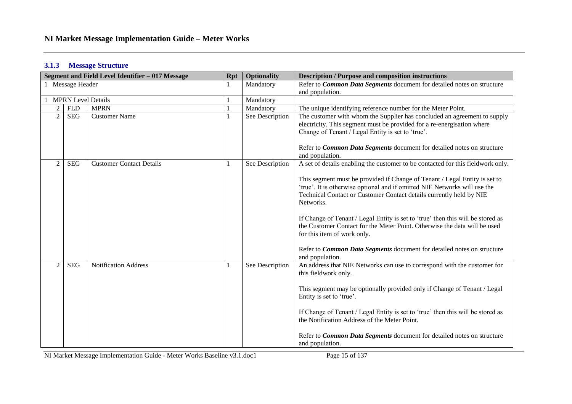#### **3.1.3 Message Structure**

|                |                           | Segment and Field Level Identifier - 017 Message | <b>Rpt</b> | <b>Optionality</b> | <b>Description / Purpose and composition instructions</b>                                                                                                                                                                                   |  |
|----------------|---------------------------|--------------------------------------------------|------------|--------------------|---------------------------------------------------------------------------------------------------------------------------------------------------------------------------------------------------------------------------------------------|--|
|                | Message Header            |                                                  |            | Mandatory          | Refer to Common Data Segments document for detailed notes on structure<br>and population.                                                                                                                                                   |  |
|                | <b>MPRN Level Details</b> |                                                  |            | Mandatory          |                                                                                                                                                                                                                                             |  |
| $\overline{2}$ | <b>FLD</b>                | <b>MPRN</b>                                      |            | Mandatory          | The unique identifying reference number for the Meter Point.                                                                                                                                                                                |  |
| $\overline{2}$ | <b>SEG</b>                | <b>Customer Name</b>                             |            | See Description    | The customer with whom the Supplier has concluded an agreement to supply<br>electricity. This segment must be provided for a re-energisation where<br>Change of Tenant / Legal Entity is set to 'true'.                                     |  |
|                |                           |                                                  |            |                    | Refer to Common Data Segments document for detailed notes on structure<br>and population.                                                                                                                                                   |  |
| $\overline{2}$ | <b>SEG</b>                | <b>Customer Contact Details</b>                  |            | See Description    | A set of details enabling the customer to be contacted for this fieldwork only.                                                                                                                                                             |  |
|                |                           |                                                  |            |                    | This segment must be provided if Change of Tenant / Legal Entity is set to<br>'true'. It is otherwise optional and if omitted NIE Networks will use the<br>Technical Contact or Customer Contact details currently held by NIE<br>Networks. |  |
|                |                           |                                                  |            |                    | If Change of Tenant / Legal Entity is set to 'true' then this will be stored as<br>the Customer Contact for the Meter Point. Otherwise the data will be used<br>for this item of work only.                                                 |  |
|                |                           |                                                  |            |                    | Refer to Common Data Segments document for detailed notes on structure<br>and population.                                                                                                                                                   |  |
| $\overline{c}$ | <b>SEG</b>                | <b>Notification Address</b>                      |            | See Description    | An address that NIE Networks can use to correspond with the customer for<br>this fieldwork only.                                                                                                                                            |  |
|                |                           |                                                  |            |                    | This segment may be optionally provided only if Change of Tenant / Legal<br>Entity is set to 'true'.                                                                                                                                        |  |
|                |                           |                                                  |            |                    | If Change of Tenant / Legal Entity is set to 'true' then this will be stored as<br>the Notification Address of the Meter Point.                                                                                                             |  |
|                |                           |                                                  |            |                    | Refer to <i>Common Data Segments</i> document for detailed notes on structure<br>and population.                                                                                                                                            |  |

NI Market Message Implementation Guide - Meter Works Baseline v3.1.doc1 Page 15 of 137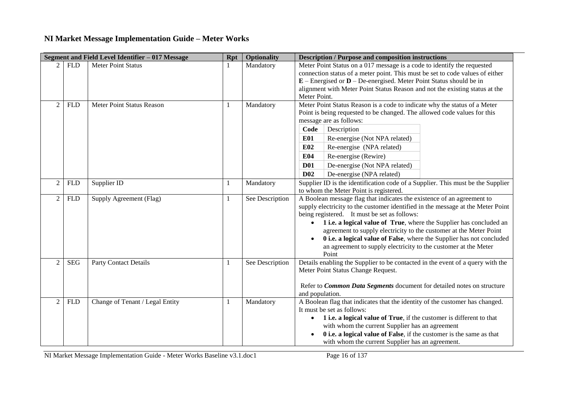|                |            | Segment and Field Level Identifier - 017 Message | <b>Rpt</b> | <b>Optionality</b> | <b>Description / Purpose and composition instructions</b>                                                                                                                                                                                                                                                                                                                                                                                                                                                   |
|----------------|------------|--------------------------------------------------|------------|--------------------|-------------------------------------------------------------------------------------------------------------------------------------------------------------------------------------------------------------------------------------------------------------------------------------------------------------------------------------------------------------------------------------------------------------------------------------------------------------------------------------------------------------|
|                | <b>FLD</b> | <b>Meter Point Status</b>                        |            | Mandatory          | Meter Point Status on a 017 message is a code to identify the requested<br>connection status of a meter point. This must be set to code values of either<br>$E$ – Energised or $D$ – De-energised. Meter Point Status should be in<br>alignment with Meter Point Status Reason and not the existing status at the<br>Meter Point.                                                                                                                                                                           |
| $\overline{2}$ | <b>FLD</b> | Meter Point Status Reason                        | 1          | Mandatory          | Meter Point Status Reason is a code to indicate why the status of a Meter<br>Point is being requested to be changed. The allowed code values for this<br>message are as follows:<br>Code<br>Description<br><b>E01</b><br>Re-energise (Not NPA related)<br>E02<br>Re-energise (NPA related)<br>E04<br>Re-energise (Rewire)<br><b>D01</b><br>De-energise (Not NPA related)<br>D <sub>02</sub><br>De-energise (NPA related)                                                                                    |
| $\overline{2}$ | <b>FLD</b> | Supplier ID                                      |            | Mandatory          | Supplier ID is the identification code of a Supplier. This must be the Supplier<br>to whom the Meter Point is registered.                                                                                                                                                                                                                                                                                                                                                                                   |
| $\overline{2}$ | <b>FLD</b> | Supply Agreement (Flag)                          | 1          | See Description    | A Boolean message flag that indicates the existence of an agreement to<br>supply electricity to the customer identified in the message at the Meter Point<br>being registered. It must be set as follows:<br>1 i.e. a logical value of True, where the Supplier has concluded an<br>agreement to supply electricity to the customer at the Meter Point<br>0 i.e. a logical value of False, where the Supplier has not concluded<br>an agreement to supply electricity to the customer at the Meter<br>Point |
| $\mathcal{D}$  | <b>SEG</b> | <b>Party Contact Details</b>                     |            | See Description    | Details enabling the Supplier to be contacted in the event of a query with the<br>Meter Point Status Change Request.<br>Refer to Common Data Segments document for detailed notes on structure<br>and population.                                                                                                                                                                                                                                                                                           |
| $\overline{2}$ | <b>FLD</b> | Change of Tenant / Legal Entity                  |            | Mandatory          | A Boolean flag that indicates that the identity of the customer has changed.<br>It must be set as follows:<br>1 i.e. a logical value of True, if the customer is different to that<br>$\bullet$<br>with whom the current Supplier has an agreement<br>0 i.e. a logical value of False, if the customer is the same as that<br>with whom the current Supplier has an agreement.                                                                                                                              |

NI Market Message Implementation Guide - Meter Works Baseline v3.1.doc1 Page 16 of 137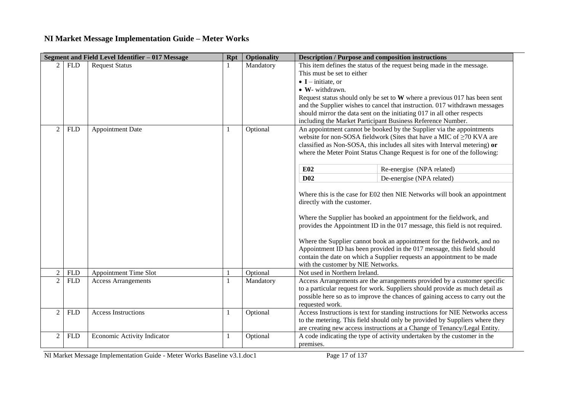|                |            | Segment and Field Level Identifier - 017 Message | <b>Rpt</b> | <b>Optionality</b> | <b>Description / Purpose and composition instructions</b> |                                                                                                                                                          |
|----------------|------------|--------------------------------------------------|------------|--------------------|-----------------------------------------------------------|----------------------------------------------------------------------------------------------------------------------------------------------------------|
|                | <b>FLD</b> | <b>Request Status</b>                            |            | Mandatory          |                                                           | This item defines the status of the request being made in the message.                                                                                   |
|                |            |                                                  |            |                    | This must be set to either                                |                                                                                                                                                          |
|                |            |                                                  |            |                    | $\bullet$ I – initiate, or                                |                                                                                                                                                          |
|                |            |                                                  |            |                    | • W- withdrawn.                                           |                                                                                                                                                          |
|                |            |                                                  |            |                    |                                                           | Request status should only be set to $W$ where a previous 017 has been sent                                                                              |
|                |            |                                                  |            |                    |                                                           | and the Supplier wishes to cancel that instruction. 017 withdrawn messages                                                                               |
|                |            |                                                  |            |                    |                                                           | should mirror the data sent on the initiating 017 in all other respects                                                                                  |
|                |            |                                                  |            |                    |                                                           | including the Market Participant Business Reference Number.                                                                                              |
| $\overline{2}$ | <b>FLD</b> | <b>Appointment Date</b>                          |            | Optional           |                                                           | An appointment cannot be booked by the Supplier via the appointments                                                                                     |
|                |            |                                                  |            |                    |                                                           | website for non-SOSA fieldwork (Sites that have a MIC of $\geq$ 70 KVA are<br>classified as Non-SOSA, this includes all sites with Interval metering) or |
|                |            |                                                  |            |                    |                                                           | where the Meter Point Status Change Request is for one of the following:                                                                                 |
|                |            |                                                  |            |                    |                                                           |                                                                                                                                                          |
|                |            |                                                  |            |                    | E02                                                       | Re-energise (NPA related)                                                                                                                                |
|                |            |                                                  |            |                    | <b>D02</b>                                                | De-energise (NPA related)                                                                                                                                |
|                |            |                                                  |            |                    |                                                           |                                                                                                                                                          |
|                |            |                                                  |            |                    |                                                           | Where this is the case for E02 then NIE Networks will book an appointment                                                                                |
|                |            |                                                  |            |                    | directly with the customer.                               |                                                                                                                                                          |
|                |            |                                                  |            |                    |                                                           |                                                                                                                                                          |
|                |            |                                                  |            |                    |                                                           | Where the Supplier has booked an appointment for the fieldwork, and                                                                                      |
|                |            |                                                  |            |                    |                                                           | provides the Appointment ID in the 017 message, this field is not required.                                                                              |
|                |            |                                                  |            |                    |                                                           | Where the Supplier cannot book an appointment for the fieldwork, and no                                                                                  |
|                |            |                                                  |            |                    |                                                           | Appointment ID has been provided in the 017 message, this field should                                                                                   |
|                |            |                                                  |            |                    |                                                           | contain the date on which a Supplier requests an appointment to be made                                                                                  |
|                |            |                                                  |            |                    | with the customer by NIE Networks.                        |                                                                                                                                                          |
| $\overline{2}$ | <b>FLD</b> | <b>Appointment Time Slot</b>                     |            | Optional           | Not used in Northern Ireland.                             |                                                                                                                                                          |
| $\overline{2}$ | <b>FLD</b> | <b>Access Arrangements</b>                       |            | Mandatory          |                                                           | Access Arrangements are the arrangements provided by a customer specific                                                                                 |
|                |            |                                                  |            |                    |                                                           | to a particular request for work. Suppliers should provide as much detail as                                                                             |
|                |            |                                                  |            |                    |                                                           | possible here so as to improve the chances of gaining access to carry out the                                                                            |
|                |            |                                                  |            |                    | requested work.                                           |                                                                                                                                                          |
| $\overline{2}$ | <b>FLD</b> | <b>Access Instructions</b>                       | 1          | Optional           |                                                           | Access Instructions is text for standing instructions for NIE Networks access                                                                            |
|                |            |                                                  |            |                    |                                                           | to the metering. This field should only be provided by Suppliers where they                                                                              |
|                |            |                                                  |            |                    |                                                           | are creating new access instructions at a Change of Tenancy/Legal Entity.                                                                                |
| $\overline{c}$ | <b>FLD</b> | Economic Activity Indicator                      | 1          | Optional           |                                                           | A code indicating the type of activity undertaken by the customer in the                                                                                 |
|                |            |                                                  |            |                    | premises.                                                 |                                                                                                                                                          |

NI Market Message Implementation Guide - Meter Works Baseline v3.1.doc1 Page 17 of 137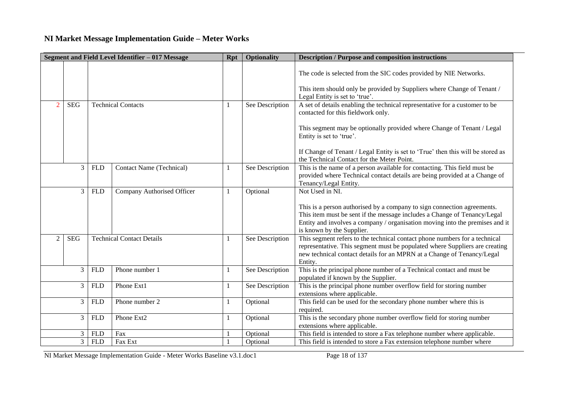|                |                |            | Segment and Field Level Identifier - 017 Message | <b>Rpt</b> | <b>Optionality</b> | <b>Description / Purpose and composition instructions</b>                                                                                                                                                                                                        |
|----------------|----------------|------------|--------------------------------------------------|------------|--------------------|------------------------------------------------------------------------------------------------------------------------------------------------------------------------------------------------------------------------------------------------------------------|
|                |                |            |                                                  |            |                    | The code is selected from the SIC codes provided by NIE Networks.<br>This item should only be provided by Suppliers where Change of Tenant /                                                                                                                     |
|                |                |            |                                                  |            |                    | Legal Entity is set to 'true'.                                                                                                                                                                                                                                   |
| $\mathcal{D}$  | <b>SEG</b>     |            | <b>Technical Contacts</b>                        |            | See Description    | A set of details enabling the technical representative for a customer to be<br>contacted for this fieldwork only.                                                                                                                                                |
|                |                |            |                                                  |            |                    | This segment may be optionally provided where Change of Tenant / Legal<br>Entity is set to 'true'.                                                                                                                                                               |
|                |                |            |                                                  |            |                    | If Change of Tenant / Legal Entity is set to 'True' then this will be stored as<br>the Technical Contact for the Meter Point.                                                                                                                                    |
|                | 3              | <b>FLD</b> | <b>Contact Name (Technical)</b>                  |            | See Description    | This is the name of a person available for contacting. This field must be<br>provided where Technical contact details are being provided at a Change of<br>Tenancy/Legal Entity.                                                                                 |
|                | 3              | <b>FLD</b> | Company Authorised Officer                       |            | Optional           | Not Used in NI.                                                                                                                                                                                                                                                  |
|                |                |            |                                                  |            |                    | This is a person authorised by a company to sign connection agreements.<br>This item must be sent if the message includes a Change of Tenancy/Legal<br>Entity and involves a company / organisation moving into the premises and it<br>is known by the Supplier. |
| $\overline{2}$ | <b>SEG</b>     |            | <b>Technical Contact Details</b>                 |            | See Description    | This segment refers to the technical contact phone numbers for a technical<br>representative. This segment must be populated where Suppliers are creating<br>new technical contact details for an MPRN at a Change of Tenancy/Legal<br>Entity.                   |
|                | 3              | <b>FLD</b> | Phone number 1                                   | 1          | See Description    | This is the principal phone number of a Technical contact and must be<br>populated if known by the Supplier.                                                                                                                                                     |
|                | 3              | <b>FLD</b> | Phone Ext1                                       | 1          | See Description    | This is the principal phone number overflow field for storing number<br>extensions where applicable.                                                                                                                                                             |
|                | 3              | <b>FLD</b> | Phone number 2                                   |            | Optional           | This field can be used for the secondary phone number where this is<br>required.                                                                                                                                                                                 |
|                | 3              | <b>FLD</b> | Phone Ext2                                       |            | Optional           | This is the secondary phone number overflow field for storing number<br>extensions where applicable.                                                                                                                                                             |
|                | $\mathfrak{Z}$ | <b>FLD</b> | Fax                                              |            | Optional           | This field is intended to store a Fax telephone number where applicable.                                                                                                                                                                                         |
|                | 3 <sup>1</sup> | <b>FLD</b> | Fax Ext                                          |            | Optional           | This field is intended to store a Fax extension telephone number where                                                                                                                                                                                           |

NI Market Message Implementation Guide - Meter Works Baseline v3.1.doc1 Page 18 of 137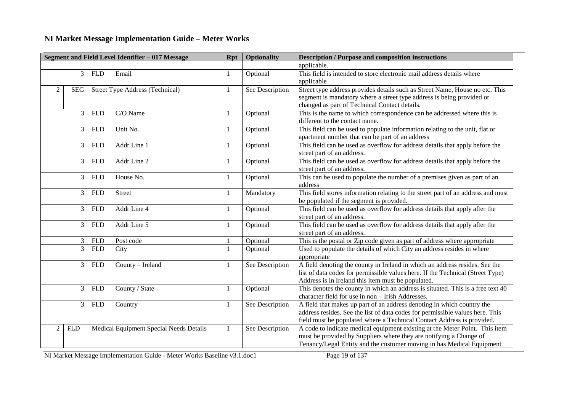| Segment and Field Level Identifier - 017 Message |            |            |                                         | <b>Rpt</b> | <b>Optionality</b> | <b>Description / Purpose and composition instructions</b>                                                                                                                                                                         |
|--------------------------------------------------|------------|------------|-----------------------------------------|------------|--------------------|-----------------------------------------------------------------------------------------------------------------------------------------------------------------------------------------------------------------------------------|
|                                                  |            |            |                                         |            |                    | applicable.                                                                                                                                                                                                                       |
|                                                  | 3          | <b>FLD</b> | Email                                   |            | Optional           | This field is intended to store electronic mail address details where                                                                                                                                                             |
|                                                  |            |            |                                         |            |                    | applicable                                                                                                                                                                                                                        |
| 2                                                | SEG        |            | <b>Street Type Address (Technical)</b>  |            | See Description    | Street type address provides details such as Street Name, House no etc. This<br>segment is mandatory where a street type address is being provided or<br>changed as part of Technical Contact details.                            |
|                                                  | 3          | <b>FLD</b> | C/O Name                                |            | Optional           | This is the name to which correspondence can be addressed where this is<br>different to the contact name.                                                                                                                         |
|                                                  | 3          | <b>FLD</b> | Unit No.                                |            | Optional           | This field can be used to populate information relating to the unit, flat or<br>apartment number that can be part of an address                                                                                                   |
|                                                  | 3          | <b>FLD</b> | Addr Line 1                             |            | Optional           | This field can be used as overflow for address details that apply before the<br>street part of an address.                                                                                                                        |
|                                                  | 3          | <b>FLD</b> | Addr Line 2                             |            | Optional           | This field can be used as overflow for address details that apply before the<br>street part of an address.                                                                                                                        |
|                                                  | 3          | <b>FLD</b> | House No.                               |            | Optional           | This can be used to populate the number of a premises given as part of an<br>address                                                                                                                                              |
| 3                                                |            | <b>FLD</b> | <b>Street</b>                           |            | Mandatory          | This field stores information relating to the street part of an address and must<br>be populated if the segment is provided.                                                                                                      |
| 3                                                |            | <b>FLD</b> | Addr Line 4                             |            | Optional           | This field can be used as overflow for address details that apply after the<br>street part of an address.                                                                                                                         |
|                                                  | 3          | <b>FLD</b> | Addr Line 5                             |            | Optional           | This field can be used as overflow for address details that apply after the<br>street part of an address.                                                                                                                         |
|                                                  | 3          | <b>FLD</b> | Post code                               |            | Optional           | This is the postal or Zip code given as part of address where appropriate                                                                                                                                                         |
| 3                                                |            | <b>FLD</b> | City                                    |            | Optional           | Used to populate the details of which City an address resides in where<br>appropriate                                                                                                                                             |
| 3                                                |            | <b>FLD</b> | County - Ireland                        | 1          | See Description    | A field denoting the county in Ireland in which an address resides. See the<br>list of data codes for permissible values here. If the Technical (Street Type)<br>Address is in Ireland this item must be populated.               |
|                                                  | 3          | <b>FLD</b> | County / State                          | 1          | Optional           | This denotes the county in which an address is situated. This is a free text 40<br>character field for use in non - Irish Addresses.                                                                                              |
|                                                  | 3          | <b>FLD</b> | Country                                 |            | See Description    | A field that makes up part of an address denoting in which country the<br>address resides. See the list of data codes for permissible values here. This<br>field must be populated where a Technical Contact Address is provided. |
| 2                                                | <b>FLD</b> |            | Medical Equipment Special Needs Details | 1          | See Description    | A code to indicate medical equipment existing at the Meter Point. This item<br>must be provided by Suppliers where they are notifying a Change of<br>Tenancy/Legal Entity and the customer moving in has Medical Equipment        |

NI Market Message Implementation Guide - Meter Works Baseline v3.1.doc1 Page 19 of 137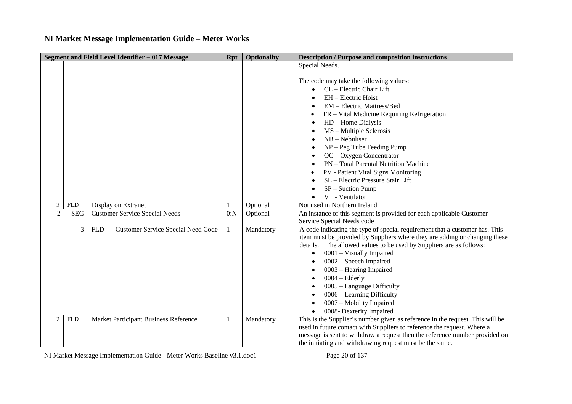|                             |            |            | Segment and Field Level Identifier - 017 Message | <b>Rpt</b> | <b>Optionality</b> | <b>Description / Purpose and composition instructions</b>                                                                                                                                                                                                                                                                                                                                                                                                                   |
|-----------------------------|------------|------------|--------------------------------------------------|------------|--------------------|-----------------------------------------------------------------------------------------------------------------------------------------------------------------------------------------------------------------------------------------------------------------------------------------------------------------------------------------------------------------------------------------------------------------------------------------------------------------------------|
|                             |            |            |                                                  |            |                    | Special Needs.                                                                                                                                                                                                                                                                                                                                                                                                                                                              |
|                             |            |            |                                                  |            |                    | The code may take the following values:<br>CL - Electric Chair Lift<br>EH - Electric Hoist<br>EM - Electric Mattress/Bed<br>FR – Vital Medicine Requiring Refrigeration<br>$HD - Home Dialysis$<br>MS - Multiple Sclerosis<br>$NB - Nebuliser$<br>$NP - Peg$ Tube Feeding Pump<br>$OC - Oxygen$ Concentrator<br>PN - Total Parental Nutrition Machine<br>PV - Patient Vital Signs Monitoring<br>SL - Electric Pressure Stair Lift<br>$SP -$ Suction Pump<br>VT - Ventilator |
| $\overline{2}$              | <b>FLD</b> |            | Display on Extranet                              |            | Optional           | Not used in Northern Ireland                                                                                                                                                                                                                                                                                                                                                                                                                                                |
| $\overline{2}$              | <b>SEG</b> |            | <b>Customer Service Special Needs</b>            | 0:N        | Optional           | An instance of this segment is provided for each applicable Customer<br>Service Special Needs code                                                                                                                                                                                                                                                                                                                                                                          |
|                             | 3          | <b>FLD</b> | <b>Customer Service Special Need Code</b>        |            | Mandatory          | A code indicating the type of special requirement that a customer has. This<br>item must be provided by Suppliers where they are adding or changing these<br>details. The allowed values to be used by Suppliers are as follows:<br>0001 - Visually Impaired<br>0002 - Speech Impaired<br>0003 – Hearing Impaired<br>$0004 - Elderly$<br>$0005$ – Language Difficulty<br>0006 - Learning Difficulty<br>0007 - Mobility Impaired<br>0008- Dexterity Impaired<br>$\bullet$    |
| $\mathcal{D}_{\mathcal{L}}$ | <b>FLD</b> |            | Market Participant Business Reference            |            | Mandatory          | This is the Supplier's number given as reference in the request. This will be<br>used in future contact with Suppliers to reference the request. Where a<br>message is sent to withdraw a request then the reference number provided on<br>the initiating and withdrawing request must be the same.                                                                                                                                                                         |

NI Market Message Implementation Guide - Meter Works Baseline v3.1.doc1 Page 20 of 137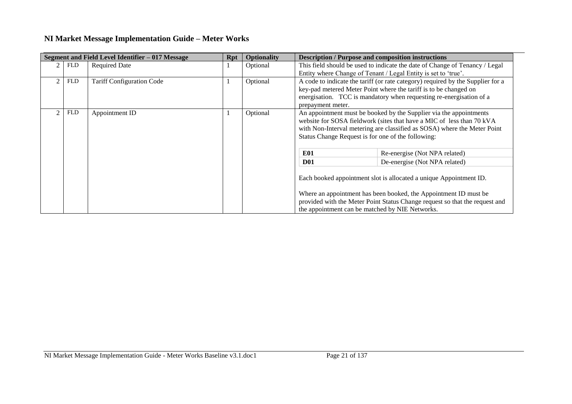|            | Segment and Field Level Identifier - 017 Message | <b>Rpt</b> | <b>Optionality</b> |                                                                                                                                               | <b>Description / Purpose and composition instructions</b>                                                                                                                                                                  |  |
|------------|--------------------------------------------------|------------|--------------------|-----------------------------------------------------------------------------------------------------------------------------------------------|----------------------------------------------------------------------------------------------------------------------------------------------------------------------------------------------------------------------------|--|
| FLD        | <b>Required Date</b>                             |            | Optional           | This field should be used to indicate the date of Change of Tenancy / Legal<br>Entity where Change of Tenant / Legal Entity is set to 'true'. |                                                                                                                                                                                                                            |  |
| <b>FLD</b> | <b>Tariff Configuration Code</b>                 |            | Optional           | prepayment meter.                                                                                                                             | A code to indicate the tariff (or rate category) required by the Supplier for a<br>key-pad metered Meter Point where the tariff is to be changed on<br>energisation. TCC is mandatory when requesting re-energisation of a |  |
| <b>FLD</b> | Appointment ID                                   |            | Optional           | Status Change Request is for one of the following:                                                                                            | An appointment must be booked by the Supplier via the appointments<br>website for SOSA fieldwork (sites that have a MIC of less than 70 kVA<br>with Non-Interval metering are classified as SOSA) where the Meter Point    |  |
|            |                                                  |            |                    | <b>E01</b>                                                                                                                                    | Re-energise (Not NPA related)                                                                                                                                                                                              |  |
|            |                                                  |            |                    | <b>D01</b>                                                                                                                                    | De-energise (Not NPA related)                                                                                                                                                                                              |  |
|            |                                                  |            |                    |                                                                                                                                               | Each booked appointment slot is allocated a unique Appointment ID.                                                                                                                                                         |  |
|            |                                                  |            |                    | the appointment can be matched by NIE Networks.                                                                                               | Where an appointment has been booked, the Appointment ID must be<br>provided with the Meter Point Status Change request so that the request and                                                                            |  |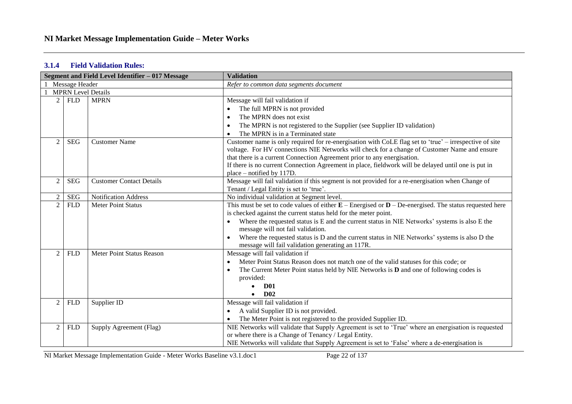### **3.1.4 Field Validation Rules:**

|                |                           | Segment and Field Level Identifier - 017 Message | <b>Validation</b>                                                                                          |  |
|----------------|---------------------------|--------------------------------------------------|------------------------------------------------------------------------------------------------------------|--|
|                | Message Header            |                                                  | Refer to common data segments document                                                                     |  |
|                | <b>MPRN</b> Level Details |                                                  |                                                                                                            |  |
| $\overline{2}$ | <b>FLD</b>                | <b>MPRN</b>                                      | Message will fail validation if                                                                            |  |
|                |                           |                                                  | The full MPRN is not provided                                                                              |  |
|                |                           |                                                  | The MPRN does not exist<br>$\bullet$                                                                       |  |
|                |                           |                                                  | The MPRN is not registered to the Supplier (see Supplier ID validation)<br>$\bullet$                       |  |
|                |                           |                                                  | The MPRN is in a Terminated state                                                                          |  |
| $\overline{2}$ | <b>SEG</b>                | <b>Customer Name</b>                             | Customer name is only required for re-energisation with CoLE flag set to 'true' – irrespective of site     |  |
|                |                           |                                                  | voltage. For HV connections NIE Networks will check for a change of Customer Name and ensure               |  |
|                |                           |                                                  | that there is a current Connection Agreement prior to any energisation.                                    |  |
|                |                           |                                                  | If there is no current Connection Agreement in place, fieldwork will be delayed until one is put in        |  |
|                |                           |                                                  | place – notified by 117D.                                                                                  |  |
| $\overline{2}$ | <b>SEG</b>                | <b>Customer Contact Details</b>                  | Message will fail validation if this segment is not provided for a re-energisation when Change of          |  |
|                |                           |                                                  | Tenant / Legal Entity is set to 'true'.                                                                    |  |
| $\overline{2}$ | <b>SEG</b>                | <b>Notification Address</b>                      | No individual validation at Segment level.                                                                 |  |
| $\overline{2}$ | <b>FLD</b>                | <b>Meter Point Status</b>                        | This must be set to code values of either $E$ – Energised or $D$ – De-energised. The status requested here |  |
|                |                           |                                                  | is checked against the current status held for the meter point.                                            |  |
|                |                           |                                                  | Where the requested status is E and the current status in NIE Networks' systems is also E the              |  |
|                |                           |                                                  | message will not fail validation.                                                                          |  |
|                |                           |                                                  | Where the requested status is D and the current status in NIE Networks' systems is also D the              |  |
|                |                           |                                                  | message will fail validation generating an 117R.                                                           |  |
| 2              | <b>FLD</b>                | Meter Point Status Reason                        | Message will fail validation if                                                                            |  |
|                |                           |                                                  | Meter Point Status Reason does not match one of the valid statuses for this code; or<br>$\bullet$          |  |
|                |                           |                                                  | The Current Meter Point status held by NIE Networks is $D$ and one of following codes is                   |  |
|                |                           |                                                  | provided:                                                                                                  |  |
|                |                           |                                                  | <b>D01</b>                                                                                                 |  |
|                |                           |                                                  | D <sub>02</sub>                                                                                            |  |
| $\overline{2}$ | <b>FLD</b>                | Supplier ID                                      | Message will fail validation if                                                                            |  |
|                |                           |                                                  | A valid Supplier ID is not provided.                                                                       |  |
|                |                           |                                                  | The Meter Point is not registered to the provided Supplier ID.                                             |  |
| 2              | <b>FLD</b>                | Supply Agreement (Flag)                          | NIE Networks will validate that Supply Agreement is set to 'True' where an energisation is requested       |  |
|                |                           |                                                  | or where there is a Change of Tenancy / Legal Entity.                                                      |  |
|                |                           |                                                  | NIE Networks will validate that Supply Agreement is set to 'False' where a de-energisation is              |  |

NI Market Message Implementation Guide - Meter Works Baseline v3.1.doc1 Page 22 of 137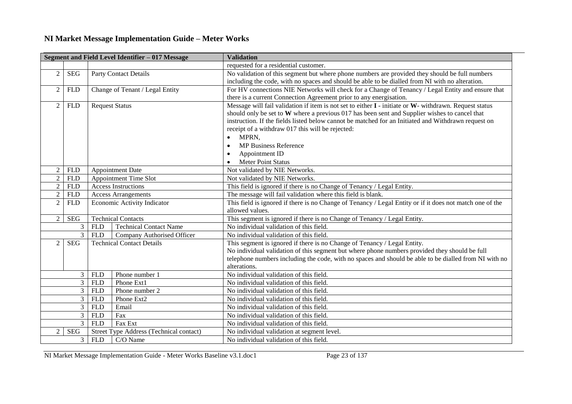|                                                                                           |                |                             | Segment and Field Level Identifier - 017 Message | <b>Validation</b>                                                                                           |  |
|-------------------------------------------------------------------------------------------|----------------|-----------------------------|--------------------------------------------------|-------------------------------------------------------------------------------------------------------------|--|
|                                                                                           |                |                             |                                                  | requested for a residential customer.                                                                       |  |
| $\overline{2}$                                                                            | <b>SEG</b>     |                             | <b>Party Contact Details</b>                     | No validation of this segment but where phone numbers are provided they should be full numbers              |  |
|                                                                                           |                |                             |                                                  | including the code, with no spaces and should be able to be dialled from NI with no alteration.             |  |
| $\overline{2}$                                                                            | <b>FLD</b>     |                             | Change of Tenant / Legal Entity                  | For HV connections NIE Networks will check for a Change of Tenancy / Legal Entity and ensure that           |  |
|                                                                                           |                |                             |                                                  | there is a current Connection Agreement prior to any energisation.                                          |  |
| $\overline{2}$                                                                            | <b>FLD</b>     | <b>Request Status</b>       |                                                  | Message will fail validation if item is not set to either $I$ - initiate or $W$ - withdrawn. Request status |  |
|                                                                                           |                |                             |                                                  | should only be set to W where a previous 017 has been sent and Supplier wishes to cancel that               |  |
|                                                                                           |                |                             |                                                  | instruction. If the fields listed below cannot be matched for an Initiated and Withdrawn request on         |  |
|                                                                                           |                |                             |                                                  | receipt of a withdraw 017 this will be rejected:                                                            |  |
|                                                                                           |                |                             |                                                  | MPRN,<br>$\bullet$                                                                                          |  |
|                                                                                           |                |                             |                                                  | <b>MP Business Reference</b><br>$\bullet$                                                                   |  |
|                                                                                           |                |                             |                                                  | Appointment ID<br>$\bullet$                                                                                 |  |
|                                                                                           |                |                             |                                                  | <b>Meter Point Status</b><br>$\bullet$                                                                      |  |
| $\overline{2}$                                                                            | <b>FLD</b>     |                             | <b>Appointment Date</b>                          | Not validated by NIE Networks.                                                                              |  |
| $\overline{2}$                                                                            | <b>FLD</b>     |                             | <b>Appointment Time Slot</b>                     | Not validated by NIE Networks.                                                                              |  |
| $\overline{2}$                                                                            | <b>FLD</b>     |                             | <b>Access Instructions</b>                       | This field is ignored if there is no Change of Tenancy / Legal Entity.                                      |  |
| $\overline{2}$                                                                            | <b>FLD</b>     | Access Arrangements         |                                                  | The message will fail validation where this field is blank.                                                 |  |
| $\overline{2}$                                                                            | <b>FLD</b>     | Economic Activity Indicator |                                                  | This field is ignored if there is no Change of Tenancy / Legal Entity or if it does not match one of the    |  |
|                                                                                           |                |                             |                                                  | allowed values.                                                                                             |  |
| $\overline{2}$                                                                            | <b>SEG</b>     |                             | <b>Technical Contacts</b>                        | This segment is ignored if there is no Change of Tenancy / Legal Entity.                                    |  |
|                                                                                           | 3              | <b>FLD</b>                  | <b>Technical Contact Name</b>                    | No individual validation of this field.                                                                     |  |
|                                                                                           | 3              | <b>FLD</b>                  | Company Authorised Officer                       | No individual validation of this field.                                                                     |  |
| $\overline{2}$                                                                            | <b>SEG</b>     |                             | <b>Technical Contact Details</b>                 | This segment is ignored if there is no Change of Tenancy / Legal Entity.                                    |  |
|                                                                                           |                |                             |                                                  | No individual validation of this segment but where phone numbers provided they should be full               |  |
|                                                                                           |                |                             |                                                  | telephone numbers including the code, with no spaces and should be able to be dialled from NI with no       |  |
|                                                                                           |                |                             |                                                  | alterations.                                                                                                |  |
|                                                                                           | 3              | <b>FLD</b>                  | Phone number 1                                   | No individual validation of this field.                                                                     |  |
|                                                                                           | 3              | <b>FLD</b>                  | Phone Ext1                                       | No individual validation of this field.                                                                     |  |
| $\overline{3}$<br>Phone number 2<br><b>FLD</b><br>No individual validation of this field. |                |                             |                                                  |                                                                                                             |  |
| 3<br><b>FLD</b><br>Phone Ext2<br>No individual validation of this field.                  |                |                             |                                                  |                                                                                                             |  |
|                                                                                           | 3              | <b>FLD</b>                  | Email                                            | No individual validation of this field.                                                                     |  |
|                                                                                           | 3              | <b>FLD</b>                  | Fax                                              | No individual validation of this field.                                                                     |  |
|                                                                                           | 3              | <b>FLD</b>                  | Fax Ext                                          | No individual validation of this field.                                                                     |  |
| $\overline{2}$                                                                            | <b>SEG</b>     |                             | Street Type Address (Technical contact)          | No individual validation at segment level.                                                                  |  |
|                                                                                           | 3 <sup>1</sup> | <b>FLD</b>                  | C/O Name                                         | No individual validation of this field.                                                                     |  |

NI Market Message Implementation Guide - Meter Works Baseline v3.1.doc1 Page 23 of 137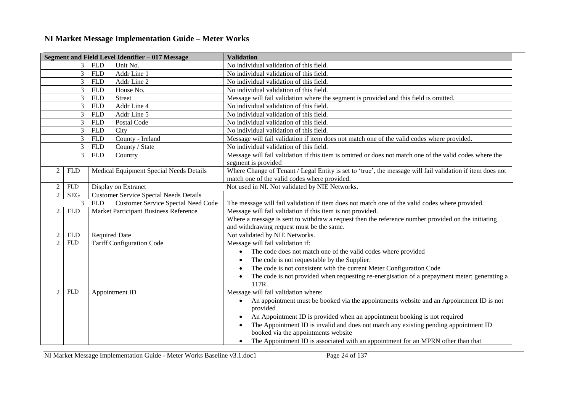|                                |                |                                                                      | Segment and Field Level Identifier - 017 Message | <b>Validation</b>                                                                                                |  |  |
|--------------------------------|----------------|----------------------------------------------------------------------|--------------------------------------------------|------------------------------------------------------------------------------------------------------------------|--|--|
|                                | 3              | <b>FLD</b>                                                           | Unit No.                                         | No individual validation of this field.                                                                          |  |  |
|                                | 3 <sup>1</sup> | <b>FLD</b>                                                           | Addr Line 1                                      | No individual validation of this field.                                                                          |  |  |
|                                | 3              | <b>FLD</b>                                                           | Addr Line 2                                      | No individual validation of this field.                                                                          |  |  |
| House No.<br>3<br><b>FLD</b>   |                |                                                                      | No individual validation of this field.          |                                                                                                                  |  |  |
|                                | 3              | <b>FLD</b>                                                           | <b>Street</b>                                    | Message will fail validation where the segment is provided and this field is omitted.                            |  |  |
|                                | 3              | Addr Line 4<br>No individual validation of this field.<br><b>FLD</b> |                                                  |                                                                                                                  |  |  |
| 3<br><b>FLD</b><br>Addr Line 5 |                |                                                                      | No individual validation of this field.          |                                                                                                                  |  |  |
|                                | 3              | <b>FLD</b>                                                           | Postal Code                                      | No individual validation of this field.                                                                          |  |  |
|                                | 3              | <b>FLD</b>                                                           | City                                             | No individual validation of this field.                                                                          |  |  |
|                                | 3              | <b>FLD</b>                                                           | County - Ireland                                 | Message will fail validation if item does not match one of the valid codes where provided.                       |  |  |
|                                | 3              | <b>FLD</b>                                                           | County / State                                   | No individual validation of this field.                                                                          |  |  |
|                                | 3              | <b>FLD</b>                                                           | Country                                          | Message will fail validation if this item is omitted or does not match one of the valid codes where the          |  |  |
|                                |                |                                                                      |                                                  | segment is provided                                                                                              |  |  |
| 2                              | <b>FLD</b>     |                                                                      | Medical Equipment Special Needs Details          | Where Change of Tenant / Legal Entity is set to 'true', the message will fail validation if item does not        |  |  |
|                                |                |                                                                      |                                                  | match one of the valid codes where provided.                                                                     |  |  |
| $\overline{2}$                 | FLD            |                                                                      | Display on Extranet                              | Not used in NI. Not validated by NIE Networks.                                                                   |  |  |
| $\overline{2}$                 | <b>SEG</b>     |                                                                      | <b>Customer Service Special Needs Details</b>    |                                                                                                                  |  |  |
|                                | 3              | <b>FLD</b>                                                           | <b>Customer Service Special Need Code</b>        | The message will fail validation if item does not match one of the valid codes where provided.                   |  |  |
| 2                              | <b>FLD</b>     |                                                                      | Market Participant Business Reference            | Message will fail validation if this item is not provided.                                                       |  |  |
|                                |                |                                                                      |                                                  | Where a message is sent to withdraw a request then the reference number provided on the initiating               |  |  |
|                                |                |                                                                      |                                                  | and withdrawing request must be the same.                                                                        |  |  |
| $\overline{2}$                 | <b>FLD</b>     | <b>Required Date</b>                                                 |                                                  | Not validated by NIE Networks.                                                                                   |  |  |
| $\overline{2}$                 | <b>FLD</b>     |                                                                      | <b>Tariff Configuration Code</b>                 | Message will fail validation if:                                                                                 |  |  |
|                                |                |                                                                      |                                                  | The code does not match one of the valid codes where provided<br>$\bullet$                                       |  |  |
|                                |                |                                                                      |                                                  | The code is not requestable by the Supplier.<br>$\bullet$                                                        |  |  |
|                                |                |                                                                      |                                                  | The code is not consistent with the current Meter Configuration Code<br>$\bullet$                                |  |  |
|                                |                |                                                                      |                                                  | The code is not provided when requesting re-energisation of a prepayment meter; generating a                     |  |  |
|                                |                |                                                                      |                                                  | 117R.                                                                                                            |  |  |
| $\overline{2}$                 | <b>FLD</b>     |                                                                      | Appointment ID                                   | Message will fail validation where:                                                                              |  |  |
|                                |                |                                                                      |                                                  | An appointment must be booked via the appointments website and an Appointment ID is not<br>$\bullet$<br>provided |  |  |
|                                |                |                                                                      |                                                  | An Appointment ID is provided when an appointment booking is not required<br>$\bullet$                           |  |  |
|                                |                |                                                                      |                                                  | The Appointment ID is invalid and does not match any existing pending appointment ID<br>٠                        |  |  |
|                                |                |                                                                      |                                                  | booked via the appointments website                                                                              |  |  |
|                                |                |                                                                      |                                                  | The Appointment ID is associated with an appointment for an MPRN other than that<br>$\bullet$                    |  |  |
|                                |                |                                                                      |                                                  |                                                                                                                  |  |  |

NI Market Message Implementation Guide - Meter Works Baseline v3.1.doc1 Page 24 of 137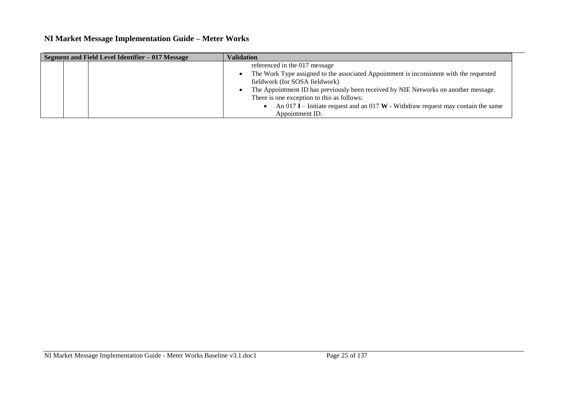| Segment and Field Level Identifier - 017 Message |  | <b>Validation</b>                                                                       |
|--------------------------------------------------|--|-----------------------------------------------------------------------------------------|
|                                                  |  | referenced in the 017 message                                                           |
|                                                  |  | The Work Type assigned to the associated Appointment is inconsistent with the requested |
|                                                  |  | fieldwork (for SOSA fieldwork)                                                          |
|                                                  |  | The Appointment ID has previously been received by NIE Networks on another message.     |
|                                                  |  | There is one exception to this as follows:                                              |
|                                                  |  | An 017 I – Initiate request and an 017 W - Withdraw request may contain the same        |
|                                                  |  | Appointment ID.                                                                         |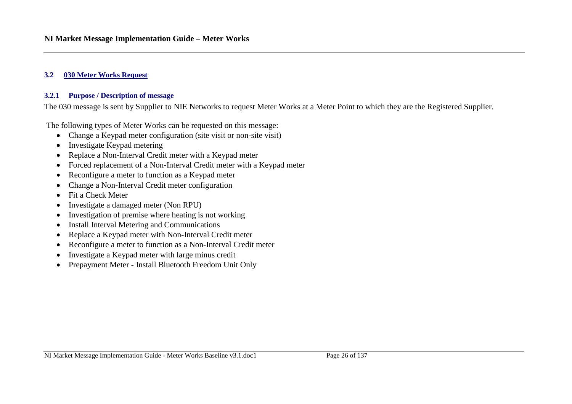#### <span id="page-25-0"></span>**3.2 030 Meter Works Request**

#### **3.2.1 Purpose / Description of message**

The 030 message is sent by Supplier to NIE Networks to request Meter Works at a Meter Point to which they are the Registered Supplier.

The following types of Meter Works can be requested on this message:

- Change a Keypad meter configuration (site visit or non-site visit)
- Investigate Keypad metering
- Replace a Non-Interval Credit meter with a Keypad meter
- Forced replacement of a Non-Interval Credit meter with a Keypad meter
- Reconfigure a meter to function as a Keypad meter
- Change a Non-Interval Credit meter configuration
- Fit a Check Meter
- Investigate a damaged meter (Non RPU)
- Investigation of premise where heating is not working
- Install Interval Metering and Communications
- Replace a Keypad meter with Non-Interval Credit meter
- Reconfigure a meter to function as a Non-Interval Credit meter
- Investigate a Keypad meter with large minus credit
- Prepayment Meter Install Bluetooth Freedom Unit Only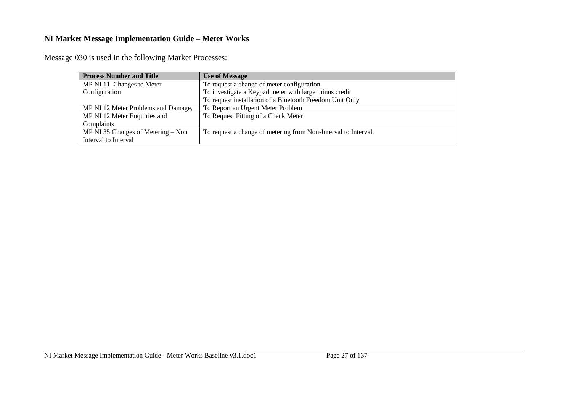| <b>Process Number and Title</b>     | <b>Use of Message</b>                                          |
|-------------------------------------|----------------------------------------------------------------|
| MP NI 11 Changes to Meter           | To request a change of meter configuration.                    |
| Configuration                       | To investigate a Keypad meter with large minus credit          |
|                                     | To request installation of a Bluetooth Freedom Unit Only       |
| MP NI 12 Meter Problems and Damage, | To Report an Urgent Meter Problem                              |
| MP NI 12 Meter Enquiries and        | To Request Fitting of a Check Meter                            |
| Complaints                          |                                                                |
| MP NI 35 Changes of Metering – Non  | To request a change of metering from Non-Interval to Interval. |
| Interval to Interval                |                                                                |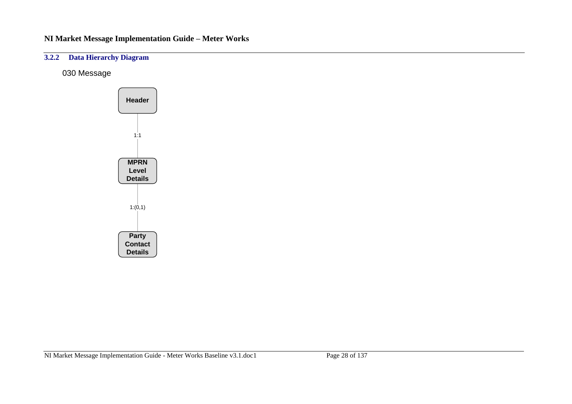### **3.2.2 Data Hierarchy Diagram**

030 Message

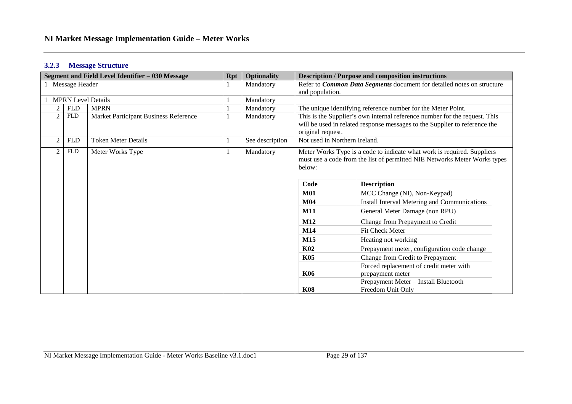#### **3.2.3 Message Structure**

|                |                           | Segment and Field Level Identifier – 030 Message |  | <b>Description / Purpose and composition instructions</b> |                               |                                                                            |
|----------------|---------------------------|--------------------------------------------------|--|-----------------------------------------------------------|-------------------------------|----------------------------------------------------------------------------|
|                | 1 Message Header          |                                                  |  | Mandatory                                                 |                               | Refer to Common Data Segments document for detailed notes on structure     |
|                |                           |                                                  |  |                                                           | and population.               |                                                                            |
|                | <b>MPRN Level Details</b> |                                                  |  | Mandatory                                                 |                               |                                                                            |
|                | <b>MPRN</b><br><b>FLD</b> |                                                  |  | Mandatory                                                 |                               | The unique identifying reference number for the Meter Point.               |
| $\overline{2}$ | <b>FLD</b>                | Market Participant Business Reference            |  | Mandatory                                                 |                               | This is the Supplier's own internal reference number for the request. This |
|                |                           |                                                  |  |                                                           |                               | will be used in related response messages to the Supplier to reference the |
|                |                           |                                                  |  |                                                           | original request.             |                                                                            |
|                | <b>FLD</b>                | <b>Token Meter Details</b>                       |  | See description                                           | Not used in Northern Ireland. |                                                                            |
|                | ${\rm FLD}$               | Meter Works Type                                 |  | Mandatory                                                 |                               | Meter Works Type is a code to indicate what work is required. Suppliers    |
|                |                           |                                                  |  |                                                           |                               | must use a code from the list of permitted NIE Networks Meter Works types  |
|                |                           |                                                  |  |                                                           | below:                        |                                                                            |
|                |                           |                                                  |  |                                                           |                               |                                                                            |
|                |                           |                                                  |  |                                                           | Code                          | <b>Description</b>                                                         |
|                |                           |                                                  |  |                                                           | <b>M01</b>                    | MCC Change (NI), Non-Keypad)                                               |
|                |                           |                                                  |  |                                                           | <b>M04</b>                    | Install Interval Metering and Communications                               |
|                |                           |                                                  |  |                                                           | <b>M11</b>                    | General Meter Damage (non RPU)                                             |
|                |                           |                                                  |  |                                                           | M12                           | Change from Prepayment to Credit                                           |
|                |                           |                                                  |  |                                                           | M14                           | Fit Check Meter                                                            |
|                |                           |                                                  |  |                                                           | M <sub>15</sub>               | Heating not working                                                        |
|                |                           |                                                  |  |                                                           | <b>K02</b>                    | Prepayment meter, configuration code change                                |
|                |                           |                                                  |  |                                                           | <b>K05</b>                    | Change from Credit to Prepayment                                           |
|                |                           |                                                  |  |                                                           |                               | Forced replacement of credit meter with                                    |
|                |                           |                                                  |  |                                                           | K06                           | prepayment meter                                                           |
|                |                           |                                                  |  |                                                           |                               | Prepayment Meter - Install Bluetooth                                       |
|                |                           |                                                  |  |                                                           | <b>K08</b>                    | Freedom Unit Only                                                          |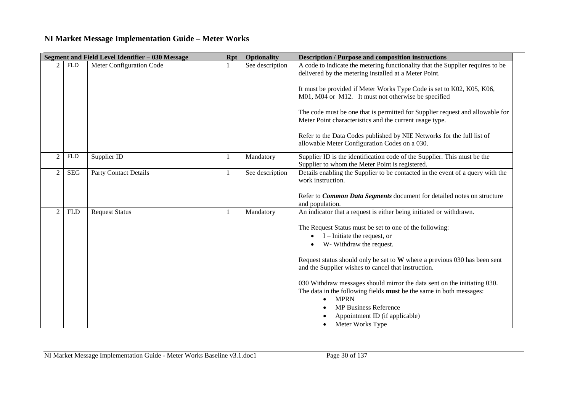|                |                    | Segment and Field Level Identifier - 030 Message | <b>Rpt</b> | <b>Optionality</b> | <b>Description / Purpose and composition instructions</b>                                                                                                             |
|----------------|--------------------|--------------------------------------------------|------------|--------------------|-----------------------------------------------------------------------------------------------------------------------------------------------------------------------|
|                | <b>FLD</b>         | Meter Configuration Code                         |            | See description    | A code to indicate the metering functionality that the Supplier requires to be<br>delivered by the metering installed at a Meter Point.                               |
|                |                    |                                                  |            |                    | It must be provided if Meter Works Type Code is set to K02, K05, K06,<br>M01, M04 or M12. It must not otherwise be specified                                          |
|                |                    |                                                  |            |                    | The code must be one that is permitted for Supplier request and allowable for<br>Meter Point characteristics and the current usage type.                              |
|                |                    |                                                  |            |                    | Refer to the Data Codes published by NIE Networks for the full list of<br>allowable Meter Configuration Codes on a 030.                                               |
| $\overline{2}$ | ${\hbox{\rm FLD}}$ | Supplier ID                                      |            | Mandatory          | Supplier ID is the identification code of the Supplier. This must be the<br>Supplier to whom the Meter Point is registered.                                           |
| 2              | <b>SEG</b>         | <b>Party Contact Details</b>                     |            | See description    | Details enabling the Supplier to be contacted in the event of a query with the<br>work instruction.                                                                   |
|                |                    |                                                  |            |                    | Refer to Common Data Segments document for detailed notes on structure<br>and population.                                                                             |
| 2              | ${\hbox{\rm FLD}}$ | <b>Request Status</b>                            |            | Mandatory          | An indicator that a request is either being initiated or withdrawn.                                                                                                   |
|                |                    |                                                  |            |                    | The Request Status must be set to one of the following:                                                                                                               |
|                |                    |                                                  |            |                    | $I$ – Initiate the request, or<br>W- Withdraw the request.                                                                                                            |
|                |                    |                                                  |            |                    | Request status should only be set to W where a previous 030 has been sent<br>and the Supplier wishes to cancel that instruction.                                      |
|                |                    |                                                  |            |                    | 030 Withdraw messages should mirror the data sent on the initiating 030.<br>The data in the following fields <b>must</b> be the same in both messages:<br><b>MPRN</b> |
|                |                    |                                                  |            |                    | <b>MP Business Reference</b><br>Appointment ID (if applicable)<br>Meter Works Type                                                                                    |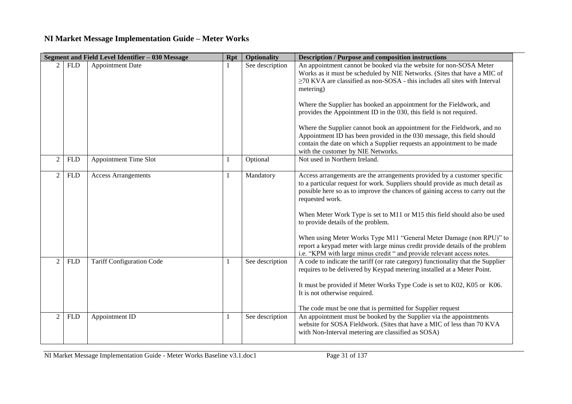|                | Segment and Field Level Identifier - 030 Message<br><b>Optionality</b><br><b>Rpt</b> |                                  |    |                 | <b>Description / Purpose and composition instructions</b>                                                                                                                                                                                                                                                                                                                                                                                                                                                                                                                                                       |
|----------------|--------------------------------------------------------------------------------------|----------------------------------|----|-----------------|-----------------------------------------------------------------------------------------------------------------------------------------------------------------------------------------------------------------------------------------------------------------------------------------------------------------------------------------------------------------------------------------------------------------------------------------------------------------------------------------------------------------------------------------------------------------------------------------------------------------|
| 2              | <b>FLD</b>                                                                           | <b>Appointment Date</b>          |    | See description | An appointment cannot be booked via the website for non-SOSA Meter<br>Works as it must be scheduled by NIE Networks. (Sites that have a MIC of<br>$\geq$ 70 KVA are classified as non-SOSA - this includes all sites with Interval<br>metering)                                                                                                                                                                                                                                                                                                                                                                 |
|                |                                                                                      |                                  |    |                 | Where the Supplier has booked an appointment for the Fieldwork, and<br>provides the Appointment ID in the 030, this field is not required.<br>Where the Supplier cannot book an appointment for the Fieldwork, and no                                                                                                                                                                                                                                                                                                                                                                                           |
|                |                                                                                      |                                  |    |                 | Appointment ID has been provided in the 030 message, this field should<br>contain the date on which a Supplier requests an appointment to be made<br>with the customer by NIE Networks.                                                                                                                                                                                                                                                                                                                                                                                                                         |
| 2              | <b>FLD</b>                                                                           | <b>Appointment Time Slot</b>     | -1 | Optional        | Not used in Northern Ireland.                                                                                                                                                                                                                                                                                                                                                                                                                                                                                                                                                                                   |
| $\overline{2}$ | <b>FLD</b>                                                                           | <b>Access Arrangements</b>       | -1 | Mandatory       | Access arrangements are the arrangements provided by a customer specific<br>to a particular request for work. Suppliers should provide as much detail as<br>possible here so as to improve the chances of gaining access to carry out the<br>requested work.<br>When Meter Work Type is set to M11 or M15 this field should also be used<br>to provide details of the problem.<br>When using Meter Works Type M11 "General Meter Damage (non RPU)" to<br>report a keypad meter with large minus credit provide details of the problem<br>i.e. "KPM with large minus credit " and provide relevant access notes. |
| 2              | <b>FLD</b>                                                                           | <b>Tariff Configuration Code</b> | -1 | See description | A code to indicate the tariff (or rate category) functionality that the Supplier<br>requires to be delivered by Keypad metering installed at a Meter Point.<br>It must be provided if Meter Works Type Code is set to K02, K05 or K06.<br>It is not otherwise required.<br>The code must be one that is permitted for Supplier request                                                                                                                                                                                                                                                                          |
| 2              | <b>FLD</b>                                                                           | Appointment ID                   | -1 | See description | An appointment must be booked by the Supplier via the appointments<br>website for SOSA Fieldwork. (Sites that have a MIC of less than 70 KVA<br>with Non-Interval metering are classified as SOSA)                                                                                                                                                                                                                                                                                                                                                                                                              |

NI Market Message Implementation Guide - Meter Works Baseline v3.1.doc1 Page 31 of 137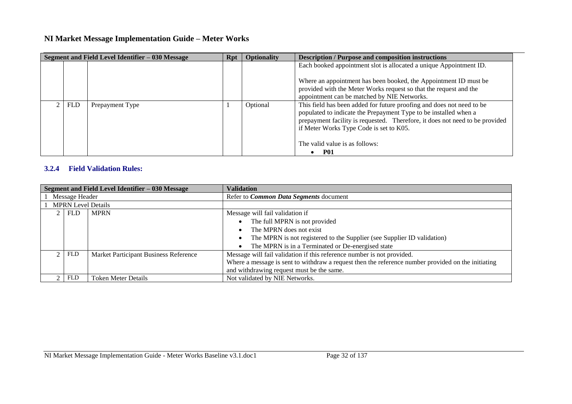| Segment and Field Level Identifier - 030 Message |            |                 | Rpt | <b>Optionality</b> | <b>Description / Purpose and composition instructions</b>                                                                                                                                                                                                            |
|--------------------------------------------------|------------|-----------------|-----|--------------------|----------------------------------------------------------------------------------------------------------------------------------------------------------------------------------------------------------------------------------------------------------------------|
|                                                  |            |                 |     |                    | Each booked appointment slot is allocated a unique Appointment ID.                                                                                                                                                                                                   |
|                                                  |            |                 |     |                    | Where an appointment has been booked, the Appointment ID must be<br>provided with the Meter Works request so that the request and the                                                                                                                                |
|                                                  |            |                 |     |                    | appointment can be matched by NIE Networks.                                                                                                                                                                                                                          |
|                                                  | <b>FLD</b> | Prepayment Type |     | Optional           | This field has been added for future proofing and does not need to be<br>populated to indicate the Prepayment Type to be installed when a<br>prepayment facility is requested. Therefore, it does not need to be provided<br>if Meter Works Type Code is set to K05. |
|                                                  |            |                 |     |                    | The valid value is as follows:<br><b>P01</b>                                                                                                                                                                                                                         |

#### **3.2.4 Field Validation Rules:**

| Segment and Field Level Identifier - 030 Message |            |                                       | <b>Validation</b>                                                                                  |  |
|--------------------------------------------------|------------|---------------------------------------|----------------------------------------------------------------------------------------------------|--|
| Message Header                                   |            |                                       | Refer to <i>Common Data Segments</i> document                                                      |  |
| <b>MPRN Level Details</b>                        |            |                                       |                                                                                                    |  |
| <b>MPRN</b><br>$2$   FLD                         |            |                                       | Message will fail validation if                                                                    |  |
|                                                  |            |                                       | The full MPRN is not provided                                                                      |  |
|                                                  |            |                                       | The MPRN does not exist                                                                            |  |
|                                                  |            |                                       | The MPRN is not registered to the Supplier (see Supplier ID validation)                            |  |
|                                                  |            |                                       | The MPRN is in a Terminated or De-energised state                                                  |  |
|                                                  | FLD        | Market Participant Business Reference | Message will fail validation if this reference number is not provided.                             |  |
|                                                  |            |                                       | Where a message is sent to withdraw a request then the reference number provided on the initiating |  |
|                                                  |            |                                       | and withdrawing request must be the same.                                                          |  |
|                                                  | <b>FLD</b> | <b>Token Meter Details</b>            | Not validated by NIE Networks.                                                                     |  |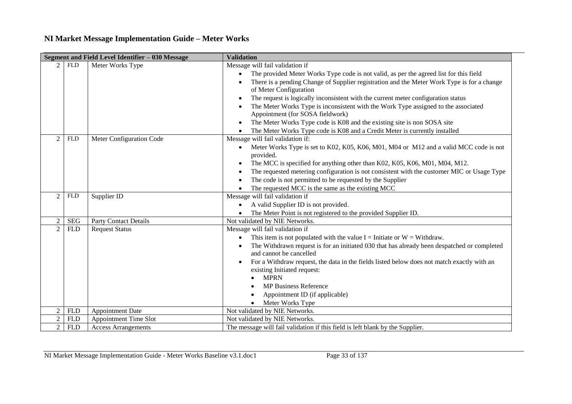| Segment and Field Level Identifier - 030 Message |            |                              | <b>Validation</b>                                                                                                                                                                                 |  |
|--------------------------------------------------|------------|------------------------------|---------------------------------------------------------------------------------------------------------------------------------------------------------------------------------------------------|--|
| $\mathfrak{D}$                                   | <b>FLD</b> | Meter Works Type             | Message will fail validation if<br>The provided Meter Works Type code is not valid, as per the agreed list for this field<br>$\bullet$                                                            |  |
|                                                  |            |                              | There is a pending Change of Supplier registration and the Meter Work Type is for a change<br>of Meter Configuration                                                                              |  |
|                                                  |            |                              | The request is logically inconsistent with the current meter configuration status<br>$\bullet$<br>The Meter Works Type is inconsistent with the Work Type assigned to the associated<br>$\bullet$ |  |
|                                                  |            |                              | Appointment (for SOSA fieldwork)                                                                                                                                                                  |  |
|                                                  |            |                              | The Meter Works Type code is K08 and the existing site is non SOSA site                                                                                                                           |  |
|                                                  |            |                              | The Meter Works Type code is K08 and a Credit Meter is currently installed                                                                                                                        |  |
| $\mathfrak{D}$                                   | <b>FLD</b> | Meter Configuration Code     | Message will fail validation if:                                                                                                                                                                  |  |
|                                                  |            |                              | Meter Works Type is set to K02, K05, K06, M01, M04 or M12 and a valid MCC code is not<br>$\bullet$<br>provided.                                                                                   |  |
|                                                  |            |                              | The MCC is specified for anything other than K02, K05, K06, M01, M04, M12.<br>$\bullet$                                                                                                           |  |
|                                                  |            |                              | The requested metering configuration is not consistent with the customer MIC or Usage Type                                                                                                        |  |
|                                                  |            |                              | The code is not permitted to be requested by the Supplier<br>٠                                                                                                                                    |  |
|                                                  |            |                              | The requested MCC is the same as the existing MCC                                                                                                                                                 |  |
| $\overline{2}$                                   | <b>FLD</b> | Supplier ID                  | Message will fail validation if                                                                                                                                                                   |  |
|                                                  |            |                              | A valid Supplier ID is not provided.<br>$\bullet$                                                                                                                                                 |  |
|                                                  |            |                              | The Meter Point is not registered to the provided Supplier ID.                                                                                                                                    |  |
| $\overline{2}$                                   | <b>SEG</b> | <b>Party Contact Details</b> | Not validated by NIE Networks.                                                                                                                                                                    |  |
| $\overline{2}$                                   | <b>FLD</b> | <b>Request Status</b>        | Message will fail validation if                                                                                                                                                                   |  |
|                                                  |            |                              | This item is not populated with the value $I =$ Initiate or $W =$ Withdraw.<br>$\bullet$                                                                                                          |  |
|                                                  |            |                              | The Withdrawn request is for an initiated 030 that has already been despatched or completed<br>and cannot be cancelled                                                                            |  |
|                                                  |            |                              | For a Withdraw request, the data in the fields listed below does not match exactly with an<br>$\bullet$<br>existing Initiated request:                                                            |  |
|                                                  |            |                              | <b>MPRN</b>                                                                                                                                                                                       |  |
|                                                  |            |                              | <b>MP Business Reference</b>                                                                                                                                                                      |  |
|                                                  |            |                              | Appointment ID (if applicable)                                                                                                                                                                    |  |
|                                                  |            |                              | Meter Works Type                                                                                                                                                                                  |  |
|                                                  | <b>FLD</b> | <b>Appointment Date</b>      | Not validated by NIE Networks.                                                                                                                                                                    |  |
|                                                  | <b>FLD</b> | <b>Appointment Time Slot</b> | Not validated by NIE Networks.                                                                                                                                                                    |  |
| $\overline{2}$                                   | <b>FLD</b> | <b>Access Arrangements</b>   | The message will fail validation if this field is left blank by the Supplier.                                                                                                                     |  |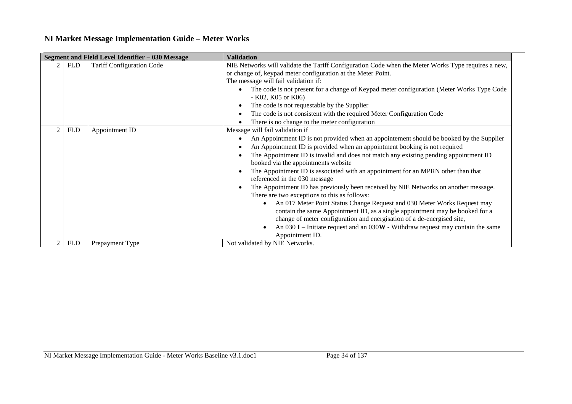| Segment and Field Level Identifier - 030 Message |            |                                  | <b>Validation</b>                                                                                                                                                                                                                                                                                                                                                                                                                                                                                                                                                                                                                                                                                                                                                                                                                                                                                                                                             |
|--------------------------------------------------|------------|----------------------------------|---------------------------------------------------------------------------------------------------------------------------------------------------------------------------------------------------------------------------------------------------------------------------------------------------------------------------------------------------------------------------------------------------------------------------------------------------------------------------------------------------------------------------------------------------------------------------------------------------------------------------------------------------------------------------------------------------------------------------------------------------------------------------------------------------------------------------------------------------------------------------------------------------------------------------------------------------------------|
|                                                  | <b>FLD</b> | <b>Tariff Configuration Code</b> | NIE Networks will validate the Tariff Configuration Code when the Meter Works Type requires a new,<br>or change of, keypad meter configuration at the Meter Point.<br>The message will fail validation if:<br>The code is not present for a change of Keypad meter configuration (Meter Works Type Code<br>- K02, K05 or K06)<br>The code is not requestable by the Supplier<br>$\bullet$<br>The code is not consistent with the required Meter Configuration Code<br>There is no change to the meter configuration                                                                                                                                                                                                                                                                                                                                                                                                                                           |
|                                                  | <b>FLD</b> | Appointment ID                   | Message will fail validation if<br>An Appointment ID is not provided when an appointement should be booked by the Supplier<br>An Appointment ID is provided when an appointment booking is not required<br>The Appointment ID is invalid and does not match any existing pending appointment ID<br>booked via the appointments website<br>The Appointment ID is associated with an appointment for an MPRN other than that<br>referenced in the 030 message<br>The Appointment ID has previously been received by NIE Networks on another message.<br>There are two exceptions to this as follows:<br>An 017 Meter Point Status Change Request and 030 Meter Works Request may<br>$\bullet$<br>contain the same Appointment ID, as a single appointment may be booked for a<br>change of meter configuration and energisation of a de-energised site,<br>An 030 $I$ – Initiate request and an 030W - Withdraw request may contain the same<br>Appointment ID. |
|                                                  | <b>FLD</b> | Prepayment Type                  | Not validated by NIE Networks.                                                                                                                                                                                                                                                                                                                                                                                                                                                                                                                                                                                                                                                                                                                                                                                                                                                                                                                                |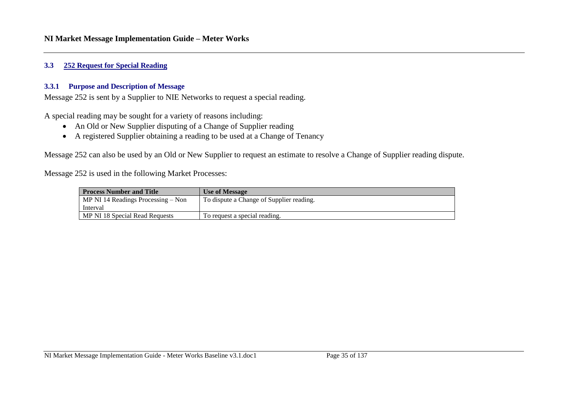#### <span id="page-34-0"></span>**3.3 252 Request for Special Reading**

#### **3.3.1 Purpose and Description of Message**

Message 252 is sent by a Supplier to NIE Networks to request a special reading.

A special reading may be sought for a variety of reasons including:

- An Old or New Supplier disputing of a Change of Supplier reading
- A registered Supplier obtaining a reading to be used at a Change of Tenancy

Message 252 can also be used by an Old or New Supplier to request an estimate to resolve a Change of Supplier reading dispute.

Message 252 is used in the following Market Processes:

| <b>Process Number and Title</b>      | <b>Use of Message</b>                    |  |
|--------------------------------------|------------------------------------------|--|
| MP NI 14 Readings Processing $-$ Non | To dispute a Change of Supplier reading. |  |
| Interval                             |                                          |  |
| MP NI 18 Special Read Requests       | To request a special reading.            |  |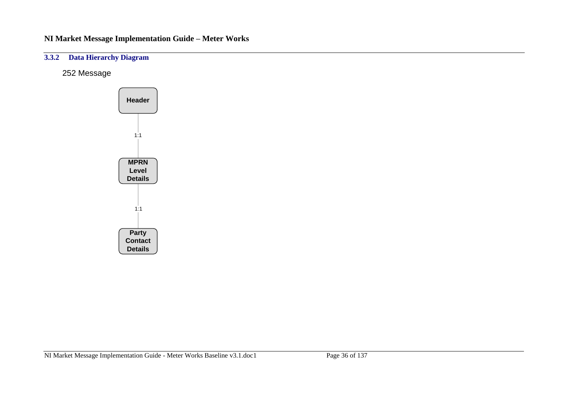### **3.3.2 Data Hierarchy Diagram**

252 Message

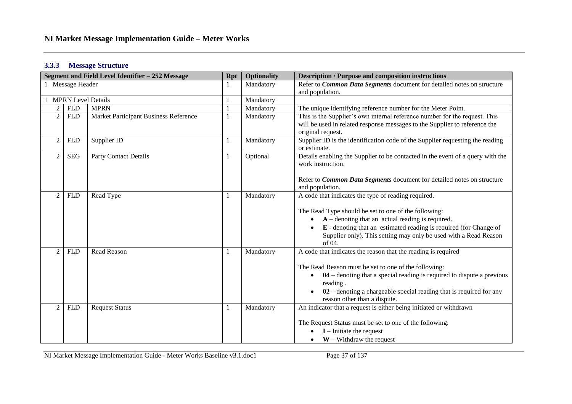#### **3.3.3 Message Structure**

|                | 1 Message Header<br><b>FLD</b> |                                        |   | Mandatory | Refer to <i>Common Data Segments</i> document for detailed notes on structure                                                                                                                                                                                                                                           |
|----------------|--------------------------------|----------------------------------------|---|-----------|-------------------------------------------------------------------------------------------------------------------------------------------------------------------------------------------------------------------------------------------------------------------------------------------------------------------------|
|                |                                |                                        |   |           | and population.                                                                                                                                                                                                                                                                                                         |
|                |                                | <b>MPRN Level Details</b><br>Mandatory |   |           |                                                                                                                                                                                                                                                                                                                         |
| $\overline{2}$ |                                | <b>MPRN</b>                            |   | Mandatory | The unique identifying reference number for the Meter Point.                                                                                                                                                                                                                                                            |
| $\overline{2}$ | <b>FLD</b>                     | Market Participant Business Reference  |   | Mandatory | This is the Supplier's own internal reference number for the request. This<br>will be used in related response messages to the Supplier to reference the<br>original request.                                                                                                                                           |
| $\overline{2}$ | <b>FLD</b>                     | Supplier ID                            |   | Mandatory | Supplier ID is the identification code of the Supplier requesting the reading<br>or estimate.                                                                                                                                                                                                                           |
| $\overline{2}$ | <b>SEG</b>                     | <b>Party Contact Details</b>           |   | Optional  | Details enabling the Supplier to be contacted in the event of a query with the<br>work instruction.<br>Refer to Common Data Segments document for detailed notes on structure                                                                                                                                           |
|                |                                |                                        |   |           | and population.                                                                                                                                                                                                                                                                                                         |
| $\mathfrak{D}$ | <b>FLD</b>                     | Read Type                              | 1 | Mandatory | A code that indicates the type of reading required.<br>The Read Type should be set to one of the following:<br>$A$ – denoting that an actual reading is required.<br>E - denoting that an estimated reading is required (for Change of<br>Supplier only). This setting may only be used with a Read Reason<br>of $04$ . |
| 2              | <b>FLD</b>                     | <b>Read Reason</b>                     | 1 | Mandatory | A code that indicates the reason that the reading is required<br>The Read Reason must be set to one of the following:<br>$04$ – denoting that a special reading is required to dispute a previous<br>reading.<br>$02$ – denoting a chargeable special reading that is required for any<br>reason other than a dispute.  |
| $\mathcal{D}$  | <b>FLD</b>                     | <b>Request Status</b>                  |   | Mandatory | An indicator that a request is either being initiated or withdrawn<br>The Request Status must be set to one of the following:<br>$I$ – Initiate the request<br>$W -$ Withdraw the request                                                                                                                               |

NI Market Message Implementation Guide - Meter Works Baseline v3.1.doc1 Page 37 of 137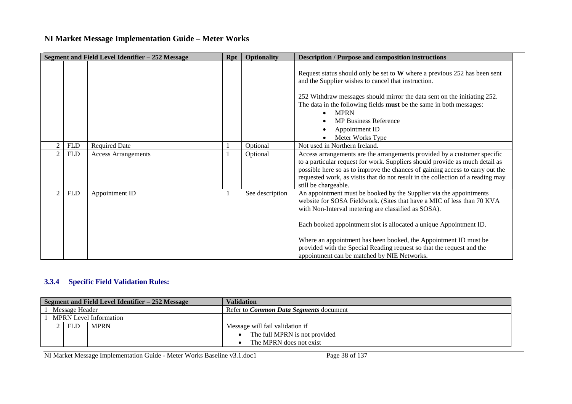|                |            | Segment and Field Level Identifier - 252 Message | <b>Rpt</b> | <b>Optionality</b> | <b>Description / Purpose and composition instructions</b>                                                                                                                                                                                                                                                                                                                                                                                                             |
|----------------|------------|--------------------------------------------------|------------|--------------------|-----------------------------------------------------------------------------------------------------------------------------------------------------------------------------------------------------------------------------------------------------------------------------------------------------------------------------------------------------------------------------------------------------------------------------------------------------------------------|
|                |            |                                                  |            |                    | Request status should only be set to $W$ where a previous 252 has been sent<br>and the Supplier wishes to cancel that instruction.<br>252 Withdraw messages should mirror the data sent on the initiating 252.<br>The data in the following fields must be the same in both messages:<br><b>MPRN</b><br><b>MP Business Reference</b><br>Appointment ID<br>Meter Works Type                                                                                            |
| $\mathcal{D}$  | <b>FLD</b> | <b>Required Date</b>                             |            | Optional           | Not used in Northern Ireland.                                                                                                                                                                                                                                                                                                                                                                                                                                         |
| $\mathcal{D}$  | <b>FLD</b> | <b>Access Arrangements</b>                       |            | Optional           | Access arrangements are the arrangements provided by a customer specific<br>to a particular request for work. Suppliers should provide as much detail as<br>possible here so as to improve the chances of gaining access to carry out the<br>requested work, as visits that do not result in the collection of a reading may<br>still be chargeable.                                                                                                                  |
| $\overline{2}$ | <b>FLD</b> | Appointment ID                                   |            | See description    | An appointment must be booked by the Supplier via the appointments<br>website for SOSA Fieldwork. (Sites that have a MIC of less than 70 KVA<br>with Non-Interval metering are classified as SOSA).<br>Each booked appointment slot is allocated a unique Appointment ID.<br>Where an appointment has been booked, the Appointment ID must be<br>provided with the Special Reading request so that the request and the<br>appointment can be matched by NIE Networks. |

## **3.3.4 Specific Field Validation Rules:**

| Segment and Field Level Identifier – 252 Message |            |                               | <b>Validation</b>                             |  |  |  |  |
|--------------------------------------------------|------------|-------------------------------|-----------------------------------------------|--|--|--|--|
| Message Header                                   |            |                               | Refer to <i>Common Data Segments</i> document |  |  |  |  |
|                                                  |            | <b>MPRN</b> Level Information |                                               |  |  |  |  |
|                                                  | <b>FLD</b> | <b>MPRN</b>                   | Message will fail validation if               |  |  |  |  |
|                                                  |            |                               | The full MPRN is not provided                 |  |  |  |  |
|                                                  |            |                               | The MPRN does not exist                       |  |  |  |  |

NI Market Message Implementation Guide - Meter Works Baseline v3.1.doc1 Page 38 of 137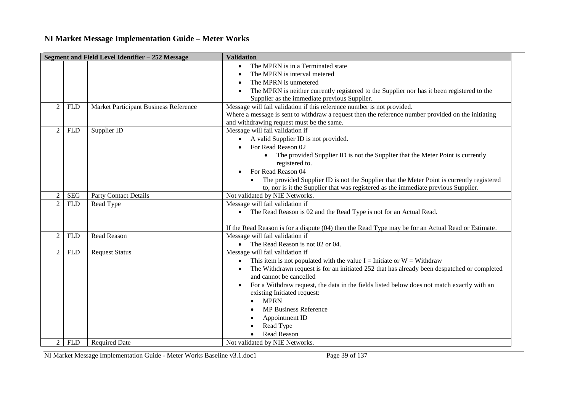|                |            | Segment and Field Level Identifier - 252 Message | <b>Validation</b>                                                                                                                                                                                                         |
|----------------|------------|--------------------------------------------------|---------------------------------------------------------------------------------------------------------------------------------------------------------------------------------------------------------------------------|
|                |            |                                                  | The MPRN is in a Terminated state<br>$\bullet$<br>The MPRN is interval metered                                                                                                                                            |
|                |            |                                                  | The MPRN is unmetered<br>$\bullet$<br>The MPRN is neither currently registered to the Supplier nor has it been registered to the                                                                                          |
|                |            |                                                  | Supplier as the immediate previous Supplier.                                                                                                                                                                              |
| 2              | <b>FLD</b> | Market Participant Business Reference            | Message will fail validation if this reference number is not provided.<br>Where a message is sent to withdraw a request then the reference number provided on the initiating<br>and withdrawing request must be the same. |
| $\overline{2}$ | <b>FLD</b> | Supplier ID                                      | Message will fail validation if                                                                                                                                                                                           |
|                |            |                                                  | A valid Supplier ID is not provided.<br>$\bullet$                                                                                                                                                                         |
|                |            |                                                  | For Read Reason 02                                                                                                                                                                                                        |
|                |            |                                                  | The provided Supplier ID is not the Supplier that the Meter Point is currently<br>$\bullet$                                                                                                                               |
|                |            |                                                  | registered to.                                                                                                                                                                                                            |
|                |            |                                                  | For Read Reason 04                                                                                                                                                                                                        |
|                |            |                                                  | The provided Supplier ID is not the Supplier that the Meter Point is currently registered                                                                                                                                 |
|                |            |                                                  | to, nor is it the Supplier that was registered as the immediate previous Supplier.                                                                                                                                        |
| $\overline{2}$ | <b>SEG</b> | <b>Party Contact Details</b>                     | Not validated by NIE Networks.                                                                                                                                                                                            |
| $\overline{2}$ | <b>FLD</b> | Read Type                                        | Message will fail validation if                                                                                                                                                                                           |
|                |            |                                                  | The Read Reason is 02 and the Read Type is not for an Actual Read.<br>$\bullet$                                                                                                                                           |
|                |            |                                                  | If the Read Reason is for a dispute (04) then the Read Type may be for an Actual Read or Estimate.                                                                                                                        |
| $\overline{2}$ | <b>FLD</b> | <b>Read Reason</b>                               | Message will fail validation if                                                                                                                                                                                           |
|                |            |                                                  | • The Read Reason is not 02 or 04.                                                                                                                                                                                        |
| $\overline{2}$ | <b>FLD</b> | <b>Request Status</b>                            | Message will fail validation if                                                                                                                                                                                           |
|                |            |                                                  | This item is not populated with the value $I =$ Initiate or $W =$ Withdraw<br>$\bullet$                                                                                                                                   |
|                |            |                                                  | The Withdrawn request is for an initiated 252 that has already been despatched or completed                                                                                                                               |
|                |            |                                                  | and cannot be cancelled                                                                                                                                                                                                   |
|                |            |                                                  | For a Withdraw request, the data in the fields listed below does not match exactly with an                                                                                                                                |
|                |            |                                                  | existing Initiated request:<br><b>MPRN</b>                                                                                                                                                                                |
|                |            |                                                  | <b>MP Business Reference</b>                                                                                                                                                                                              |
|                |            |                                                  | Appointment ID                                                                                                                                                                                                            |
|                |            |                                                  | Read Type                                                                                                                                                                                                                 |
|                |            |                                                  | Read Reason                                                                                                                                                                                                               |
| 2              | <b>FLD</b> | <b>Required Date</b>                             | Not validated by NIE Networks.                                                                                                                                                                                            |

NI Market Message Implementation Guide - Meter Works Baseline v3.1.doc1 Page 39 of 137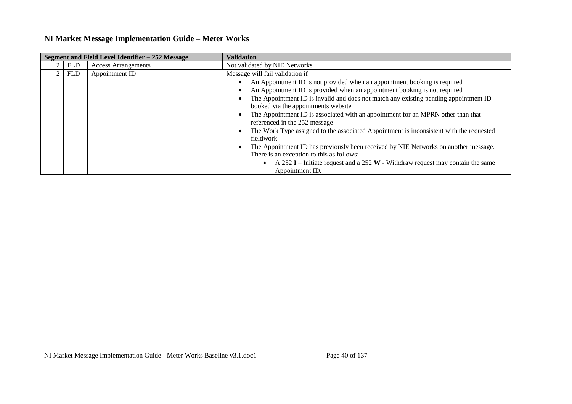|                |            | Segment and Field Level Identifier - 252 Message | <b>Validation</b>                                                                           |  |  |  |
|----------------|------------|--------------------------------------------------|---------------------------------------------------------------------------------------------|--|--|--|
| $\overline{2}$ | <b>FLD</b> | <b>Access Arrangements</b>                       | Not validated by NIE Networks                                                               |  |  |  |
| 2 <sub>1</sub> | FLD        | Appointment ID                                   | Message will fail validation if                                                             |  |  |  |
|                |            |                                                  | An Appointment ID is not provided when an appointment booking is required<br>$\bullet$      |  |  |  |
|                |            |                                                  | An Appointment ID is provided when an appointment booking is not required                   |  |  |  |
|                |            |                                                  | The Appointment ID is invalid and does not match any existing pending appointment ID        |  |  |  |
|                |            |                                                  | booked via the appointments website                                                         |  |  |  |
|                |            |                                                  | The Appointment ID is associated with an appointment for an MPRN other than that            |  |  |  |
|                |            |                                                  | referenced in the 252 message                                                               |  |  |  |
|                |            |                                                  | The Work Type assigned to the associated Appointment is inconsistent with the requested     |  |  |  |
|                |            |                                                  | fieldwork                                                                                   |  |  |  |
|                |            |                                                  | The Appointment ID has previously been received by NIE Networks on another message.         |  |  |  |
|                |            |                                                  | There is an exception to this as follows:                                                   |  |  |  |
|                |            |                                                  | A 252 I – Initiate request and a 252 W - Withdraw request may contain the same<br>$\bullet$ |  |  |  |
|                |            |                                                  | Appointment ID.                                                                             |  |  |  |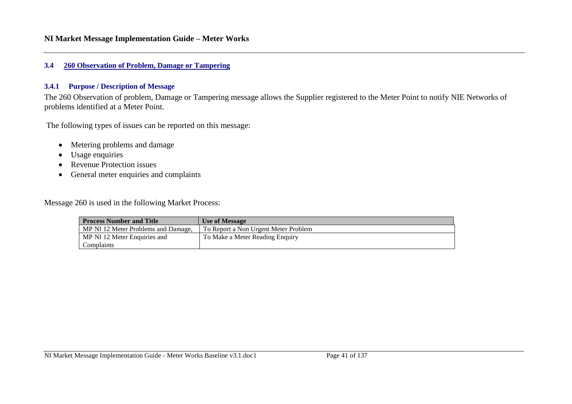#### **3.4 260 Observation of Problem, Damage or Tampering**

### **3.4.1 Purpose / Description of Message**

The 260 Observation of problem, Damage or Tampering message allows the Supplier registered to the Meter Point to notify NIE Networks of problems identified at a Meter Point.

The following types of issues can be reported on this message:

- Metering problems and damage
- Usage enquiries
- Revenue Protection issues
- General meter enquiries and complaints

Message 260 is used in the following Market Process:

| <b>Process Number and Title</b>     | <b>Use of Message</b>                |
|-------------------------------------|--------------------------------------|
| MP NI 12 Meter Problems and Damage, | To Report a Non Urgent Meter Problem |
| MP NI 12 Meter Enquiries and        | To Make a Meter Reading Enquiry      |
| Complaints                          |                                      |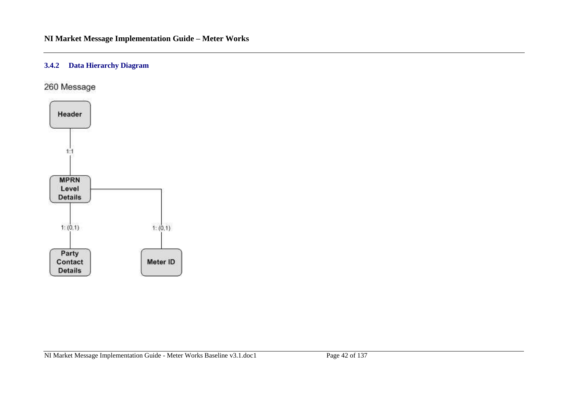# **3.4.2 Data Hierarchy Diagram**

260 Message

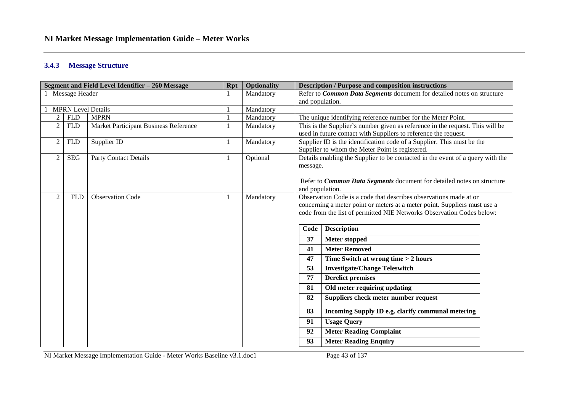#### **3.4.3 Message Structure**

| Segment and Field Level Identifier - 260 Message |                  |                                       | <b>Rpt</b> | <b>Optionality</b> |                                                                                                                                                                                                | <b>Description / Purpose and composition instructions</b>                                                                                                                                                                                     |  |
|--------------------------------------------------|------------------|---------------------------------------|------------|--------------------|------------------------------------------------------------------------------------------------------------------------------------------------------------------------------------------------|-----------------------------------------------------------------------------------------------------------------------------------------------------------------------------------------------------------------------------------------------|--|
|                                                  | 1 Message Header |                                       |            | Mandatory          |                                                                                                                                                                                                | Refer to Common Data Segments document for detailed notes on structure                                                                                                                                                                        |  |
|                                                  |                  |                                       |            |                    | and population.                                                                                                                                                                                |                                                                                                                                                                                                                                               |  |
| <b>MPRN Level Details</b><br>Mandatory           |                  |                                       |            |                    |                                                                                                                                                                                                |                                                                                                                                                                                                                                               |  |
| 2                                                | <b>FLD</b>       | <b>MPRN</b>                           |            | Mandatory          | The unique identifying reference number for the Meter Point.                                                                                                                                   |                                                                                                                                                                                                                                               |  |
| $\overline{2}$                                   | <b>FLD</b>       | Market Participant Business Reference |            | Mandatory          |                                                                                                                                                                                                | This is the Supplier's number given as reference in the request. This will be<br>used in future contact with Suppliers to reference the request.                                                                                              |  |
| $\overline{c}$                                   | <b>FLD</b>       | Supplier ID                           |            | Mandatory          |                                                                                                                                                                                                | Supplier ID is the identification code of a Supplier. This must be the<br>Supplier to whom the Meter Point is registered.                                                                                                                     |  |
| $\overline{c}$                                   | <b>SEG</b>       | <b>Party Contact Details</b>          |            | Optional           | Details enabling the Supplier to be contacted in the event of a query with the<br>message.<br>Refer to <i>Common Data Segments</i> document for detailed notes on structure<br>and population. |                                                                                                                                                                                                                                               |  |
| $\overline{2}$                                   | <b>FLD</b>       | <b>Observation Code</b>               |            | Mandatory          | Code                                                                                                                                                                                           | Observation Code is a code that describes observations made at or<br>concerning a meter point or meters at a meter point. Suppliers must use a<br>code from the list of permitted NIE Networks Observation Codes below:<br><b>Description</b> |  |
|                                                  |                  |                                       |            |                    | 37                                                                                                                                                                                             | <b>Meter stopped</b>                                                                                                                                                                                                                          |  |
|                                                  |                  |                                       |            |                    | 41                                                                                                                                                                                             | <b>Meter Removed</b>                                                                                                                                                                                                                          |  |
|                                                  |                  |                                       |            |                    | 47                                                                                                                                                                                             | Time Switch at wrong time > 2 hours                                                                                                                                                                                                           |  |
|                                                  |                  |                                       |            |                    | 53                                                                                                                                                                                             | <b>Investigate/Change Teleswitch</b>                                                                                                                                                                                                          |  |
|                                                  |                  |                                       |            |                    | 77                                                                                                                                                                                             | <b>Derelict premises</b>                                                                                                                                                                                                                      |  |
|                                                  |                  |                                       |            |                    | 81                                                                                                                                                                                             | Old meter requiring updating                                                                                                                                                                                                                  |  |
|                                                  |                  |                                       |            |                    | 82                                                                                                                                                                                             | Suppliers check meter number request                                                                                                                                                                                                          |  |
|                                                  |                  |                                       |            |                    | 83                                                                                                                                                                                             | Incoming Supply ID e.g. clarify communal metering                                                                                                                                                                                             |  |
|                                                  |                  |                                       |            |                    | 91                                                                                                                                                                                             | <b>Usage Query</b>                                                                                                                                                                                                                            |  |
|                                                  |                  |                                       |            |                    | 92                                                                                                                                                                                             | <b>Meter Reading Complaint</b>                                                                                                                                                                                                                |  |
|                                                  |                  |                                       |            |                    | 93                                                                                                                                                                                             | <b>Meter Reading Enquiry</b>                                                                                                                                                                                                                  |  |

NI Market Message Implementation Guide - Meter Works Baseline v3.1.doc1 Page 43 of 137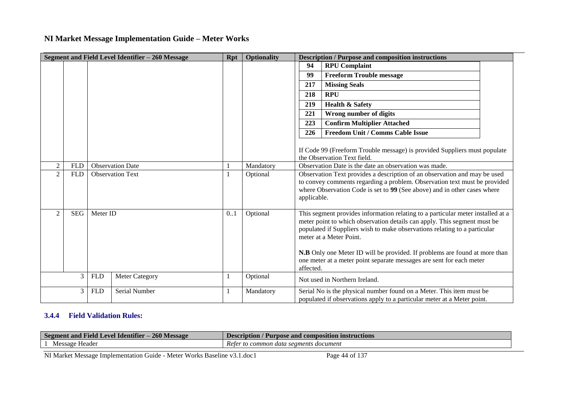|                             |            |            | Segment and Field Level Identifier – 260 Message | Rpt | <b>Optionality</b> |                                                                                                                                                                                                                                                                                                                                                                                                                                        | <b>Description / Purpose and composition instructions</b>                                                                                       |
|-----------------------------|------------|------------|--------------------------------------------------|-----|--------------------|----------------------------------------------------------------------------------------------------------------------------------------------------------------------------------------------------------------------------------------------------------------------------------------------------------------------------------------------------------------------------------------------------------------------------------------|-------------------------------------------------------------------------------------------------------------------------------------------------|
|                             |            |            |                                                  |     |                    | 94                                                                                                                                                                                                                                                                                                                                                                                                                                     | <b>RPU Complaint</b>                                                                                                                            |
|                             |            |            |                                                  |     |                    | 99                                                                                                                                                                                                                                                                                                                                                                                                                                     | <b>Freeform Trouble message</b>                                                                                                                 |
|                             |            |            |                                                  |     |                    | 217                                                                                                                                                                                                                                                                                                                                                                                                                                    | <b>Missing Seals</b>                                                                                                                            |
|                             |            |            |                                                  |     |                    | 218                                                                                                                                                                                                                                                                                                                                                                                                                                    | <b>RPU</b>                                                                                                                                      |
|                             |            |            |                                                  |     |                    | 219                                                                                                                                                                                                                                                                                                                                                                                                                                    | <b>Health &amp; Safety</b>                                                                                                                      |
|                             |            |            |                                                  |     |                    | 221                                                                                                                                                                                                                                                                                                                                                                                                                                    | Wrong number of digits                                                                                                                          |
|                             |            |            |                                                  |     |                    | 223                                                                                                                                                                                                                                                                                                                                                                                                                                    | <b>Confirm Multiplier Attached</b>                                                                                                              |
|                             |            |            |                                                  |     |                    | 226                                                                                                                                                                                                                                                                                                                                                                                                                                    | <b>Freedom Unit / Comms Cable Issue</b>                                                                                                         |
|                             |            |            |                                                  |     |                    |                                                                                                                                                                                                                                                                                                                                                                                                                                        | If Code 99 (Freeform Trouble message) is provided Suppliers must populate<br>the Observation Text field.                                        |
| $\mathcal{D}_{\mathcal{L}}$ | <b>FLD</b> |            | <b>Observation Date</b>                          |     | Mandatory          |                                                                                                                                                                                                                                                                                                                                                                                                                                        | Observation Date is the date an observation was made.                                                                                           |
| $\overline{c}$              | <b>FLD</b> |            | <b>Observation Text</b>                          |     | Optional           | Observation Text provides a description of an observation and may be used<br>to convey comments regarding a problem. Observation text must be provided<br>where Observation Code is set to 99 (See above) and in other cases where<br>applicable.                                                                                                                                                                                      |                                                                                                                                                 |
| $\overline{2}$              | <b>SEG</b> | Meter ID   |                                                  | 0.1 | Optional           | This segment provides information relating to a particular meter installed at a<br>meter point to which observation details can apply. This segment must be<br>populated if Suppliers wish to make observations relating to a particular<br>meter at a Meter Point.<br>N.B Only one Meter ID will be provided. If problems are found at more than<br>one meter at a meter point separate messages are sent for each meter<br>affected. |                                                                                                                                                 |
|                             | 3          | <b>FLD</b> | Meter Category                                   |     | Optional           |                                                                                                                                                                                                                                                                                                                                                                                                                                        | Not used in Northern Ireland.                                                                                                                   |
|                             | 3          | <b>FLD</b> | Serial Number                                    |     | Mandatory          |                                                                                                                                                                                                                                                                                                                                                                                                                                        | Serial No is the physical number found on a Meter. This item must be<br>populated if observations apply to a particular meter at a Meter point. |

## **3.4.4 Field Validation Rules:**

| $-260$ M<br>$\cdot \cdot$<br>- Field<br>. Identifier<br>and<br>$\boldsymbol{\Delta}$<br>Message<br>Segment | .<br>Description<br>ruction:<br>e and composition instr<br>mose:              |  |
|------------------------------------------------------------------------------------------------------------|-------------------------------------------------------------------------------|--|
| Header<br>Message                                                                                          | $\sqrt{ }$<br><i><b>Reter</b></i><br>s document<br>common<br>segments<br>data |  |

NI Market Message Implementation Guide - Meter Works Baseline v3.1.doc1 Page 44 of 137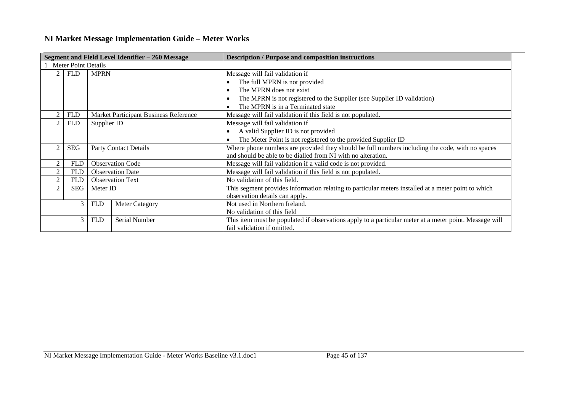|                |                                                               |             | Segment and Field Level Identifier - 260 Message | <b>Description / Purpose and composition instructions</b>                                              |  |  |  |
|----------------|---------------------------------------------------------------|-------------|--------------------------------------------------|--------------------------------------------------------------------------------------------------------|--|--|--|
|                | <b>Meter Point Details</b>                                    |             |                                                  |                                                                                                        |  |  |  |
| $\mathfrak{D}$ | <b>FLD</b>                                                    | <b>MPRN</b> |                                                  | Message will fail validation if                                                                        |  |  |  |
|                |                                                               |             |                                                  | The full MPRN is not provided                                                                          |  |  |  |
|                |                                                               |             |                                                  | The MPRN does not exist                                                                                |  |  |  |
|                |                                                               |             |                                                  | The MPRN is not registered to the Supplier (see Supplier ID validation)                                |  |  |  |
|                |                                                               |             |                                                  | The MPRN is in a Terminated state                                                                      |  |  |  |
|                | <b>FLD</b>                                                    |             | Market Participant Business Reference            | Message will fail validation if this field is not populated.                                           |  |  |  |
|                | <b>FLD</b>                                                    | Supplier ID |                                                  | Message will fail validation if                                                                        |  |  |  |
|                |                                                               |             |                                                  | A valid Supplier ID is not provided                                                                    |  |  |  |
|                | The Meter Point is not registered to the provided Supplier ID |             |                                                  |                                                                                                        |  |  |  |
|                | <b>SEG</b><br>Party Contact Details                           |             |                                                  | Where phone numbers are provided they should be full numbers including the code, with no spaces        |  |  |  |
|                |                                                               |             |                                                  | and should be able to be dialled from NI with no alteration.                                           |  |  |  |
|                | <b>FLD</b>                                                    |             | <b>Observation Code</b>                          | Message will fail validation if a valid code is not provided.                                          |  |  |  |
|                | <b>FLD</b>                                                    |             | <b>Observation Date</b>                          | Message will fail validation if this field is not populated.                                           |  |  |  |
|                | <b>FLD</b>                                                    |             | <b>Observation Text</b>                          | No validation of this field.                                                                           |  |  |  |
|                | <b>SEG</b>                                                    | Meter ID    |                                                  | This segment provides information relating to particular meters installed at a meter point to which    |  |  |  |
|                |                                                               |             |                                                  | observation details can apply.                                                                         |  |  |  |
|                | 3                                                             | <b>FLD</b>  | <b>Meter Category</b>                            | Not used in Northern Ireland.                                                                          |  |  |  |
|                |                                                               |             |                                                  | No validation of this field                                                                            |  |  |  |
|                | 3                                                             | <b>FLD</b>  | Serial Number                                    | This item must be populated if observations apply to a particular meter at a meter point. Message will |  |  |  |
|                |                                                               |             |                                                  | fail validation if omitted.                                                                            |  |  |  |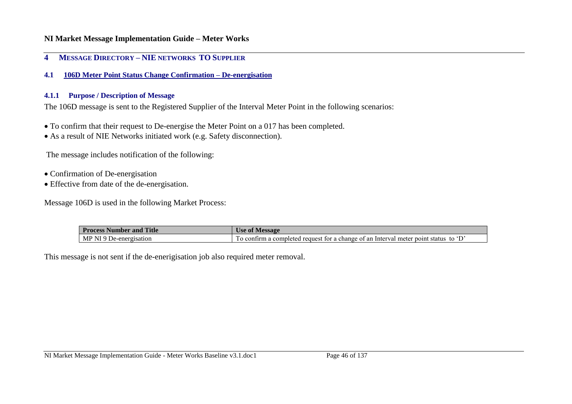### **4 MESSAGE DIRECTORY – NIE NETWORKS TO SUPPLIER**

**4.1 106D Meter Point Status Change Confirmation – De-energisation**

#### **4.1.1 Purpose / Description of Message**

The 106D message is sent to the Registered Supplier of the Interval Meter Point in the following scenarios:

- To confirm that their request to De-energise the Meter Point on a 017 has been completed.
- As a result of NIE Networks initiated work (e.g. Safety disconnection).

The message includes notification of the following:

- Confirmation of De-energisation
- Effective from date of the de-energisation.

Message 106D is used in the following Market Process:

| <b>Process</b> I<br><b>Title</b><br>Number<br>and | <b>Message</b><br>Use of                                                                                       |
|---------------------------------------------------|----------------------------------------------------------------------------------------------------------------|
| MP<br>NL.<br>De-energisation<br>. u               | to<br>. Interval<br>: ot an<br>status<br>change<br>meter point<br>reguest<br>tor a<br>o confirm<br>. completed |

This message is not sent if the de-enerigisation job also required meter removal.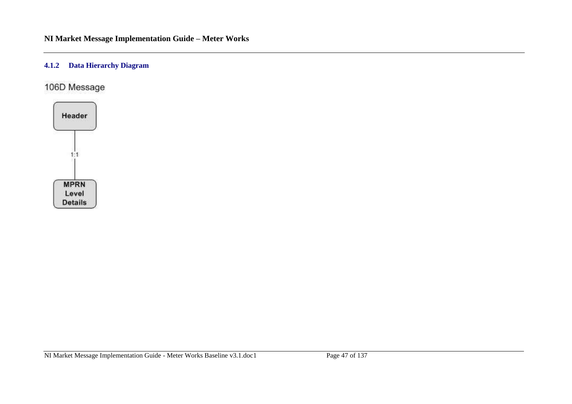## **4.1.2 Data Hierarchy Diagram**

106D Message

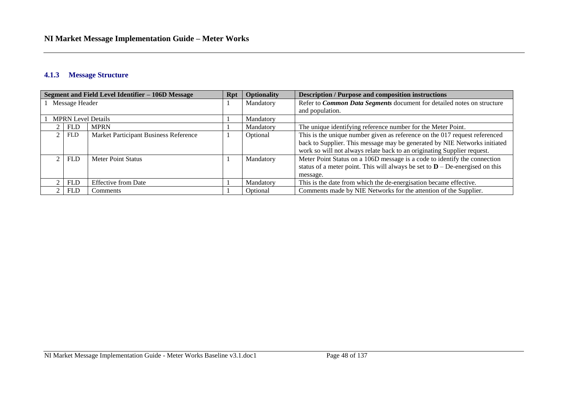## **4.1.3 Message Structure**

| Segment and Field Level Identifier - 106D Message |            |                                       |  | <b>Optionality</b> | <b>Description / Purpose and composition instructions</b>                       |
|---------------------------------------------------|------------|---------------------------------------|--|--------------------|---------------------------------------------------------------------------------|
| Message Header                                    |            |                                       |  | Mandatory          | Refer to Common Data Segments document for detailed notes on structure          |
|                                                   |            |                                       |  |                    | and population.                                                                 |
|                                                   |            | <b>MPRN</b> Level Details             |  | Mandatory          |                                                                                 |
|                                                   | <b>FLD</b> | <b>MPRN</b>                           |  | Mandatory          | The unique identifying reference number for the Meter Point.                    |
|                                                   | <b>FLD</b> | Market Participant Business Reference |  | Optional           | This is the unique number given as reference on the 017 request referenced      |
|                                                   |            |                                       |  |                    | back to Supplier. This message may be generated by NIE Networks initiated       |
|                                                   |            |                                       |  |                    | work so will not always relate back to an originating Supplier request.         |
|                                                   | <b>FLD</b> | <b>Meter Point Status</b>             |  | Mandatory          | Meter Point Status on a 106D message is a code to identify the connection       |
|                                                   |            |                                       |  |                    | status of a meter point. This will always be set to $D - D$ e-energised on this |
|                                                   |            |                                       |  |                    | message.                                                                        |
|                                                   | <b>FLD</b> | <b>Effective from Date</b>            |  | Mandatory          | This is the date from which the de-energisation became effective.               |
|                                                   | <b>FLD</b> | Comments                              |  | Optional           | Comments made by NIE Networks for the attention of the Supplier.                |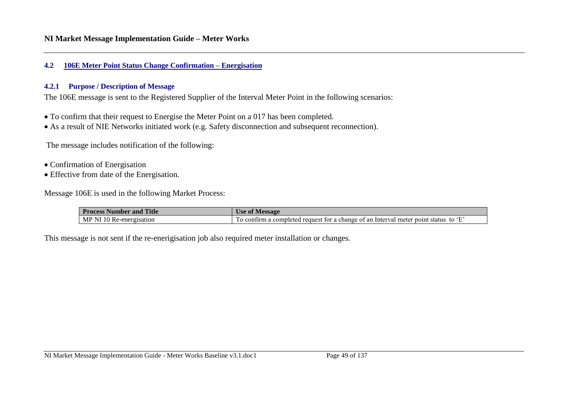#### **4.2 106E Meter Point Status Change Confirmation – Energisation**

#### **4.2.1 Purpose / Description of Message**

The 106E message is sent to the Registered Supplier of the Interval Meter Point in the following scenarios:

- To confirm that their request to Energise the Meter Point on a 017 has been completed.
- As a result of NIE Networks initiated work (e.g. Safety disconnection and subsequent reconnection).

The message includes notification of the following:

- Confirmation of Energisation
- Effective from date of the Energisation.

Message 106E is used in the following Market Process:

| <b>Title</b><br><b>Process Number and</b> | <b>Message</b><br>∖ ot<br>Use                                                                          |
|-------------------------------------------|--------------------------------------------------------------------------------------------------------|
| MP NI<br>l Re-energisation                | $\cdot$ F<br>firm a completed request for a change of an Interval meter point status<br>to<br>Lo conti |

This message is not sent if the re-enerigisation job also required meter installation or changes.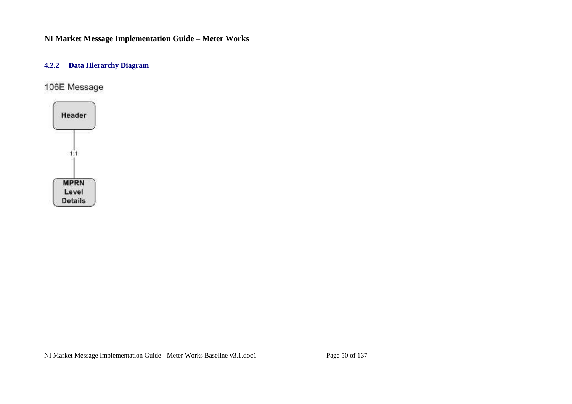## **4.2.2 Data Hierarchy Diagram**

106E Message

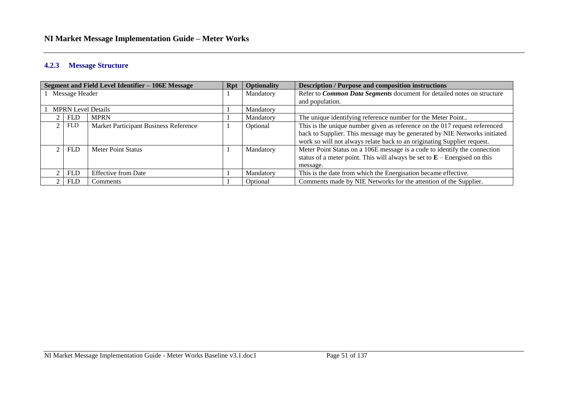#### **4.2.3 Message Structure**

| <b>Segment and Field Level Identifier - 106E Message</b> |                           |                                       | <b>Rpt</b> | <b>Optionality</b>                                                      | <b>Description / Purpose and composition instructions</b>                   |
|----------------------------------------------------------|---------------------------|---------------------------------------|------------|-------------------------------------------------------------------------|-----------------------------------------------------------------------------|
| 1 Message Header                                         |                           |                                       | Mandatory  | Refer to Common Data Segments document for detailed notes on structure  |                                                                             |
|                                                          |                           |                                       |            |                                                                         | and population.                                                             |
|                                                          | <b>MPRN Level Details</b> |                                       |            | Mandatory                                                               |                                                                             |
|                                                          | <b>FLD</b>                | <b>MPRN</b>                           |            | Mandatory                                                               | The unique identifying reference number for the Meter Point                 |
|                                                          | <b>FLD</b>                | Market Participant Business Reference |            | Optional                                                                | This is the unique number given as reference on the 017 request referenced  |
|                                                          |                           |                                       |            |                                                                         | back to Supplier. This message may be generated by NIE Networks initiated   |
|                                                          |                           |                                       |            | work so will not always relate back to an originating Supplier request. |                                                                             |
|                                                          | <b>FLD</b>                | Meter Point Status                    |            | Mandatory                                                               | Meter Point Status on a 106E message is a code to identify the connection   |
|                                                          |                           |                                       |            |                                                                         | status of a meter point. This will always be set to $E$ – Energised on this |
|                                                          |                           |                                       |            |                                                                         | message.                                                                    |
|                                                          | <b>FLD</b>                | <b>Effective from Date</b>            |            | Mandatory                                                               | This is the date from which the Energisation became effective.              |
|                                                          | <b>FLD</b>                | Comments                              |            | Optional                                                                | Comments made by NIE Networks for the attention of the Supplier.            |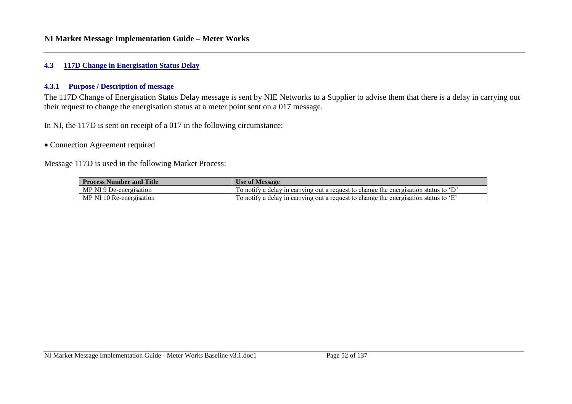## **4.3 117D Change in Energisation Status Delay**

#### **4.3.1 Purpose / Description of message**

The 117D Change of Energisation Status Delay message is sent by NIE Networks to a Supplier to advise them that there is a delay in carrying out their request to change the energisation status at a meter point sent on a 017 message.

In NI, the 117D is sent on receipt of a 017 in the following circumstance:

#### • Connection Agreement required

Message 117D is used in the following Market Process:

| <b>Process Number and Title</b> | <b>Use of Message</b>                                                                   |
|---------------------------------|-----------------------------------------------------------------------------------------|
| MP NI 9 De-energisation         | To notify a delay in carrying out a request to change the energisation status to ' $D'$ |
| MP NI 10 Re-energisation        | To notify a delay in carrying out a request to change the energisation status to 'E'    |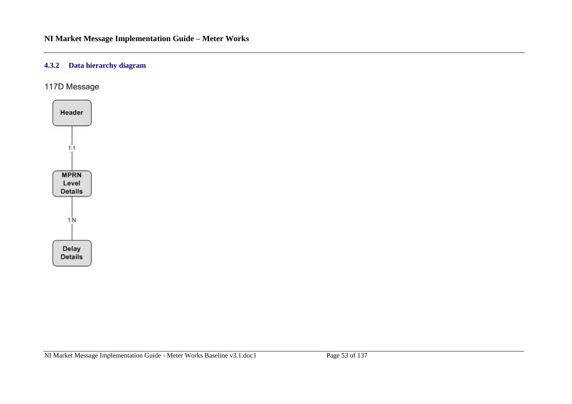#### **4.3.2 Data hierarchy diagram**

117D Message

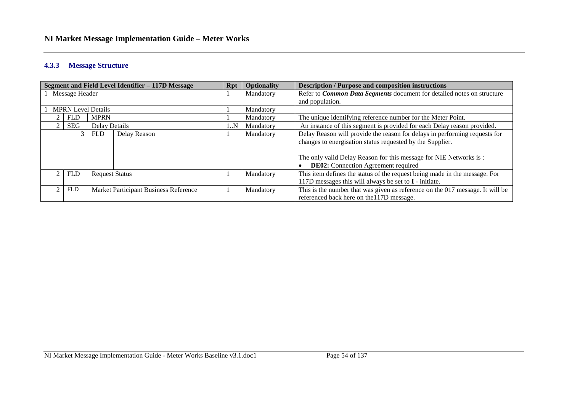#### **4.3.3 Message Structure**

|                                                     |                           |                       | Segment and Field Level Identifier - 117D Message | <b>Rpt</b>                                                                    | <b>Optionality</b> | <b>Description / Purpose and composition instructions</b>                  |
|-----------------------------------------------------|---------------------------|-----------------------|---------------------------------------------------|-------------------------------------------------------------------------------|--------------------|----------------------------------------------------------------------------|
| Message Header                                      |                           |                       | Mandatory                                         | Refer to <i>Common Data Segments</i> document for detailed notes on structure |                    |                                                                            |
|                                                     |                           |                       |                                                   |                                                                               |                    | and population.                                                            |
|                                                     | <b>MPRN</b> Level Details |                       |                                                   |                                                                               | Mandatory          |                                                                            |
|                                                     | <b>FLD</b>                | <b>MPRN</b>           |                                                   |                                                                               | Mandatory          | The unique identifying reference number for the Meter Point.               |
|                                                     | SEG                       | Delay Details         |                                                   | 1N                                                                            | Mandatory          | An instance of this segment is provided for each Delay reason provided.    |
|                                                     |                           | <b>FLD</b>            | Delay Reason                                      |                                                                               | Mandatory          | Delay Reason will provide the reason for delays in performing requests for |
|                                                     |                           |                       |                                                   |                                                                               |                    | changes to energisation status requested by the Supplier.                  |
|                                                     |                           |                       |                                                   |                                                                               |                    |                                                                            |
|                                                     |                           |                       |                                                   |                                                                               |                    | The only valid Delay Reason for this message for NIE Networks is:          |
|                                                     |                           |                       |                                                   |                                                                               |                    | <b>DE02:</b> Connection Agreement required                                 |
|                                                     | <b>FLD</b>                | <b>Request Status</b> |                                                   |                                                                               | Mandatory          | This item defines the status of the request being made in the message. For |
|                                                     |                           |                       |                                                   |                                                                               |                    | 117D messages this will always be set to $I$ - initiate.                   |
| <b>FLD</b><br>Market Participant Business Reference |                           |                       | Mandatory                                         | This is the number that was given as reference on the 017 message. It will be |                    |                                                                            |
|                                                     |                           |                       |                                                   |                                                                               |                    | referenced back here on the 117D message.                                  |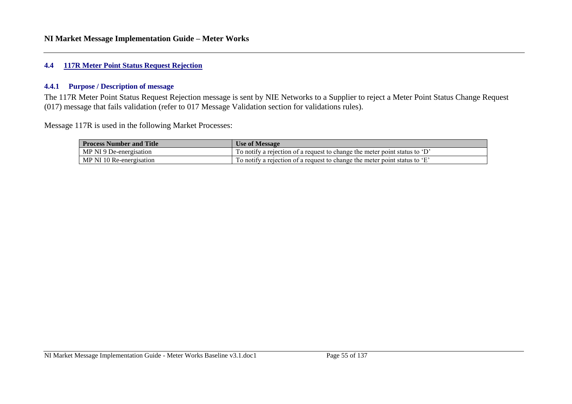#### **4.4 117R Meter Point Status Request Rejection**

#### **4.4.1 Purpose / Description of message**

The 117R Meter Point Status Request Rejection message is sent by NIE Networks to a Supplier to reject a Meter Point Status Change Request (017) message that fails validation (refer to 017 Message Validation section for validations rules).

Message 117R is used in the following Market Processes:

| <b>Process Number and Title</b> | <b>Use of Message</b>                                                      |
|---------------------------------|----------------------------------------------------------------------------|
| MP NI 9 De-energisation         | To notify a rejection of a request to change the meter point status to 'D' |
| MP NI 10 Re-energisation        | To notify a rejection of a request to change the meter point status to 'E' |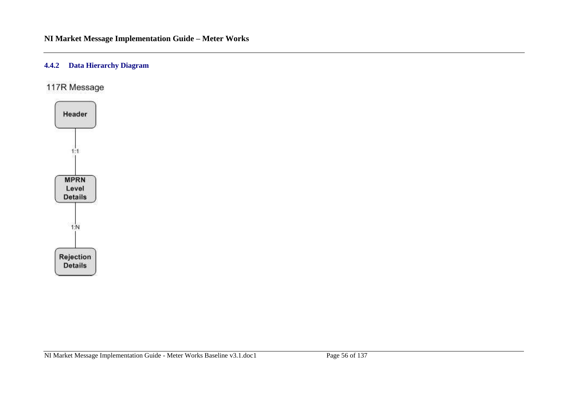## **4.4.2 Data Hierarchy Diagram**

117R Message

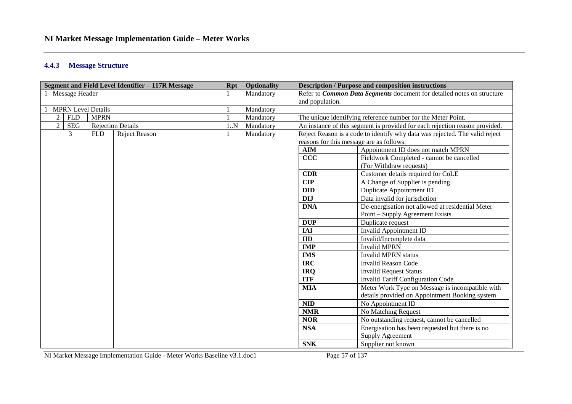#### **4.4.3 Message Structure**

| Segment and Field Level Identifier - 117R Message |             |                          | Rpt       | <b>Optionality</b> | <b>Description / Purpose and composition instructions</b>              |                                                                             |  |
|---------------------------------------------------|-------------|--------------------------|-----------|--------------------|------------------------------------------------------------------------|-----------------------------------------------------------------------------|--|
| 1 Message Header                                  |             |                          |           | Mandatory          | Refer to Common Data Segments document for detailed notes on structure |                                                                             |  |
|                                                   |             |                          |           | and population.    |                                                                        |                                                                             |  |
| <b>MPRN Level Details</b>                         |             |                          | Mandatory |                    |                                                                        |                                                                             |  |
| $\overline{2}$<br><b>FLD</b>                      | <b>MPRN</b> |                          |           | Mandatory          |                                                                        | The unique identifying reference number for the Meter Point.                |  |
| $\overline{2}$<br><b>SEG</b>                      |             | <b>Rejection Details</b> | 1N        | Mandatory          |                                                                        | An instance of this segment is provided for each rejection reason provided. |  |
| 3                                                 | <b>FLD</b>  | Reject Reason            |           | Mandatory          |                                                                        | Reject Reason is a code to identify why data was rejected. The valid reject |  |
|                                                   |             |                          |           |                    | reasons for this message are as follows:                               |                                                                             |  |
|                                                   |             |                          |           |                    | <b>AIM</b>                                                             | Appointment ID does not match MPRN                                          |  |
|                                                   |             |                          |           |                    | CCC                                                                    | Fieldwork Completed - cannot be cancelled                                   |  |
|                                                   |             |                          |           |                    |                                                                        | (For Withdraw requests)                                                     |  |
|                                                   |             |                          |           |                    | <b>CDR</b>                                                             | Customer details required for CoLE                                          |  |
|                                                   |             |                          |           |                    | <b>CIP</b>                                                             | A Change of Supplier is pending                                             |  |
|                                                   |             |                          |           |                    | <b>DID</b>                                                             | Duplicate Appointment ID                                                    |  |
|                                                   |             |                          |           |                    | <b>DIJ</b>                                                             | Data invalid for jurisdiction                                               |  |
|                                                   |             |                          |           |                    | <b>DNA</b>                                                             | De-energisation not allowed at residential Meter                            |  |
|                                                   |             |                          |           |                    |                                                                        | Point – Supply Agreement Exists                                             |  |
|                                                   |             |                          |           |                    | <b>DUP</b>                                                             | Duplicate request                                                           |  |
|                                                   |             |                          |           |                    | <b>IAI</b>                                                             | <b>Invalid Appointment ID</b>                                               |  |
|                                                   |             |                          |           |                    | ID                                                                     | Invalid/Incomplete data                                                     |  |
|                                                   |             |                          |           |                    | <b>IMP</b>                                                             | <b>Invalid MPRN</b>                                                         |  |
|                                                   |             |                          |           |                    | <b>IMS</b>                                                             | <b>Invalid MPRN status</b>                                                  |  |
|                                                   |             |                          |           |                    | <b>IRC</b>                                                             | <b>Invalid Reason Code</b>                                                  |  |
|                                                   |             |                          |           |                    | <b>IRQ</b>                                                             | <b>Invalid Request Status</b>                                               |  |
|                                                   |             |                          |           |                    | <b>ITF</b>                                                             | <b>Invalid Tariff Configuration Code</b>                                    |  |
|                                                   |             |                          |           |                    | <b>MIA</b>                                                             | Meter Work Type on Message is incompatible with                             |  |
|                                                   |             |                          |           |                    |                                                                        | details provided on Appointment Booking system                              |  |
|                                                   |             |                          |           |                    | <b>NID</b>                                                             | No Appointment ID                                                           |  |
|                                                   |             |                          |           |                    | <b>NMR</b>                                                             | No Matching Request                                                         |  |
|                                                   |             |                          |           |                    | <b>NOR</b>                                                             | No outstanding request, cannot be cancelled                                 |  |
|                                                   |             |                          |           |                    | <b>NSA</b>                                                             | Energisation has been requested but there is no                             |  |
|                                                   |             |                          |           |                    |                                                                        | <b>Supply Agreement</b>                                                     |  |
|                                                   |             |                          |           |                    | <b>SNK</b>                                                             | Supplier not known                                                          |  |

NI Market Message Implementation Guide - Meter Works Baseline v3.1.doc1 Page 57 of 137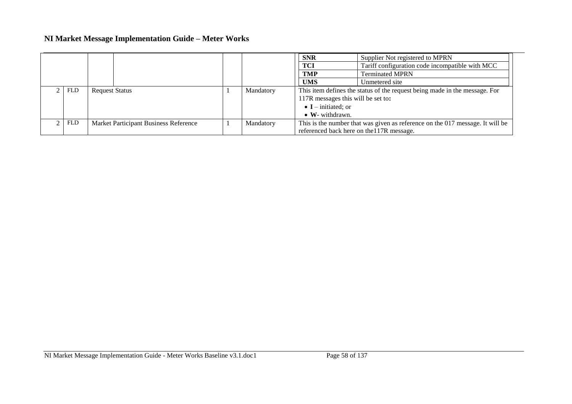|            |                                       |           | <b>SNR</b>                                                                    | Supplier Not registered to MPRN                 |  |
|------------|---------------------------------------|-----------|-------------------------------------------------------------------------------|-------------------------------------------------|--|
|            |                                       |           | <b>TCI</b>                                                                    | Tariff configuration code incompatible with MCC |  |
|            |                                       |           | <b>TMP</b>                                                                    | <b>Terminated MPRN</b>                          |  |
|            |                                       |           | <b>UMS</b>                                                                    | Unmetered site                                  |  |
| FLD        | <b>Request Status</b>                 | Mandatory | This item defines the status of the request being made in the message. For    |                                                 |  |
|            |                                       |           | 117R messages this will be set to:                                            |                                                 |  |
|            |                                       |           | $\bullet$ <b>I</b> – initiated; or                                            |                                                 |  |
|            |                                       |           | $\bullet$ W- withdrawn.                                                       |                                                 |  |
| <b>FLD</b> | Market Participant Business Reference | Mandatory | This is the number that was given as reference on the 017 message. It will be |                                                 |  |
|            |                                       |           | referenced back here on the 117R message.                                     |                                                 |  |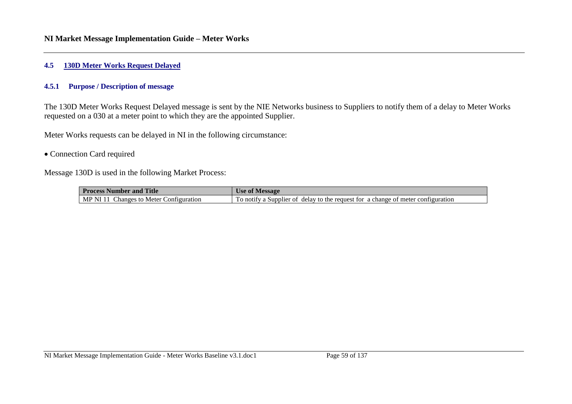#### **4.5 130D Meter Works Request Delayed**

#### **4.5.1 Purpose / Description of message**

The 130D Meter Works Request Delayed message is sent by the NIE Networks business to Suppliers to notify them of a delay to Meter Works requested on a 030 at a meter point to which they are the appointed Supplier.

Meter Works requests can be delayed in NI in the following circumstance:

#### • Connection Card required

Message 130D is used in the following Market Process:

| <b>Process Number and Title</b>                  | Use of Message                                                                   |  |  |  |  |
|--------------------------------------------------|----------------------------------------------------------------------------------|--|--|--|--|
| <b>Changes to Meter Configuration</b><br>MP NI . | To notify a Supplier of delay to the request for a change of meter configuration |  |  |  |  |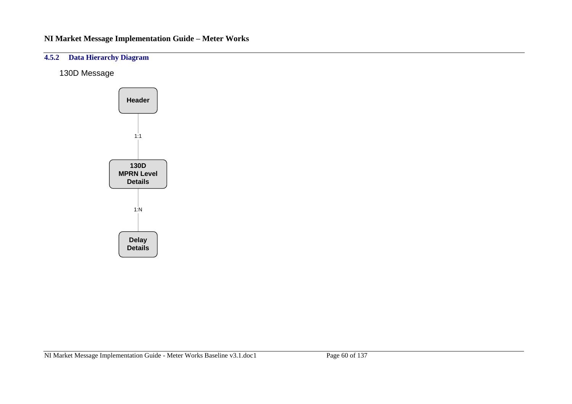# **4.5.2 Data Hierarchy Diagram**

130D Message

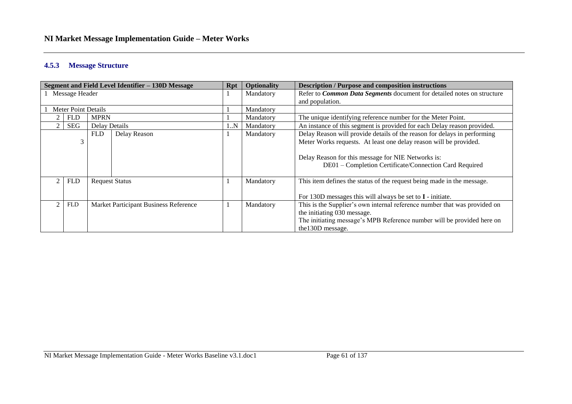#### **4.5.3 Message Structure**

|                                                     |            |                       | Segment and Field Level Identifier - 130D Message | <b>Rpt</b>                                                                    | <b>Optionality</b> | <b>Description / Purpose and composition instructions</b>                |
|-----------------------------------------------------|------------|-----------------------|---------------------------------------------------|-------------------------------------------------------------------------------|--------------------|--------------------------------------------------------------------------|
| Message Header                                      |            |                       | Mandatory                                         | Refer to <i>Common Data Segments</i> document for detailed notes on structure |                    |                                                                          |
|                                                     |            |                       |                                                   |                                                                               |                    | and population.                                                          |
| <b>Meter Point Details</b>                          |            |                       |                                                   |                                                                               | Mandatory          |                                                                          |
|                                                     | <b>FLD</b> | <b>MPRN</b>           |                                                   |                                                                               | Mandatory          | The unique identifying reference number for the Meter Point.             |
|                                                     | <b>SEG</b> | <b>Delay Details</b>  |                                                   | 1N                                                                            | Mandatory          | An instance of this segment is provided for each Delay reason provided.  |
|                                                     |            | <b>FLD</b>            | Delay Reason                                      |                                                                               | Mandatory          | Delay Reason will provide details of the reason for delays in performing |
|                                                     | 3          |                       |                                                   |                                                                               |                    | Meter Works requests. At least one delay reason will be provided.        |
|                                                     |            |                       |                                                   |                                                                               |                    |                                                                          |
|                                                     |            |                       |                                                   |                                                                               |                    | Delay Reason for this message for NIE Networks is:                       |
|                                                     |            |                       |                                                   |                                                                               |                    | DE01 - Completion Certificate/Connection Card Required                   |
|                                                     |            |                       |                                                   |                                                                               |                    |                                                                          |
|                                                     | <b>FLD</b> | <b>Request Status</b> |                                                   |                                                                               | Mandatory          | This item defines the status of the request being made in the message.   |
|                                                     |            |                       |                                                   |                                                                               |                    |                                                                          |
|                                                     |            |                       |                                                   |                                                                               |                    | For 130D messages this will always be set to $I$ - initiate.             |
| <b>FLD</b><br>Market Participant Business Reference |            |                       | Mandatory                                         | This is the Supplier's own internal reference number that was provided on     |                    |                                                                          |
|                                                     |            |                       |                                                   |                                                                               |                    | the initiating 030 message.                                              |
|                                                     |            |                       |                                                   |                                                                               |                    | The initiating message's MPB Reference number will be provided here on   |
|                                                     |            |                       |                                                   |                                                                               |                    | the 130D message.                                                        |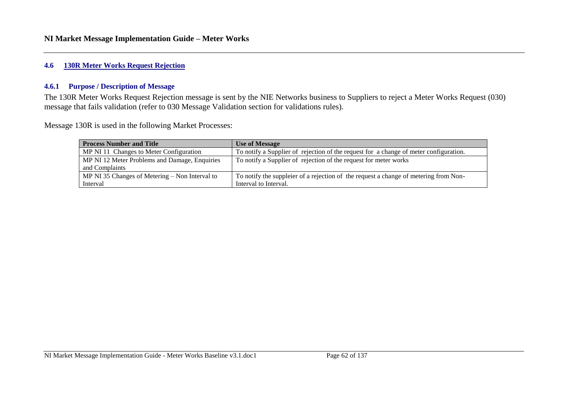#### **4.6 130R Meter Works Request Rejection**

#### **4.6.1 Purpose / Description of Message**

The 130R Meter Works Request Rejection message is sent by the NIE Networks business to Suppliers to reject a Meter Works Request (030) message that fails validation (refer to 030 Message Validation section for validations rules).

Message 130R is used in the following Market Processes:

| <b>Process Number and Title</b>                  | <b>Use of Message</b>                                                                 |
|--------------------------------------------------|---------------------------------------------------------------------------------------|
| MP NI 11 Changes to Meter Configuration          | To notify a Supplier of rejection of the request for a change of meter configuration. |
| MP NI 12 Meter Problems and Damage, Enquiries    | To notify a Supplier of rejection of the request for meter works                      |
| and Complaints                                   |                                                                                       |
| MP NI 35 Changes of Metering $-$ Non Interval to | To notify the suppleier of a rejection of the request a change of metering from Non-  |
| Interval                                         | Interval to Interval.                                                                 |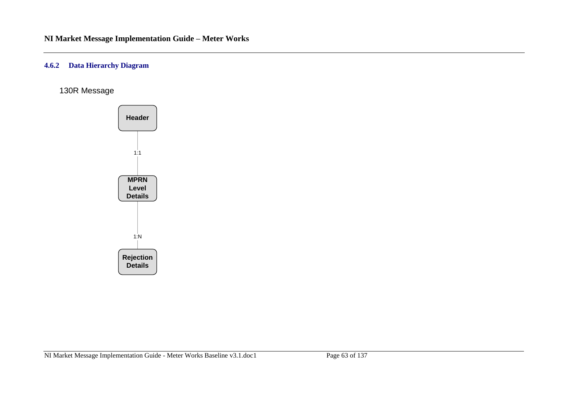#### **4.6.2 Data Hierarchy Diagram**

130R Message

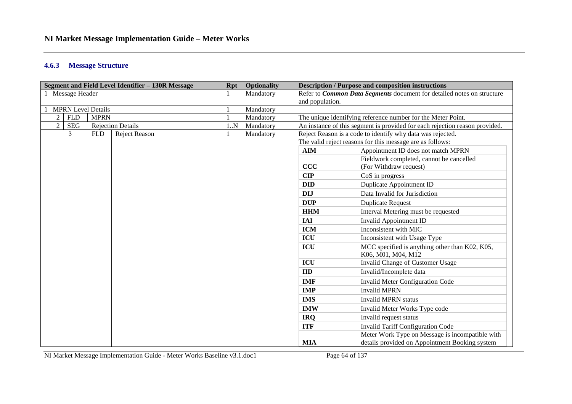#### **4.6.3 Message Structure**

| Segment and Field Level Identifier - 130R Message |             |                          | <b>Rpt</b> | <b>Optionality</b>                                                            | <b>Description / Purpose and composition instructions</b> |                                                                             |  |
|---------------------------------------------------|-------------|--------------------------|------------|-------------------------------------------------------------------------------|-----------------------------------------------------------|-----------------------------------------------------------------------------|--|
| 1 Message Header                                  |             |                          | Mandatory  | Refer to <i>Common Data Segments</i> document for detailed notes on structure |                                                           |                                                                             |  |
|                                                   |             |                          |            | and population.                                                               |                                                           |                                                                             |  |
| <b>MPRN Level Details</b>                         |             |                          | Mandatory  |                                                                               |                                                           |                                                                             |  |
| $\overline{2}$<br><b>FLD</b>                      | <b>MPRN</b> |                          |            | Mandatory                                                                     |                                                           | The unique identifying reference number for the Meter Point.                |  |
| $\mathbf{2}$<br><b>SEG</b>                        |             | <b>Rejection Details</b> | 1N         | Mandatory                                                                     |                                                           | An instance of this segment is provided for each rejection reason provided. |  |
| 3                                                 | <b>FLD</b>  | Reject Reason            |            | Mandatory                                                                     |                                                           | Reject Reason is a code to identify why data was rejected.                  |  |
|                                                   |             |                          |            |                                                                               |                                                           | The valid reject reasons for this message are as follows:                   |  |
|                                                   |             |                          |            |                                                                               | <b>AIM</b>                                                | Appointment ID does not match MPRN                                          |  |
|                                                   |             |                          |            |                                                                               |                                                           | Fieldwork completed, cannot be cancelled                                    |  |
|                                                   |             |                          |            |                                                                               | CCC                                                       | (For Withdraw request)                                                      |  |
|                                                   |             |                          |            |                                                                               | CIP                                                       | CoS in progress                                                             |  |
|                                                   |             |                          |            |                                                                               | <b>DID</b>                                                | Duplicate Appointment ID                                                    |  |
|                                                   |             |                          |            |                                                                               | <b>DIJ</b>                                                | Data Invalid for Jurisdiction                                               |  |
|                                                   |             |                          |            |                                                                               | <b>DUP</b>                                                | <b>Duplicate Request</b>                                                    |  |
|                                                   |             |                          |            |                                                                               | <b>HHM</b>                                                | Interval Metering must be requested                                         |  |
|                                                   |             |                          |            |                                                                               | <b>IAI</b>                                                | Invalid Appointment ID                                                      |  |
|                                                   |             |                          |            |                                                                               | <b>ICM</b>                                                | Inconsistent with MIC                                                       |  |
|                                                   |             |                          |            |                                                                               | <b>ICU</b>                                                | Inconsistent with Usage Type                                                |  |
|                                                   |             |                          |            |                                                                               | ICU                                                       | MCC specified is anything other than K02, K05,<br>K06, M01, M04, M12        |  |
|                                                   |             |                          |            |                                                                               | <b>ICU</b>                                                | Invalid Change of Customer Usage                                            |  |
|                                                   |             |                          |            |                                                                               | $\mathbf{I}$                                              | Invalid/Incomplete data                                                     |  |
|                                                   |             |                          |            |                                                                               | <b>IMF</b>                                                | <b>Invalid Meter Configuration Code</b>                                     |  |
|                                                   |             |                          |            |                                                                               | <b>IMP</b>                                                | <b>Invalid MPRN</b>                                                         |  |
|                                                   |             |                          |            |                                                                               | <b>IMS</b>                                                | <b>Invalid MPRN status</b>                                                  |  |
|                                                   |             |                          |            |                                                                               | <b>IMW</b>                                                | Invalid Meter Works Type code                                               |  |
|                                                   |             |                          |            |                                                                               | <b>IRQ</b>                                                | Invalid request status                                                      |  |
|                                                   |             |                          |            |                                                                               | <b>ITF</b>                                                | <b>Invalid Tariff Configuration Code</b>                                    |  |
|                                                   |             |                          |            |                                                                               |                                                           | Meter Work Type on Message is incompatible with                             |  |
|                                                   |             |                          |            |                                                                               | <b>MIA</b>                                                | details provided on Appointment Booking system                              |  |

NI Market Message Implementation Guide - Meter Works Baseline v3.1.doc1 Page 64 of 137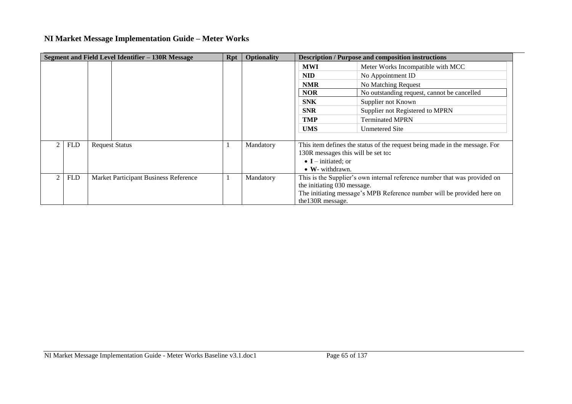| Segment and Field Level Identifier - 130R Message |            | <b>Rpt</b>                            | <b>Optionality</b> |           | <b>Description / Purpose and composition instructions</b>                  |                                                                        |  |
|---------------------------------------------------|------------|---------------------------------------|--------------------|-----------|----------------------------------------------------------------------------|------------------------------------------------------------------------|--|
|                                                   |            |                                       |                    |           | <b>MWI</b>                                                                 | Meter Works Incompatible with MCC                                      |  |
|                                                   |            |                                       |                    |           | <b>NID</b>                                                                 | No Appointment ID                                                      |  |
|                                                   |            |                                       |                    |           | <b>NMR</b>                                                                 | No Matching Request                                                    |  |
|                                                   |            |                                       |                    |           | <b>NOR</b>                                                                 | No outstanding request, cannot be cancelled                            |  |
|                                                   |            |                                       |                    |           | <b>SNK</b>                                                                 | Supplier not Known                                                     |  |
|                                                   |            |                                       |                    |           | <b>SNR</b>                                                                 | Supplier not Registered to MPRN                                        |  |
|                                                   |            |                                       |                    |           | <b>TMP</b>                                                                 | <b>Terminated MPRN</b>                                                 |  |
|                                                   |            |                                       |                    |           | <b>UMS</b>                                                                 | <b>Unmetered Site</b>                                                  |  |
|                                                   |            |                                       |                    |           |                                                                            |                                                                        |  |
|                                                   | <b>FLD</b> | <b>Request Status</b>                 |                    | Mandatory | This item defines the status of the request being made in the message. For |                                                                        |  |
|                                                   |            |                                       |                    |           | 130R messages this will be set to:                                         |                                                                        |  |
|                                                   |            |                                       |                    |           | $\bullet$ <b>I</b> – initiated; or                                         |                                                                        |  |
|                                                   |            |                                       |                    |           | $\bullet$ W- withdrawn.                                                    |                                                                        |  |
|                                                   | <b>FLD</b> | Market Participant Business Reference |                    | Mandatory | This is the Supplier's own internal reference number that was provided on  |                                                                        |  |
|                                                   |            |                                       |                    |           | the initiating 030 message.                                                |                                                                        |  |
|                                                   |            |                                       |                    |           |                                                                            | The initiating message's MPB Reference number will be provided here on |  |
|                                                   |            |                                       |                    |           | the 130R message.                                                          |                                                                        |  |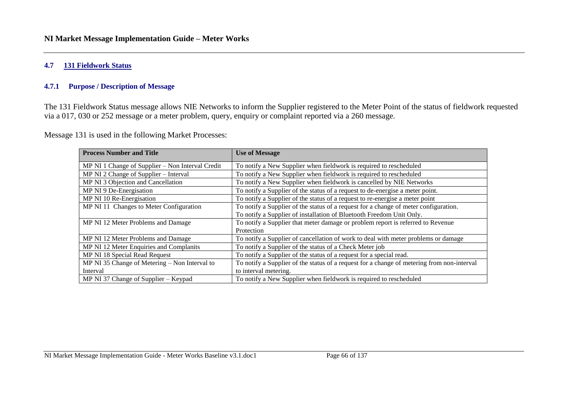#### **4.7 131 Fieldwork Status**

#### **4.7.1 Purpose / Description of Message**

The 131 Fieldwork Status message allows NIE Networks to inform the Supplier registered to the Meter Point of the status of fieldwork requested via a 017, 030 or 252 message or a meter problem, query, enquiry or complaint reported via a 260 message.

Message 131 is used in the following Market Processes:

| <b>Process Number and Title</b>                  | <b>Use of Message</b>                                                                      |
|--------------------------------------------------|--------------------------------------------------------------------------------------------|
| MP NI 1 Change of Supplier – Non Interval Credit | To notify a New Supplier when fieldwork is required to rescheduled                         |
| MP NI 2 Change of Supplier – Interval            | To notify a New Supplier when fieldwork is required to rescheduled                         |
| MP NI 3 Objection and Cancellation               | To notify a New Supplier when fieldwork is cancelled by NIE Networks                       |
| MP NI 9 De-Energisation                          | To notify a Supplier of the status of a request to de-energise a meter point.              |
| MP NI 10 Re-Energisation                         | To notify a Supplier of the status of a request to re-energise a meter point               |
| MP NI 11 Changes to Meter Configuration          | To notify a Supplier of the status of a request for a change of meter configuration.       |
|                                                  | To notify a Supplier of installation of Bluetooth Freedom Unit Only.                       |
| MP NI 12 Meter Problems and Damage               | To notify a Supplier that meter damage or problem report is referred to Revenue            |
|                                                  | Protection                                                                                 |
| MP NI 12 Meter Problems and Damage               | To notify a Supplier of cancellation of work to deal with meter problems or damage         |
| MP NI 12 Meter Enquiries and Complanits          | To notify a Supplier of the status of a Check Meter job                                    |
| MP NI 18 Special Read Request                    | To notify a Supplier of the status of a request for a special read.                        |
| MP NI 35 Change of Metering – Non Interval to    | To notify a Supplier of the status of a request for a change of metering from non-interval |
| Interval                                         | to interval metering.                                                                      |
| MP NI 37 Change of Supplier – Keypad             | To notify a New Supplier when fieldwork is required to rescheduled                         |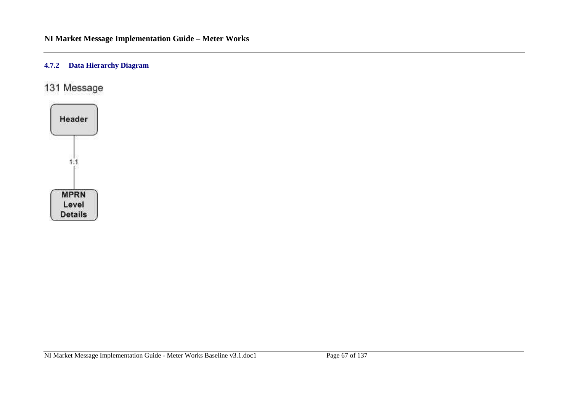## **4.7.2 Data Hierarchy Diagram**

# 131 Message

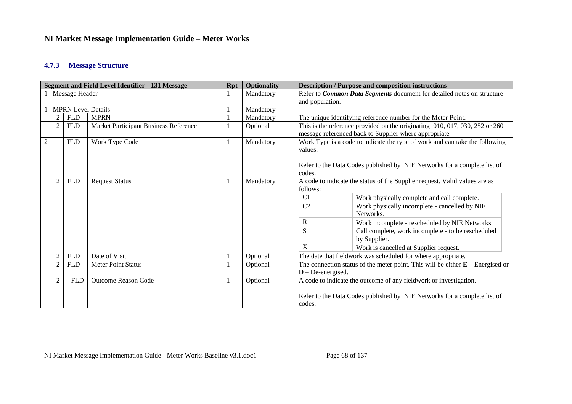#### **4.7.3 Message Structure**

|                           |                | <b>Segment and Field Level Identifier - 131 Message</b> | <b>Rpt</b>   | <b>Optionality</b> | <b>Description / Purpose and composition instructions</b>                        |  |
|---------------------------|----------------|---------------------------------------------------------|--------------|--------------------|----------------------------------------------------------------------------------|--|
|                           | Message Header |                                                         |              | Mandatory          | Refer to <i>Common Data Segments</i> document for detailed notes on structure    |  |
|                           |                |                                                         |              |                    | and population.                                                                  |  |
| <b>MPRN Level Details</b> |                |                                                         | Mandatory    |                    |                                                                                  |  |
| $\overline{2}$            | <b>FLD</b>     | <b>MPRN</b>                                             |              | Mandatory          | The unique identifying reference number for the Meter Point.                     |  |
| $\overline{2}$            | <b>FLD</b>     | Market Participant Business Reference                   |              | Optional           | This is the reference provided on the originating $010, 017, 030, 252$ or $260$  |  |
|                           |                |                                                         |              |                    | message referenced back to Supplier where appropriate.                           |  |
| $\overline{2}$            | <b>FLD</b>     | Work Type Code                                          | $\mathbf{1}$ | Mandatory          | Work Type is a code to indicate the type of work and can take the following      |  |
|                           |                |                                                         |              |                    | values:                                                                          |  |
|                           |                |                                                         |              |                    |                                                                                  |  |
|                           |                |                                                         |              |                    | Refer to the Data Codes published by NIE Networks for a complete list of         |  |
|                           |                |                                                         |              |                    | codes.                                                                           |  |
|                           | <b>FLD</b>     | <b>Request Status</b>                                   | 1            | Mandatory          | A code to indicate the status of the Supplier request. Valid values are as       |  |
|                           |                |                                                         |              |                    | follows:                                                                         |  |
|                           |                |                                                         |              |                    | C <sub>1</sub><br>Work physically complete and call complete.                    |  |
|                           |                |                                                         |              |                    | C <sub>2</sub><br>Work physically incomplete - cancelled by NIE                  |  |
|                           |                |                                                         |              |                    | Networks.                                                                        |  |
|                           |                |                                                         |              |                    | $\bf R$<br>Work incomplete - rescheduled by NIE Networks.                        |  |
|                           |                |                                                         |              |                    | Call complete, work incomplete - to be rescheduled<br>S                          |  |
|                           |                |                                                         |              |                    | by Supplier.                                                                     |  |
|                           |                |                                                         |              |                    | X<br>Work is cancelled at Supplier request.                                      |  |
|                           | <b>FLD</b>     | Date of Visit                                           |              | Optional           | The date that fieldwork was scheduled for where appropriate.                     |  |
|                           | <b>FLD</b>     | <b>Meter Point Status</b>                               |              | Optional           | The connection status of the meter point. This will be either $E$ – Energised or |  |
|                           |                |                                                         |              |                    | $D$ – De-energised.                                                              |  |
| 2                         | <b>FLD</b>     | <b>Outcome Reason Code</b>                              | 1            | Optional           | A code to indicate the outcome of any fieldwork or investigation.                |  |
|                           |                |                                                         |              |                    |                                                                                  |  |
|                           |                |                                                         |              |                    | Refer to the Data Codes published by NIE Networks for a complete list of         |  |
|                           |                |                                                         |              |                    | codes.                                                                           |  |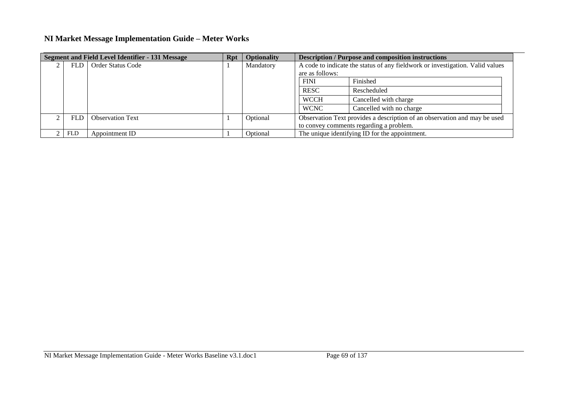| <b>Segment and Field Level Identifier - 131 Message</b> |            | Rpt                     | <b>Optionality</b> | <b>Description / Purpose and composition instructions</b> |                                                                               |                                         |
|---------------------------------------------------------|------------|-------------------------|--------------------|-----------------------------------------------------------|-------------------------------------------------------------------------------|-----------------------------------------|
|                                                         |            | FLD   Order Status Code |                    | Mandatory                                                 | A code to indicate the status of any fieldwork or investigation. Valid values |                                         |
|                                                         |            |                         |                    |                                                           | are as follows:                                                               |                                         |
|                                                         |            |                         |                    |                                                           | <b>FINI</b>                                                                   | Finished                                |
|                                                         |            |                         |                    |                                                           | <b>RESC</b>                                                                   | Rescheduled                             |
|                                                         |            |                         |                    |                                                           | <b>WCCH</b>                                                                   | Cancelled with charge                   |
|                                                         |            |                         |                    |                                                           | <b>WCNC</b>                                                                   | Cancelled with no charge                |
|                                                         | FLD        | <b>Observation Text</b> |                    | Optional                                                  | Observation Text provides a description of an observation and may be used     |                                         |
|                                                         |            |                         |                    |                                                           |                                                                               | to convey comments regarding a problem. |
|                                                         | <b>FLD</b> | Appointment ID          |                    | Optional                                                  | The unique identifying ID for the appointment.                                |                                         |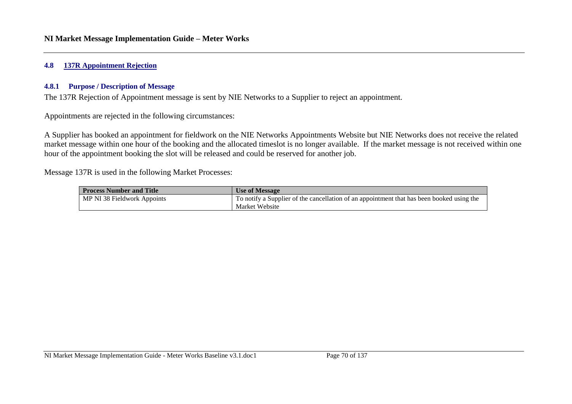#### **4.8 137R Appointment Rejection**

#### **4.8.1 Purpose / Description of Message**

The 137R Rejection of Appointment message is sent by NIE Networks to a Supplier to reject an appointment.

Appointments are rejected in the following circumstances:

A Supplier has booked an appointment for fieldwork on the NIE Networks Appointments Website but NIE Networks does not receive the related market message within one hour of the booking and the allocated timeslot is no longer available. If the market message is not received within one hour of the appointment booking the slot will be released and could be reserved for another job.

Message 137R is used in the following Market Processes:

| <b>Process Number and Title</b> | <b>Use of Message</b>                                                                     |
|---------------------------------|-------------------------------------------------------------------------------------------|
| MP NI 38 Fieldwork Appoints     | To notify a Supplier of the cancellation of an appointment that has been booked using the |
|                                 | Market Website                                                                            |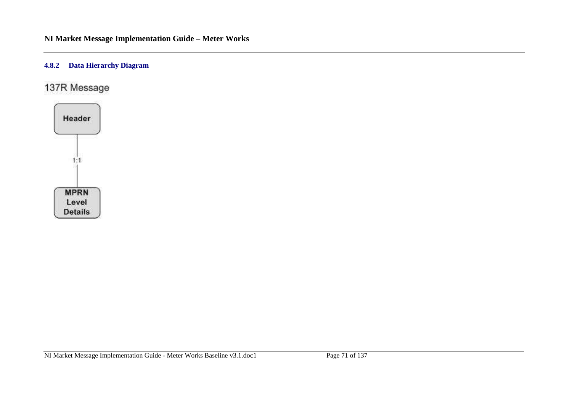## **4.8.2 Data Hierarchy Diagram**

137R Message

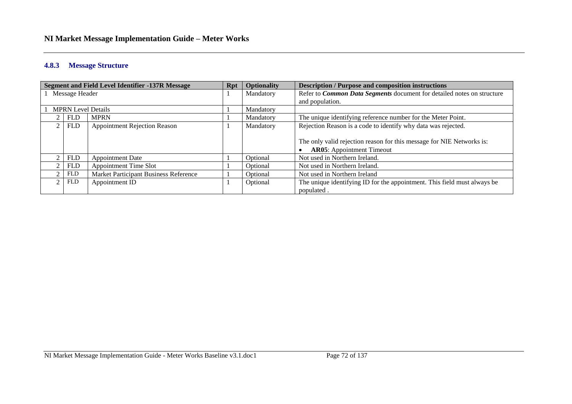#### **4.8.3 Message Structure**

|                           | <b>Segment and Field Level Identifier -137R Message</b> | <b>Rpt</b> | Optionality | <b>Description / Purpose and composition instructions</b>                     |
|---------------------------|---------------------------------------------------------|------------|-------------|-------------------------------------------------------------------------------|
| Message Header            |                                                         |            | Mandatory   | Refer to <i>Common Data Segments</i> document for detailed notes on structure |
|                           |                                                         |            |             | and population.                                                               |
| <b>MPRN Level Details</b> |                                                         |            | Mandatory   |                                                                               |
| <b>FLD</b>                | <b>MPRN</b>                                             |            | Mandatory   | The unique identifying reference number for the Meter Point.                  |
| <b>FLD</b>                | <b>Appointment Rejection Reason</b>                     |            | Mandatory   | Rejection Reason is a code to identify why data was rejected.                 |
|                           |                                                         |            |             |                                                                               |
|                           |                                                         |            |             | The only valid rejection reason for this message for NIE Networks is:         |
|                           |                                                         |            |             | <b>AR05:</b> Appointment Timeout                                              |
| <b>FLD</b>                | <b>Appointment Date</b>                                 |            | Optional    | Not used in Northern Ireland.                                                 |
| <b>FLD</b>                | <b>Appointment Time Slot</b>                            |            | Optional    | Not used in Northern Ireland.                                                 |
| <b>FLD</b>                | Market Participant Business Reference                   |            | Optional    | Not used in Northern Ireland                                                  |
| <b>FLD</b>                | Appointment ID                                          |            | Optional    | The unique identifying ID for the appointment. This field must always be      |
|                           |                                                         |            |             | populated.                                                                    |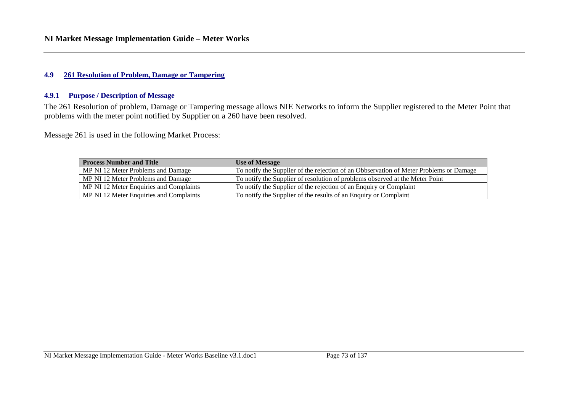### **4.9 261 Resolution of Problem, Damage or Tampering**

### **4.9.1 Purpose / Description of Message**

The 261 Resolution of problem, Damage or Tampering message allows NIE Networks to inform the Supplier registered to the Meter Point that problems with the meter point notified by Supplier on a 260 have been resolved.

Message 261 is used in the following Market Process:

| <b>Process Number and Title</b>         | <b>Use of Message</b>                                                                  |
|-----------------------------------------|----------------------------------------------------------------------------------------|
| MP NI 12 Meter Problems and Damage      | To notify the Supplier of the rejection of an Obbservation of Meter Problems or Damage |
| MP NI 12 Meter Problems and Damage      | To notify the Supplier of resolution of problems observed at the Meter Point           |
| MP NI 12 Meter Enquiries and Complaints | To notify the Supplier of the rejection of an Enquiry or Complaint                     |
| MP NI 12 Meter Enquiries and Complaints | To notify the Supplier of the results of an Enquiry or Complaint                       |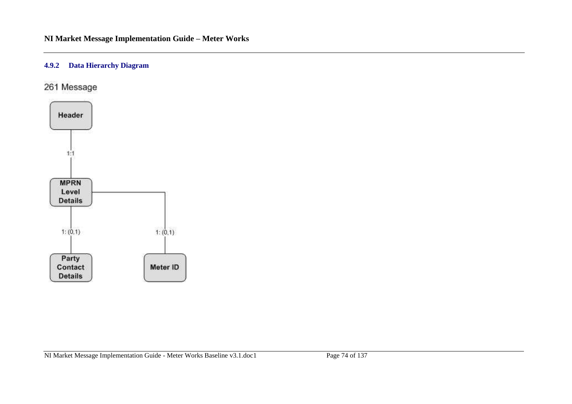# **4.9.2 Data Hierarchy Diagram**

261 Message

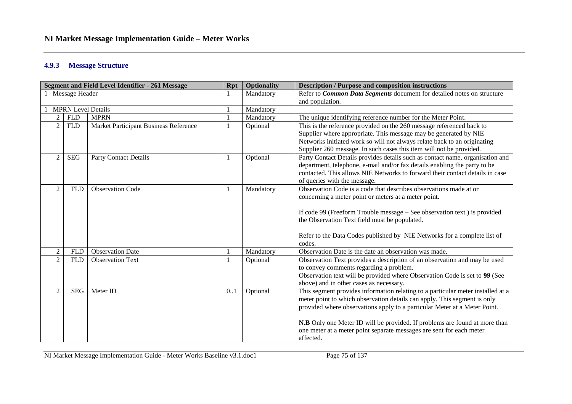### **4.9.3 Message Structure**

| <b>Segment and Field Level Identifier - 261 Message</b> |                           |                                       | <b>Rpt</b> | <b>Optionality</b> | <b>Description / Purpose and composition instructions</b>                                                            |  |  |
|---------------------------------------------------------|---------------------------|---------------------------------------|------------|--------------------|----------------------------------------------------------------------------------------------------------------------|--|--|
| 1 Message Header                                        |                           |                                       |            | Mandatory          | Refer to Common Data Segments document for detailed notes on structure                                               |  |  |
|                                                         |                           |                                       |            |                    | and population.                                                                                                      |  |  |
|                                                         | <b>MPRN</b> Level Details |                                       |            | Mandatory          |                                                                                                                      |  |  |
| $\overline{2}$                                          | <b>FLD</b>                | <b>MPRN</b>                           |            | Mandatory          | The unique identifying reference number for the Meter Point.                                                         |  |  |
| $\overline{2}$                                          | <b>FLD</b>                | Market Participant Business Reference |            | Optional           | This is the reference provided on the 260 message referenced back to                                                 |  |  |
|                                                         |                           |                                       |            |                    | Supplier where appropriate. This message may be generated by NIE                                                     |  |  |
|                                                         |                           |                                       |            |                    | Networks initiated work so will not always relate back to an originating                                             |  |  |
|                                                         |                           |                                       |            |                    | Supplier 260 message. In such cases this item will not be provided.                                                  |  |  |
| $\overline{2}$                                          | <b>SEG</b>                | <b>Party Contact Details</b>          |            | Optional           | Party Contact Details provides details such as contact name, organisation and                                        |  |  |
|                                                         |                           |                                       |            |                    | department, telephone, e-mail and/or fax details enabling the party to be                                            |  |  |
|                                                         |                           |                                       |            |                    | contacted. This allows NIE Networks to forward their contact details in case                                         |  |  |
|                                                         |                           |                                       |            |                    | of queries with the message.                                                                                         |  |  |
| $\overline{2}$                                          | <b>FLD</b>                | <b>Observation Code</b>               |            | Mandatory          | Observation Code is a code that describes observations made at or                                                    |  |  |
|                                                         |                           |                                       |            |                    | concerning a meter point or meters at a meter point.                                                                 |  |  |
|                                                         |                           |                                       |            |                    |                                                                                                                      |  |  |
|                                                         |                           |                                       |            |                    | If code 99 (Freeform Trouble message – See observation text.) is provided                                            |  |  |
|                                                         |                           |                                       |            |                    | the Observation Text field must be populated.                                                                        |  |  |
|                                                         |                           |                                       |            |                    |                                                                                                                      |  |  |
|                                                         |                           |                                       |            |                    | Refer to the Data Codes published by NIE Networks for a complete list of<br>codes.                                   |  |  |
| 2                                                       | <b>FLD</b>                | <b>Observation Date</b>               |            | Mandatory          | Observation Date is the date an observation was made.                                                                |  |  |
|                                                         |                           |                                       |            |                    |                                                                                                                      |  |  |
| 2                                                       | <b>FLD</b>                | <b>Observation Text</b>               |            | Optional           | Observation Text provides a description of an observation and may be used<br>to convey comments regarding a problem. |  |  |
|                                                         |                           |                                       |            |                    | Observation text will be provided where Observation Code is set to 99 (See                                           |  |  |
|                                                         |                           |                                       |            |                    | above) and in other cases as necessary.                                                                              |  |  |
| 2                                                       | <b>SEG</b>                | Meter ID                              | 0.1        | Optional           | This segment provides information relating to a particular meter installed at a                                      |  |  |
|                                                         |                           |                                       |            |                    | meter point to which observation details can apply. This segment is only                                             |  |  |
|                                                         |                           |                                       |            |                    | provided where observations apply to a particular Meter at a Meter Point.                                            |  |  |
|                                                         |                           |                                       |            |                    |                                                                                                                      |  |  |
|                                                         |                           |                                       |            |                    | N.B Only one Meter ID will be provided. If problems are found at more than                                           |  |  |
|                                                         |                           |                                       |            |                    | one meter at a meter point separate messages are sent for each meter                                                 |  |  |
|                                                         |                           |                                       |            |                    | affected.                                                                                                            |  |  |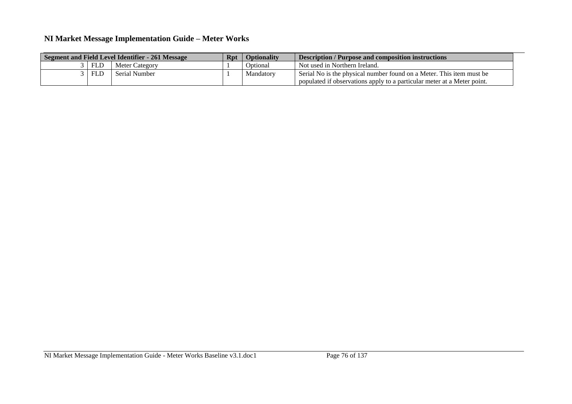| Segment and Field Level Identifier - 261 Message |            |                | Rpt | <b>Optionality</b> | <b>Description / Purpose and composition instructions</b>               |
|--------------------------------------------------|------------|----------------|-----|--------------------|-------------------------------------------------------------------------|
|                                                  | <b>FLD</b> | Meter Category |     | Optional           | Not used in Northern Ireland.                                           |
|                                                  | <b>FLD</b> | Serial Number  |     | Mandatory          | Serial No is the physical number found on a Meter. This item must be    |
|                                                  |            |                |     |                    | populated if observations apply to a particular meter at a Meter point. |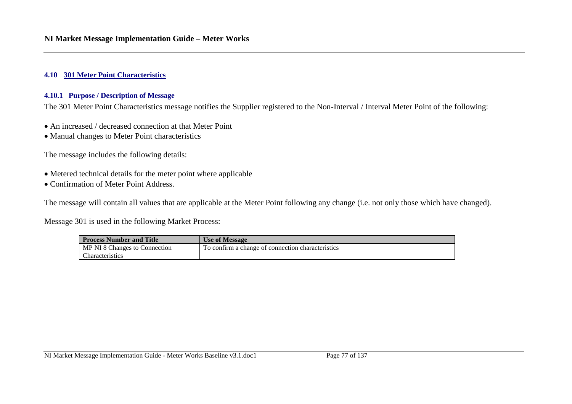### **4.10 301 Meter Point Characteristics**

#### **4.10.1 Purpose / Description of Message**

The 301 Meter Point Characteristics message notifies the Supplier registered to the Non-Interval / Interval Meter Point of the following:

- An increased / decreased connection at that Meter Point
- Manual changes to Meter Point characteristics

The message includes the following details:

- Metered technical details for the meter point where applicable
- Confirmation of Meter Point Address.

The message will contain all values that are applicable at the Meter Point following any change (i.e. not only those which have changed).

Message 301 is used in the following Market Process:

| <b>Process Number and Title</b> | Use of Message                                    |
|---------------------------------|---------------------------------------------------|
| MP NI 8 Changes to Connection   | To confirm a change of connection characteristics |
| <b>Characteristics</b>          |                                                   |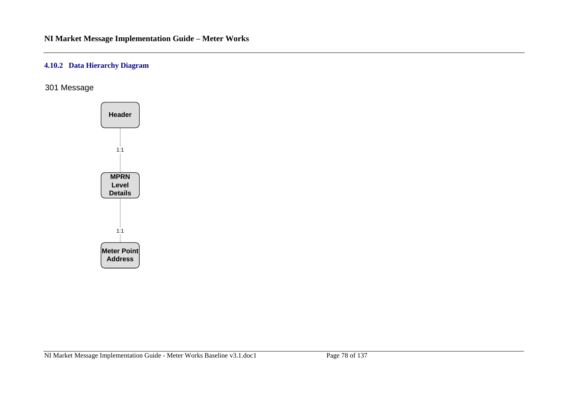### **4.10.2 Data Hierarchy Diagram**

301 Message

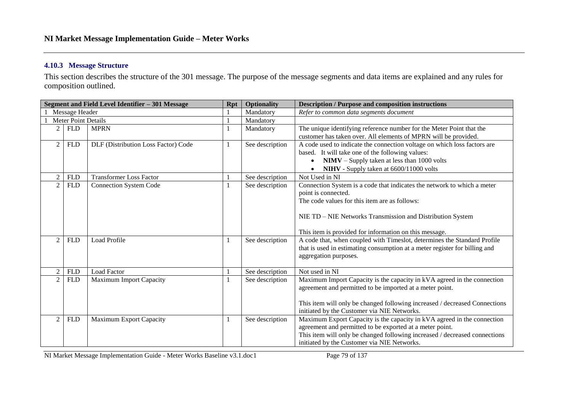### **4.10.3 Message Structure**

This section describes the structure of the 301 message. The purpose of the message segments and data items are explained and any rules for composition outlined.

| Segment and Field Level Identifier - 301 Message |            |                                     | <b>Rpt</b> | <b>Optionality</b> | <b>Description / Purpose and composition instructions</b>                  |
|--------------------------------------------------|------------|-------------------------------------|------------|--------------------|----------------------------------------------------------------------------|
| Message Header                                   |            |                                     |            | Mandatory          | Refer to common data segments document                                     |
| <b>Meter Point Details</b>                       |            |                                     |            | Mandatory          |                                                                            |
| $\overline{c}$                                   | <b>FLD</b> | <b>MPRN</b>                         |            | Mandatory          | The unique identifying reference number for the Meter Point that the       |
|                                                  |            |                                     |            |                    | customer has taken over. All elements of MPRN will be provided.            |
| 2                                                | <b>FLD</b> | DLF (Distribution Loss Factor) Code | 1          | See description    | A code used to indicate the connection voltage on which loss factors are   |
|                                                  |            |                                     |            |                    | based. It will take one of the following values:                           |
|                                                  |            |                                     |            |                    | $NIMV - Supply$ taken at less than 1000 volts                              |
|                                                  |            |                                     |            |                    | NIHV - Supply taken at 6600/11000 volts                                    |
|                                                  | <b>FLD</b> | <b>Transformer Loss Factor</b>      |            | See description    | Not Used in NI                                                             |
| $\overline{c}$                                   | <b>FLD</b> | <b>Connection System Code</b>       |            | See description    | Connection System is a code that indicates the network to which a meter    |
|                                                  |            |                                     |            |                    | point is connected.                                                        |
|                                                  |            |                                     |            |                    | The code values for this item are as follows:                              |
|                                                  |            |                                     |            |                    |                                                                            |
|                                                  |            |                                     |            |                    | NIE TD – NIE Networks Transmission and Distribution System                 |
|                                                  |            |                                     |            |                    |                                                                            |
|                                                  |            |                                     |            |                    | This item is provided for information on this message.                     |
|                                                  | <b>FLD</b> | <b>Load Profile</b>                 |            | See description    | A code that, when coupled with Timeslot, determines the Standard Profile   |
|                                                  |            |                                     |            |                    | that is used in estimating consumption at a meter register for billing and |
|                                                  |            |                                     |            |                    | aggregation purposes.                                                      |
|                                                  |            |                                     |            |                    |                                                                            |
|                                                  | <b>FLD</b> | <b>Load Factor</b>                  |            | See description    | Not used in NI                                                             |
| $\overline{2}$                                   | <b>FLD</b> | <b>Maximum Import Capacity</b>      |            | See description    | Maximum Import Capacity is the capacity in kVA agreed in the connection    |
|                                                  |            |                                     |            |                    | agreement and permitted to be imported at a meter point.                   |
|                                                  |            |                                     |            |                    |                                                                            |
|                                                  |            |                                     |            |                    | This item will only be changed following increased / decreased Connections |
|                                                  |            |                                     |            |                    | initiated by the Customer via NIE Networks.                                |
| $\mathcal{D}$                                    | <b>FLD</b> | <b>Maximum Export Capacity</b>      | 1          | See description    | Maximum Export Capacity is the capacity in kVA agreed in the connection    |
|                                                  |            |                                     |            |                    | agreement and permitted to be exported at a meter point.                   |
|                                                  |            |                                     |            |                    | This item will only be changed following increased / decreased connections |
|                                                  |            |                                     |            |                    | initiated by the Customer via NIE Networks.                                |

NI Market Message Implementation Guide - Meter Works Baseline v3.1.doc1 Page 79 of 137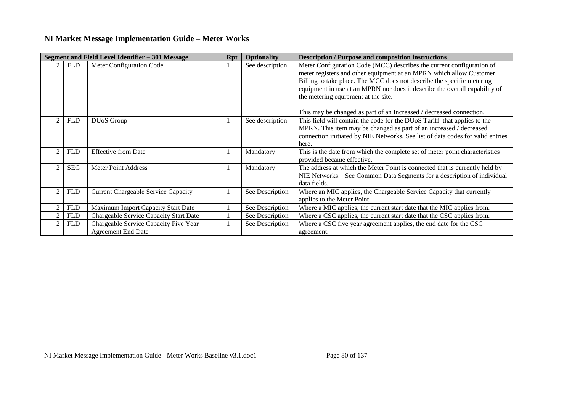|                |            | Segment and Field Level Identifier - 301 Message                   | <b>Rpt</b> | <b>Optionality</b> | <b>Description / Purpose and composition instructions</b>                                                                                                                                                                                                                                                                                   |
|----------------|------------|--------------------------------------------------------------------|------------|--------------------|---------------------------------------------------------------------------------------------------------------------------------------------------------------------------------------------------------------------------------------------------------------------------------------------------------------------------------------------|
|                | <b>FLD</b> | Meter Configuration Code                                           |            | See description    | Meter Configuration Code (MCC) describes the current configuration of<br>meter registers and other equipment at an MPRN which allow Customer<br>Billing to take place. The MCC does not describe the specific metering<br>equipment in use at an MPRN nor does it describe the overall capability of<br>the metering equipment at the site. |
|                | <b>FLD</b> | DU <sub>o</sub> S Group                                            |            | See description    | This may be changed as part of an Increased / decreased connection.<br>This field will contain the code for the DUoS Tariff that applies to the<br>MPRN. This item may be changed as part of an increased / decreased<br>connection initiated by NIE Networks. See list of data codes for valid entries<br>here.                            |
| $\mathcal{D}$  | <b>FLD</b> | <b>Effective from Date</b>                                         |            | Mandatory          | This is the date from which the complete set of meter point characteristics<br>provided became effective.                                                                                                                                                                                                                                   |
|                | <b>SEG</b> | Meter Point Address                                                |            | Mandatory          | The address at which the Meter Point is connected that is currently held by<br>NIE Networks. See Common Data Segments for a description of individual<br>data fields.                                                                                                                                                                       |
| $\mathfrak{D}$ | <b>FLD</b> | <b>Current Chargeable Service Capacity</b>                         |            | See Description    | Where an MIC applies, the Chargeable Service Capacity that currently<br>applies to the Meter Point.                                                                                                                                                                                                                                         |
|                | <b>FLD</b> | Maximum Import Capacity Start Date                                 |            | See Description    | Where a MIC applies, the current start date that the MIC applies from.                                                                                                                                                                                                                                                                      |
| $\mathcal{P}$  | <b>FLD</b> | Chargeable Service Capacity Start Date                             |            | See Description    | Where a CSC applies, the current start date that the CSC applies from.                                                                                                                                                                                                                                                                      |
|                | <b>FLD</b> | Chargeable Service Capacity Five Year<br><b>Agreement End Date</b> |            | See Description    | Where a CSC five year agreement applies, the end date for the CSC<br>agreement.                                                                                                                                                                                                                                                             |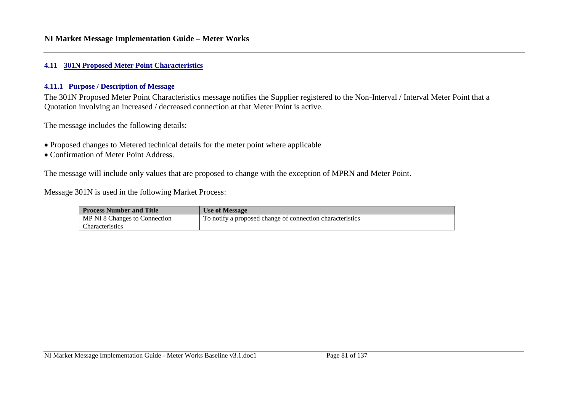#### **4.11 301N Proposed Meter Point Characteristics**

#### **4.11.1 Purpose / Description of Message**

The 301N Proposed Meter Point Characteristics message notifies the Supplier registered to the Non-Interval / Interval Meter Point that a Quotation involving an increased / decreased connection at that Meter Point is active.

The message includes the following details:

- Proposed changes to Metered technical details for the meter point where applicable
- Confirmation of Meter Point Address.

The message will include only values that are proposed to change with the exception of MPRN and Meter Point.

### Message 301N is used in the following Market Process:

| <b>Process Number and Title</b> | <b>Use of Message</b>                                     |
|---------------------------------|-----------------------------------------------------------|
| I MP NI 8 Changes to Connection | To notify a proposed change of connection characteristics |
| Characteristics                 |                                                           |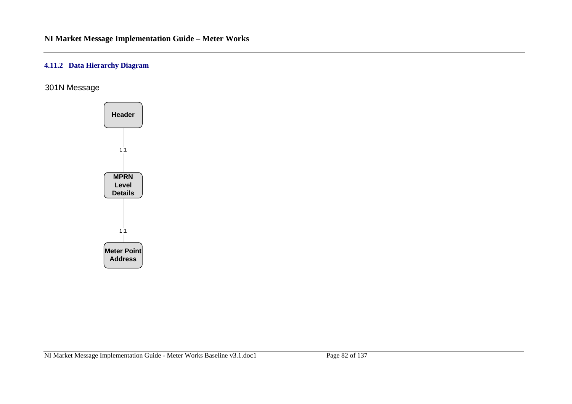### **4.11.2 Data Hierarchy Diagram**

301N Message

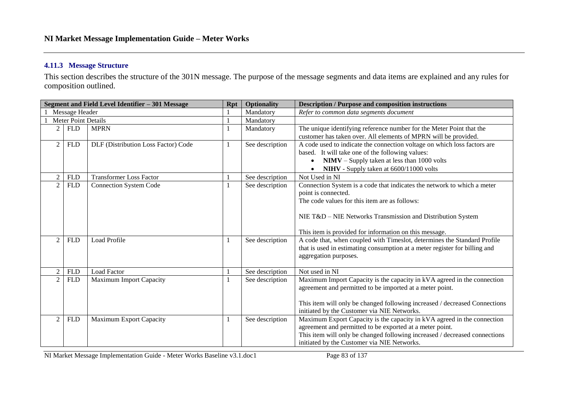### **4.11.3 Message Structure**

This section describes the structure of the 301N message. The purpose of the message segments and data items are explained and any rules for composition outlined.

| Segment and Field Level Identifier - 301 Message |                            |                                     |  | <b>Optionality</b> | <b>Description / Purpose and composition instructions</b>                  |
|--------------------------------------------------|----------------------------|-------------------------------------|--|--------------------|----------------------------------------------------------------------------|
|                                                  | Message Header             |                                     |  | Mandatory          | Refer to common data segments document                                     |
|                                                  | <b>Meter Point Details</b> |                                     |  | Mandatory          |                                                                            |
| 2                                                | <b>FLD</b>                 | <b>MPRN</b>                         |  | Mandatory          | The unique identifying reference number for the Meter Point that the       |
|                                                  |                            |                                     |  |                    | customer has taken over. All elements of MPRN will be provided.            |
| 2                                                | <b>FLD</b>                 | DLF (Distribution Loss Factor) Code |  | See description    | A code used to indicate the connection voltage on which loss factors are   |
|                                                  |                            |                                     |  |                    | based. It will take one of the following values:                           |
|                                                  |                            |                                     |  |                    | $NIMV - Supply$ taken at less than 1000 volts                              |
|                                                  |                            |                                     |  |                    | NIHV - Supply taken at 6600/11000 volts                                    |
| $\mathfrak{D}$                                   | <b>FLD</b>                 | <b>Transformer Loss Factor</b>      |  | See description    | Not Used in NI                                                             |
| $\overline{2}$                                   | <b>FLD</b>                 | Connection System Code              |  | See description    | Connection System is a code that indicates the network to which a meter    |
|                                                  |                            |                                     |  |                    | point is connected.                                                        |
|                                                  |                            |                                     |  |                    | The code values for this item are as follows:                              |
|                                                  |                            |                                     |  |                    |                                                                            |
|                                                  |                            |                                     |  |                    | NIE T&D – NIE Networks Transmission and Distribution System                |
|                                                  |                            |                                     |  |                    |                                                                            |
|                                                  |                            |                                     |  |                    | This item is provided for information on this message.                     |
| 2                                                | <b>FLD</b>                 | <b>Load Profile</b>                 |  | See description    | A code that, when coupled with Timeslot, determines the Standard Profile   |
|                                                  |                            |                                     |  |                    | that is used in estimating consumption at a meter register for billing and |
|                                                  |                            |                                     |  |                    | aggregation purposes.                                                      |
|                                                  |                            |                                     |  |                    |                                                                            |
| $\mathfrak{D}$                                   | <b>FLD</b>                 | <b>Load Factor</b>                  |  | See description    | Not used in NI                                                             |
| $\overline{2}$                                   | <b>FLD</b>                 | <b>Maximum Import Capacity</b>      |  | See description    | Maximum Import Capacity is the capacity in kVA agreed in the connection    |
|                                                  |                            |                                     |  |                    | agreement and permitted to be imported at a meter point.                   |
|                                                  |                            |                                     |  |                    |                                                                            |
|                                                  |                            |                                     |  |                    | This item will only be changed following increased / decreased Connections |
|                                                  |                            |                                     |  |                    | initiated by the Customer via NIE Networks.                                |
| 2                                                | <b>FLD</b>                 | <b>Maximum Export Capacity</b>      |  | See description    | Maximum Export Capacity is the capacity in kVA agreed in the connection    |
|                                                  |                            |                                     |  |                    | agreement and permitted to be exported at a meter point.                   |
|                                                  |                            |                                     |  |                    | This item will only be changed following increased / decreased connections |
|                                                  |                            |                                     |  |                    | initiated by the Customer via NIE Networks.                                |

NI Market Message Implementation Guide - Meter Works Baseline v3.1.doc1 Page 83 of 137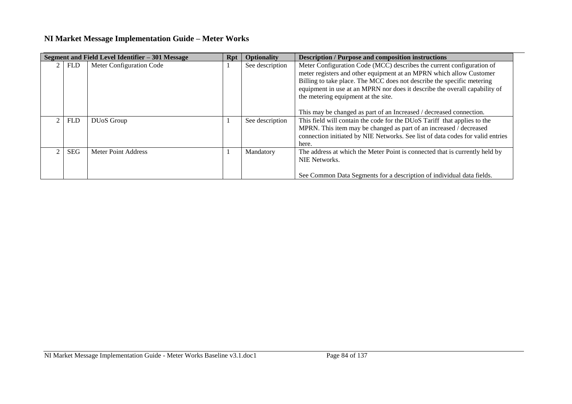|            | Segment and Field Level Identifier - 301 Message | Rpt | <b>Optionality</b> | <b>Description / Purpose and composition instructions</b>                                                                                                                                                                                                                                                                                                                                                          |
|------------|--------------------------------------------------|-----|--------------------|--------------------------------------------------------------------------------------------------------------------------------------------------------------------------------------------------------------------------------------------------------------------------------------------------------------------------------------------------------------------------------------------------------------------|
| <b>FLD</b> | Meter Configuration Code                         |     | See description    | Meter Configuration Code (MCC) describes the current configuration of<br>meter registers and other equipment at an MPRN which allow Customer<br>Billing to take place. The MCC does not describe the specific metering<br>equipment in use at an MPRN nor does it describe the overall capability of<br>the metering equipment at the site.<br>This may be changed as part of an Increased / decreased connection. |
| <b>FLD</b> | DU <sub>o</sub> S Group                          |     | See description    | This field will contain the code for the DUoS Tariff that applies to the<br>MPRN. This item may be changed as part of an increased / decreased<br>connection initiated by NIE Networks. See list of data codes for valid entries<br>here.                                                                                                                                                                          |
| <b>SEG</b> | Meter Point Address                              |     | Mandatory          | The address at which the Meter Point is connected that is currently held by<br>NIE Networks.<br>See Common Data Segments for a description of individual data fields.                                                                                                                                                                                                                                              |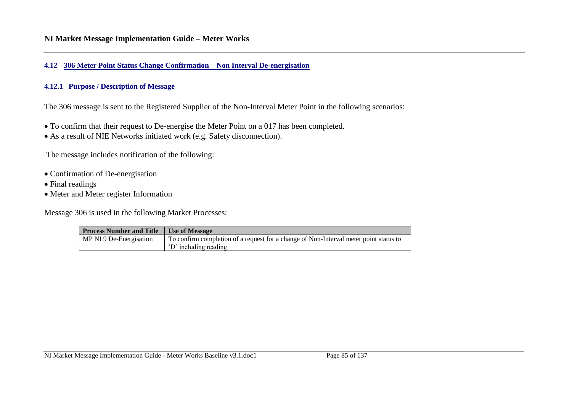#### **4.12 306 Meter Point Status Change Confirmation – Non Interval De-energisation**

#### **4.12.1 Purpose / Description of Message**

The 306 message is sent to the Registered Supplier of the Non-Interval Meter Point in the following scenarios:

- To confirm that their request to De-energise the Meter Point on a 017 has been completed.
- As a result of NIE Networks initiated work (e.g. Safety disconnection).

The message includes notification of the following:

- Confirmation of De-energisation
- Final readings
- Meter and Meter register Information

Message 306 is used in the following Market Processes:

| <b>Process Number and Title</b> | Use of Message                                                                                                 |
|---------------------------------|----------------------------------------------------------------------------------------------------------------|
| MP NI 9 De-Energisation         | To confirm completion of a request for a change of Non-Interval meter point status to<br>'D' including reading |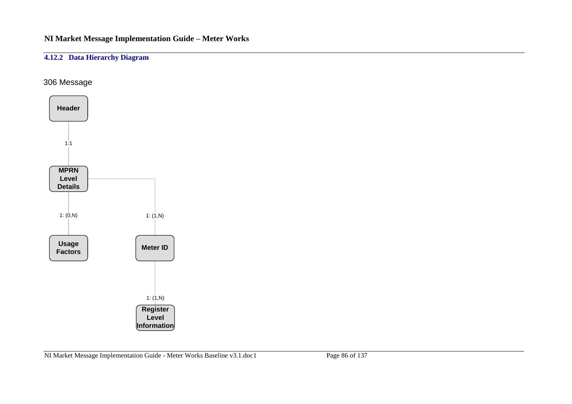## **4.12.2 Data Hierarchy Diagram**

## 306 Message

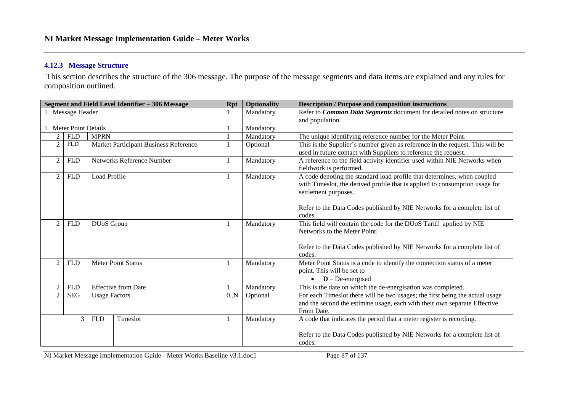### **4.12.3 Message Structure**

This section describes the structure of the 306 message. The purpose of the message segments and data items are explained and any rules for composition outlined.

| Segment and Field Level Identifier - 306 Message |                                                      |                                          | <b>Rpt</b>                            | <b>Optionality</b> | <b>Description / Purpose and composition instructions</b>                    |                                                                               |
|--------------------------------------------------|------------------------------------------------------|------------------------------------------|---------------------------------------|--------------------|------------------------------------------------------------------------------|-------------------------------------------------------------------------------|
| Message Header                                   |                                                      |                                          |                                       |                    | Mandatory                                                                    | Refer to Common Data Segments document for detailed notes on structure        |
|                                                  |                                                      |                                          |                                       |                    | and population.                                                              |                                                                               |
| <b>Meter Point Details</b>                       |                                                      |                                          | $\mathbf{1}$                          | Mandatory          |                                                                              |                                                                               |
| 2                                                | <b>FLD</b>                                           | <b>MPRN</b>                              |                                       |                    | Mandatory                                                                    | The unique identifying reference number for the Meter Point.                  |
| $\overline{2}$                                   | ${\hbox{\rm FLD}}$                                   |                                          | Market Participant Business Reference | 1                  | Optional                                                                     | This is the Supplier's number given as reference in the request. This will be |
|                                                  |                                                      |                                          |                                       |                    |                                                                              | used in future contact with Suppliers to reference the request.               |
| $\overline{2}$                                   | <b>FLD</b>                                           |                                          | Networks Reference Number             | $\mathbf{1}$       | Mandatory                                                                    | A reference to the field activity identifier used within NIE Networks when    |
|                                                  |                                                      |                                          |                                       |                    |                                                                              | fieldwork is performed.                                                       |
| $\overline{2}$                                   | <b>FLD</b>                                           | Load Profile                             |                                       |                    | Mandatory                                                                    | A code denoting the standard load profile that determines, when coupled       |
|                                                  |                                                      |                                          |                                       |                    |                                                                              | with Timeslot, the derived profile that is applied to consumption usage for   |
|                                                  |                                                      |                                          |                                       |                    |                                                                              | settlement purposes.                                                          |
|                                                  |                                                      |                                          |                                       |                    |                                                                              |                                                                               |
|                                                  |                                                      |                                          |                                       |                    |                                                                              | Refer to the Data Codes published by NIE Networks for a complete list of      |
|                                                  |                                                      |                                          |                                       |                    |                                                                              | codes.                                                                        |
| $\mathfrak{D}$                                   | <b>FLD</b>                                           | DUoS Group                               |                                       | 1                  | Mandatory                                                                    | This field will contain the code for the DUoS Tariff applied by NIE           |
|                                                  |                                                      |                                          |                                       |                    |                                                                              | Networks to the Meter Point.                                                  |
|                                                  |                                                      |                                          |                                       |                    |                                                                              |                                                                               |
|                                                  |                                                      |                                          |                                       |                    | Refer to the Data Codes published by NIE Networks for a complete list of     |                                                                               |
|                                                  |                                                      | <b>Meter Point Status</b>                |                                       |                    |                                                                              | codes.                                                                        |
| $\overline{2}$                                   | <b>FLD</b>                                           |                                          |                                       | 1                  | Mandatory                                                                    | Meter Point Status is a code to identify the connection status of a meter     |
|                                                  |                                                      |                                          |                                       |                    |                                                                              | point. This will be set to                                                    |
|                                                  |                                                      |                                          |                                       |                    | $D$ – De-energised<br>$\bullet$                                              |                                                                               |
| $\overline{2}$                                   |                                                      | <b>Effective from Date</b><br><b>FLD</b> |                                       |                    | Mandatory                                                                    | This is the date on which the de-energisation was completed.                  |
|                                                  | $\overline{2}$<br><b>SEG</b><br><b>Usage Factors</b> |                                          | 0.N                                   | Optional           | For each Timeslot there will be two usages; the first being the actual usage |                                                                               |
|                                                  |                                                      |                                          |                                       |                    |                                                                              | and the second the estimate usage, each with their own separate Effective     |
|                                                  |                                                      |                                          |                                       |                    |                                                                              | From Date.                                                                    |
|                                                  | 3                                                    | <b>FLD</b>                               | Timeslot                              | 1                  | Mandatory                                                                    | A code that indicates the period that a meter register is recording.          |
|                                                  |                                                      |                                          |                                       |                    |                                                                              |                                                                               |
|                                                  |                                                      |                                          |                                       |                    |                                                                              | Refer to the Data Codes published by NIE Networks for a complete list of      |
|                                                  |                                                      |                                          |                                       |                    |                                                                              | codes.                                                                        |

NI Market Message Implementation Guide - Meter Works Baseline v3.1.doc1 Page 87 of 137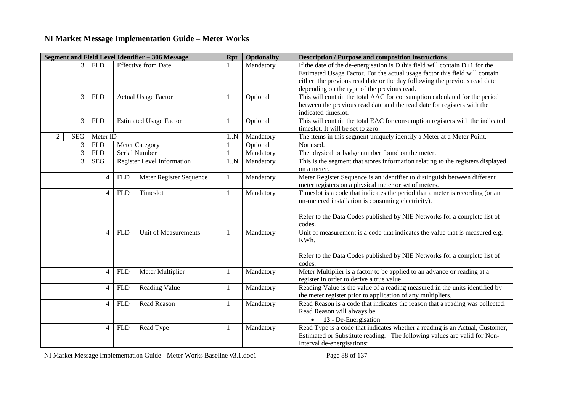|                       |                |                |            | Segment and Field Level Identifier - 306 Message | <b>Rpt</b>   | <b>Optionality</b>         | <b>Description / Purpose and composition instructions</b>                       |
|-----------------------|----------------|----------------|------------|--------------------------------------------------|--------------|----------------------------|---------------------------------------------------------------------------------|
|                       |                | $3$ FLD        |            | <b>Effective from Date</b>                       |              | Mandatory                  | If the date of the de-energisation is $D$ this field will contain $D+1$ for the |
|                       |                |                |            |                                                  |              |                            | Estimated Usage Factor. For the actual usage factor this field will contain     |
|                       |                |                |            |                                                  |              |                            | either the previous read date or the day following the previous read date       |
|                       |                |                |            |                                                  |              |                            | depending on the type of the previous read.                                     |
|                       | 3              | <b>FLD</b>     |            | <b>Actual Usage Factor</b>                       |              | Optional                   | This will contain the total AAC for consumption calculated for the period       |
|                       |                |                |            |                                                  |              |                            | between the previous read date and the read date for registers with the         |
|                       |                |                |            |                                                  |              |                            | indicated timeslot.                                                             |
|                       | 3              | <b>FLD</b>     |            | <b>Estimated Usage Factor</b>                    |              | Optional                   | This will contain the total EAC for consumption registers with the indicated    |
|                       |                |                |            |                                                  |              |                            | times ot. It will be set to zero.                                               |
| SEG<br>$\mathfrak{D}$ |                | Meter ID       |            |                                                  | 1.N          | Mandatory                  | The items in this segment uniquely identify a Meter at a Meter Point.           |
|                       | 3 <sup>1</sup> | <b>FLD</b>     |            | <b>Meter Category</b>                            |              | Optional                   | Not used.                                                                       |
|                       | $\mathfrak{Z}$ | <b>FLD</b>     |            | Serial Number                                    |              | Mandatory                  | The physical or badge number found on the meter.                                |
|                       | 3              | <b>SEG</b>     |            | Register Level Information                       | 1.N          | Mandatory                  | This is the segment that stores information relating to the registers displayed |
|                       |                |                |            |                                                  |              |                            | on a meter.                                                                     |
|                       |                | $\overline{4}$ | <b>FLD</b> | Meter Register Sequence                          | 1            | Mandatory                  | Meter Register Sequence is an identifier to distinguish between different       |
|                       |                |                |            |                                                  |              |                            | meter registers on a physical meter or set of meters.                           |
|                       |                | $\overline{4}$ | <b>FLD</b> | Timeslot                                         |              | Mandatory                  | Timeslot is a code that indicates the period that a meter is recording (or an   |
|                       |                |                |            |                                                  |              |                            | un-metered installation is consuming electricity).                              |
|                       |                |                |            |                                                  |              |                            |                                                                                 |
|                       |                |                |            |                                                  |              |                            | Refer to the Data Codes published by NIE Networks for a complete list of        |
|                       |                |                |            |                                                  |              |                            | codes.                                                                          |
|                       |                | $\overline{4}$ | <b>FLD</b> | Unit of Measurements                             | $\mathbf{1}$ | Mandatory                  | Unit of measurement is a code that indicates the value that is measured e.g.    |
|                       |                |                |            |                                                  |              |                            | KWh.                                                                            |
|                       |                |                |            |                                                  |              |                            |                                                                                 |
|                       |                |                |            |                                                  |              |                            | Refer to the Data Codes published by NIE Networks for a complete list of        |
|                       |                |                |            |                                                  |              |                            | codes.                                                                          |
|                       |                | $\overline{4}$ | <b>FLD</b> | Meter Multiplier                                 | 1            | Mandatory                  | Meter Multiplier is a factor to be applied to an advance or reading at a        |
|                       |                |                |            |                                                  |              |                            | register in order to derive a true value.                                       |
|                       |                | $\overline{4}$ | <b>FLD</b> | Reading Value                                    | 1            | Mandatory                  | Reading Value is the value of a reading measured in the units identified by     |
|                       |                |                |            |                                                  |              |                            | the meter register prior to application of any multipliers.                     |
|                       |                | $\overline{4}$ | <b>FLD</b> | <b>Read Reason</b>                               | 1            | Mandatory                  | Read Reason is a code that indicates the reason that a reading was collected.   |
|                       |                |                |            |                                                  |              | Read Reason will always be |                                                                                 |
|                       |                |                |            |                                                  |              |                            | $\bullet$ 13 - De-Energisation                                                  |
|                       |                | $\overline{4}$ | <b>FLD</b> | Read Type                                        | 1            | Mandatory                  | Read Type is a code that indicates whether a reading is an Actual, Customer,    |
|                       |                |                |            |                                                  |              |                            | Estimated or Substitute reading. The following values are valid for Non-        |
|                       |                |                |            |                                                  |              |                            | Interval de-energisations:                                                      |

NI Market Message Implementation Guide - Meter Works Baseline v3.1.doc1 Page 88 of 137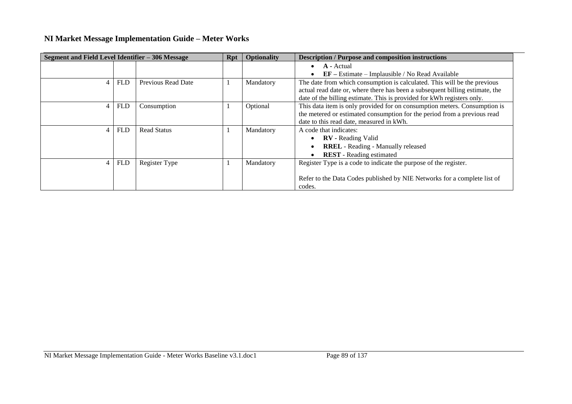| Segment and Field Level Identifier - 306 Message |            |                    | Rpt | <b>Optionality</b> | <b>Description / Purpose and composition instructions</b>                    |
|--------------------------------------------------|------------|--------------------|-----|--------------------|------------------------------------------------------------------------------|
|                                                  |            |                    |     |                    | A - Actual                                                                   |
|                                                  |            |                    |     |                    | $EF - Estimate - Implausible / No Read Available$                            |
| $\overline{4}$                                   | <b>FLD</b> | Previous Read Date |     | Mandatory          | The date from which consumption is calculated. This will be the previous     |
|                                                  |            |                    |     |                    | actual read date or, where there has been a subsequent billing estimate, the |
|                                                  |            |                    |     |                    | date of the billing estimate. This is provided for kWh registers only.       |
| 4                                                | <b>FLD</b> | Consumption        |     | Optional           | This data item is only provided for on consumption meters. Consumption is    |
|                                                  |            |                    |     |                    | the metered or estimated consumption for the period from a previous read     |
|                                                  |            |                    |     |                    | date to this read date, measured in kWh.                                     |
| 4                                                | <b>FLD</b> | <b>Read Status</b> |     | Mandatory          | A code that indicates:                                                       |
|                                                  |            |                    |     |                    | <b>RV</b> - Reading Valid                                                    |
|                                                  |            |                    |     |                    | <b>RREL</b> - Reading - Manually released                                    |
|                                                  |            |                    |     |                    | <b>REST</b> - Reading estimated                                              |
| $\overline{4}$                                   | <b>FLD</b> | Register Type      |     | Mandatory          | Register Type is a code to indicate the purpose of the register.             |
|                                                  |            |                    |     |                    |                                                                              |
|                                                  |            |                    |     |                    | Refer to the Data Codes published by NIE Networks for a complete list of     |
|                                                  |            |                    |     |                    | codes.                                                                       |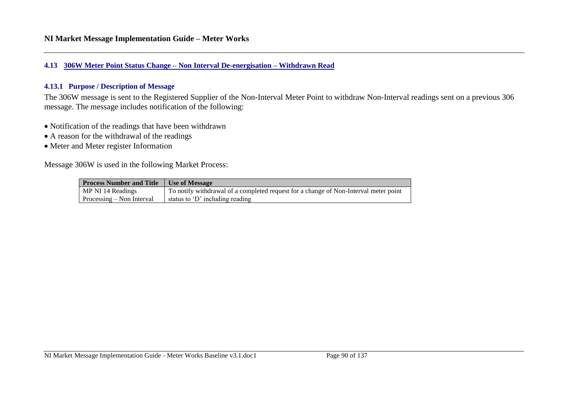#### **4.13 306W Meter Point Status Change – Non Interval De-energisation – Withdrawn Read**

### **4.13.1 Purpose / Description of Message**

The 306W message is sent to the Registered Supplier of the Non-Interval Meter Point to withdraw Non-Interval readings sent on a previous 306 message. The message includes notification of the following:

- Notification of the readings that have been withdrawn
- A reason for the withdrawal of the readings
- Meter and Meter register Information

Message 306W is used in the following Market Process:

| <b>Process Number and Title</b>          | Use of Message                                                                       |
|------------------------------------------|--------------------------------------------------------------------------------------|
| MP NI 14 Readings                        | To notify withdrawal of a completed request for a change of Non-Interval meter point |
| $\blacksquare$ Processing – Non Interval | status to 'D' including reading                                                      |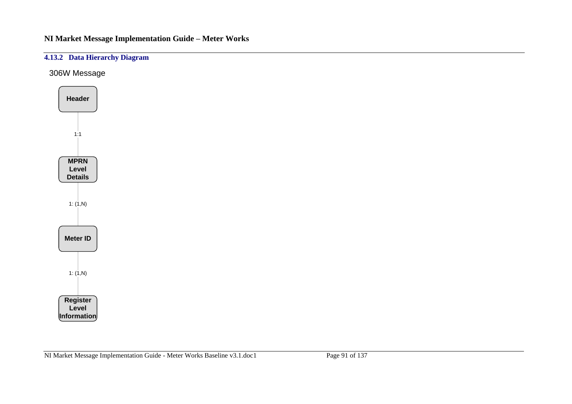## **4.13.2 Data Hierarchy Diagram**

306W Message

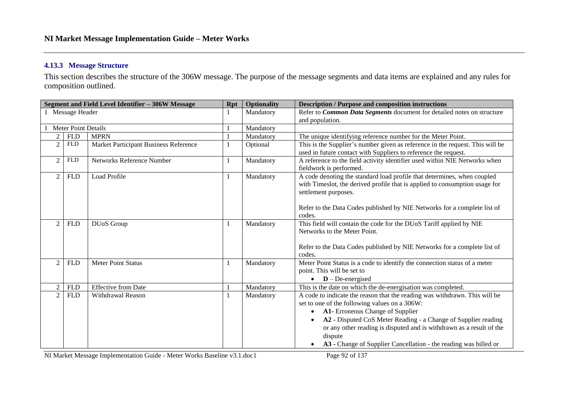### **4.13.3 Message Structure**

This section describes the structure of the 306W message. The purpose of the message segments and data items are explained and any rules for composition outlined.

|                              | Segment and Field Level Identifier - 306W Message | <b>Rpt</b> | Optionality | <b>Description / Purpose and composition instructions</b>                                                                                                                                                                                                                                                                                                                                |
|------------------------------|---------------------------------------------------|------------|-------------|------------------------------------------------------------------------------------------------------------------------------------------------------------------------------------------------------------------------------------------------------------------------------------------------------------------------------------------------------------------------------------------|
| 1 Message Header             |                                                   |            | Mandatory   | Refer to Common Data Segments document for detailed notes on structure                                                                                                                                                                                                                                                                                                                   |
|                              |                                                   |            |             | and population.                                                                                                                                                                                                                                                                                                                                                                          |
|                              | Meter Point Details                               |            |             |                                                                                                                                                                                                                                                                                                                                                                                          |
| 2<br><b>FLD</b>              | <b>MPRN</b>                                       |            | Mandatory   | The unique identifying reference number for the Meter Point.                                                                                                                                                                                                                                                                                                                             |
| $\overline{2}$<br><b>FLD</b> | Market Participant Business Reference             |            | Optional    | This is the Supplier's number given as reference in the request. This will be<br>used in future contact with Suppliers to reference the request.                                                                                                                                                                                                                                         |
| <b>FLD</b><br>2              | Networks Reference Number                         |            | Mandatory   | A reference to the field activity identifier used within NIE Networks when<br>fieldwork is performed.                                                                                                                                                                                                                                                                                    |
| $\overline{2}$<br><b>FLD</b> | Load Profile                                      |            | Mandatory   | A code denoting the standard load profile that determines, when coupled<br>with Timeslot, the derived profile that is applied to consumption usage for<br>settlement purposes.                                                                                                                                                                                                           |
|                              |                                                   |            |             | Refer to the Data Codes published by NIE Networks for a complete list of<br>codes.                                                                                                                                                                                                                                                                                                       |
| $\overline{2}$<br><b>FLD</b> | DUoS Group                                        |            | Mandatory   | This field will contain the code for the DUoS Tariff applied by NIE<br>Networks to the Meter Point.                                                                                                                                                                                                                                                                                      |
|                              |                                                   |            |             | Refer to the Data Codes published by NIE Networks for a complete list of<br>codes.                                                                                                                                                                                                                                                                                                       |
| 2<br><b>FLD</b>              | <b>Meter Point Status</b>                         |            | Mandatory   | Meter Point Status is a code to identify the connection status of a meter<br>point. This will be set to<br>$\bullet$ <b>D</b> – De-energised                                                                                                                                                                                                                                             |
| $\overline{2}$<br><b>FLD</b> | <b>Effective from Date</b>                        |            | Mandatory   | This is the date on which the de-energisation was completed.                                                                                                                                                                                                                                                                                                                             |
| 2<br><b>FLD</b>              | Withdrawal Reason                                 |            | Mandatory   | A code to indicate the reason that the reading was withdrawn. This will be<br>set to one of the following values on a 306W:<br>A1- Erroneous Change of Supplier<br>A2 - Disputed CoS Meter Reading - a Change of Supplier reading<br>or any other reading is disputed and is withdrawn as a result of the<br>dispute<br>A3 - Change of Supplier Cancellation - the reading was billed or |
|                              |                                                   |            |             |                                                                                                                                                                                                                                                                                                                                                                                          |

NI Market Message Implementation Guide - Meter Works Baseline v3.1.doc1 Page 92 of 137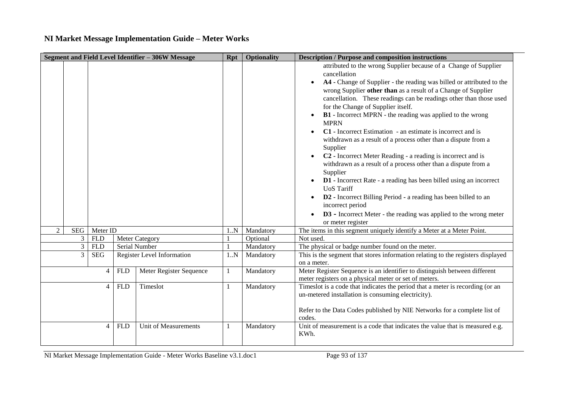| Segment and Field Level Identifier - 306W Message |                |                |            |                            | Rpt | <b>Optionality</b> | <b>Description / Purpose and composition instructions</b>                                                                                                                                                                                                                                                                                                                                                                                                                                                                                                                                                                                                                                                                                                                                                                                                                                                                                                                                                     |
|---------------------------------------------------|----------------|----------------|------------|----------------------------|-----|--------------------|---------------------------------------------------------------------------------------------------------------------------------------------------------------------------------------------------------------------------------------------------------------------------------------------------------------------------------------------------------------------------------------------------------------------------------------------------------------------------------------------------------------------------------------------------------------------------------------------------------------------------------------------------------------------------------------------------------------------------------------------------------------------------------------------------------------------------------------------------------------------------------------------------------------------------------------------------------------------------------------------------------------|
|                                                   |                |                |            |                            |     |                    | attributed to the wrong Supplier because of a Change of Supplier<br>cancellation<br>A4 - Change of Supplier - the reading was billed or attributed to the<br>wrong Supplier other than as a result of a Change of Supplier<br>cancellation. These readings can be readings other than those used<br>for the Change of Supplier itself.<br>B1 - Incorrect MPRN - the reading was applied to the wrong<br><b>MPRN</b><br>C1 - Incorrect Estimation - an estimate is incorrect and is<br>withdrawn as a result of a process other than a dispute from a<br>Supplier<br>C <sub>2</sub> - Incorrect Meter Reading - a reading is incorrect and is<br>withdrawn as a result of a process other than a dispute from a<br>Supplier<br><b>D1</b> - Incorrect Rate - a reading has been billed using an incorrect<br><b>UoS</b> Tariff<br>D2 - Incorrect Billing Period - a reading has been billed to an<br>incorrect period<br>D3 - Incorrect Meter - the reading was applied to the wrong meter<br>or meter register |
| $\mathcal{D}$                                     |                | SEG   Meter ID |            |                            | 1N  | Mandatory          | The items in this segment uniquely identify a Meter at a Meter Point.                                                                                                                                                                                                                                                                                                                                                                                                                                                                                                                                                                                                                                                                                                                                                                                                                                                                                                                                         |
|                                                   | 3              | <b>FLD</b>     |            | <b>Meter Category</b>      |     | Optional           | Not used.                                                                                                                                                                                                                                                                                                                                                                                                                                                                                                                                                                                                                                                                                                                                                                                                                                                                                                                                                                                                     |
|                                                   | $\mathfrak{Z}$ | <b>FLD</b>     |            | Serial Number              |     | Mandatory          | The physical or badge number found on the meter.                                                                                                                                                                                                                                                                                                                                                                                                                                                                                                                                                                                                                                                                                                                                                                                                                                                                                                                                                              |
|                                                   | 3              | <b>SEG</b>     |            | Register Level Information | 1N  | Mandatory          | This is the segment that stores information relating to the registers displayed<br>on a meter.                                                                                                                                                                                                                                                                                                                                                                                                                                                                                                                                                                                                                                                                                                                                                                                                                                                                                                                |
|                                                   |                | $\overline{4}$ | <b>FLD</b> | Meter Register Sequence    | 1   | Mandatory          | Meter Register Sequence is an identifier to distinguish between different<br>meter registers on a physical meter or set of meters.                                                                                                                                                                                                                                                                                                                                                                                                                                                                                                                                                                                                                                                                                                                                                                                                                                                                            |
|                                                   | $\overline{4}$ |                | <b>FLD</b> | Timeslot                   | 1   | Mandatory          | Timeslot is a code that indicates the period that a meter is recording (or an<br>un-metered installation is consuming electricity).<br>Refer to the Data Codes published by NIE Networks for a complete list of<br>codes.                                                                                                                                                                                                                                                                                                                                                                                                                                                                                                                                                                                                                                                                                                                                                                                     |
|                                                   |                | $\overline{4}$ | <b>FLD</b> | Unit of Measurements       |     | Mandatory          | Unit of measurement is a code that indicates the value that is measured e.g.<br>KWh.                                                                                                                                                                                                                                                                                                                                                                                                                                                                                                                                                                                                                                                                                                                                                                                                                                                                                                                          |

NI Market Message Implementation Guide - Meter Works Baseline v3.1.doc1 Page 93 of 137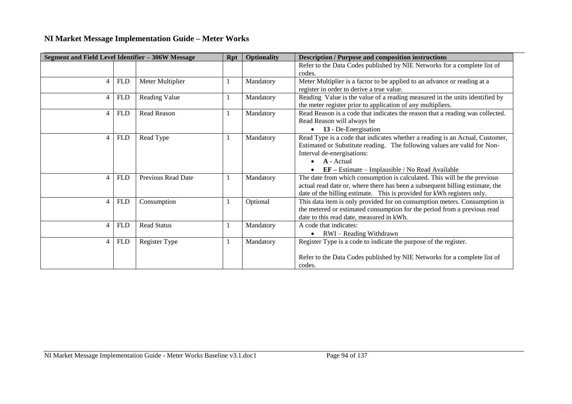| Segment and Field Level Identifier - 306W Message |            |                    | <b>Rpt</b> | <b>Optionality</b> | <b>Description / Purpose and composition instructions</b>                     |  |
|---------------------------------------------------|------------|--------------------|------------|--------------------|-------------------------------------------------------------------------------|--|
|                                                   |            |                    |            |                    | Refer to the Data Codes published by NIE Networks for a complete list of      |  |
|                                                   |            |                    |            |                    | codes.                                                                        |  |
| 4                                                 | <b>FLD</b> | Meter Multiplier   |            | Mandatory          | Meter Multiplier is a factor to be applied to an advance or reading at a      |  |
|                                                   |            |                    |            |                    | register in order to derive a true value.                                     |  |
| 4                                                 | <b>FLD</b> | Reading Value      |            | Mandatory          | Reading Value is the value of a reading measured in the units identified by   |  |
|                                                   |            |                    |            |                    | the meter register prior to application of any multipliers.                   |  |
| 4                                                 | <b>FLD</b> | Read Reason        |            | Mandatory          | Read Reason is a code that indicates the reason that a reading was collected. |  |
|                                                   |            |                    |            |                    | Read Reason will always be                                                    |  |
|                                                   |            |                    |            |                    | 13 - De-Energisation<br>$\bullet$                                             |  |
| 4                                                 | <b>FLD</b> | Read Type          | $\perp$    | Mandatory          | Read Type is a code that indicates whether a reading is an Actual, Customer,  |  |
|                                                   |            |                    |            |                    | Estimated or Substitute reading. The following values are valid for Non-      |  |
|                                                   |            |                    |            |                    | Interval de-energisations:                                                    |  |
|                                                   |            |                    |            |                    | $A - Actual$<br>$\bullet$                                                     |  |
|                                                   |            |                    |            |                    | $EF - Estimate - Implausible / No Read Available$<br>$\bullet$                |  |
| 4                                                 | <b>FLD</b> | Previous Read Date |            | Mandatory          | The date from which consumption is calculated. This will be the previous      |  |
|                                                   |            |                    |            |                    | actual read date or, where there has been a subsequent billing estimate, the  |  |
|                                                   |            |                    |            |                    | date of the billing estimate. This is provided for kWh registers only.        |  |
| 4                                                 | <b>FLD</b> | Consumption        |            | Optional           | This data item is only provided for on consumption meters. Consumption is     |  |
|                                                   |            |                    |            |                    | the metered or estimated consumption for the period from a previous read      |  |
|                                                   |            |                    |            |                    | date to this read date, measured in kWh.                                      |  |
| 4                                                 | <b>FLD</b> | <b>Read Status</b> |            | Mandatory          | A code that indicates:                                                        |  |
|                                                   |            |                    |            |                    | RWI - Reading Withdrawn<br>$\bullet$                                          |  |
| 4                                                 | <b>FLD</b> | Register Type      |            | Mandatory          | Register Type is a code to indicate the purpose of the register.              |  |
|                                                   |            |                    |            |                    |                                                                               |  |
|                                                   |            |                    |            |                    | Refer to the Data Codes published by NIE Networks for a complete list of      |  |
|                                                   |            |                    |            |                    | codes.                                                                        |  |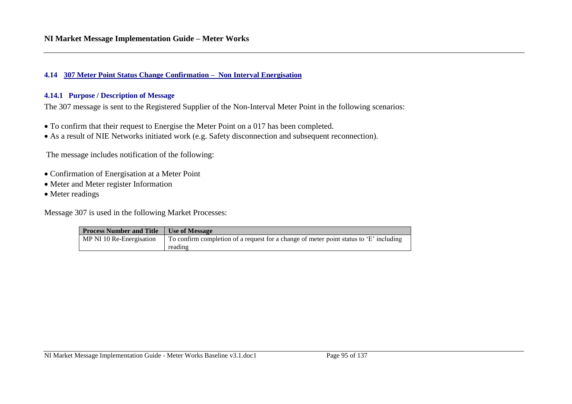#### **4.14 307 Meter Point Status Change Confirmation – Non Interval Energisation**

#### **4.14.1 Purpose / Description of Message**

The 307 message is sent to the Registered Supplier of the Non-Interval Meter Point in the following scenarios:

- To confirm that their request to Energise the Meter Point on a 017 has been completed.
- As a result of NIE Networks initiated work (e.g. Safety disconnection and subsequent reconnection).

The message includes notification of the following:

- Confirmation of Energisation at a Meter Point
- Meter and Meter register Information
- Meter readings

Message 307 is used in the following Market Processes:

| <b>Process Number and Title</b> | Use of Message                                                                          |
|---------------------------------|-----------------------------------------------------------------------------------------|
| MP NI 10 Re-Energisation        | To confirm completion of a request for a change of meter point status to $E'$ including |
|                                 | reading                                                                                 |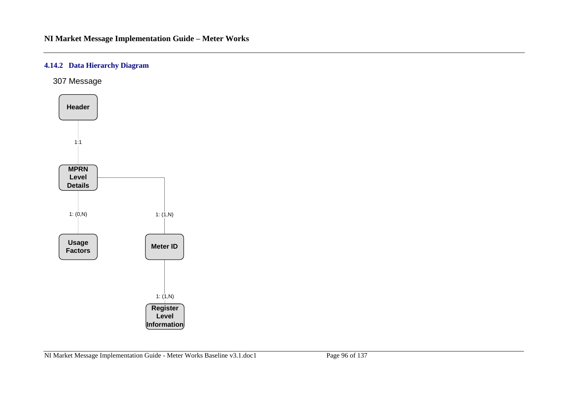## **4.14.2 Data Hierarchy Diagram**

307 Message

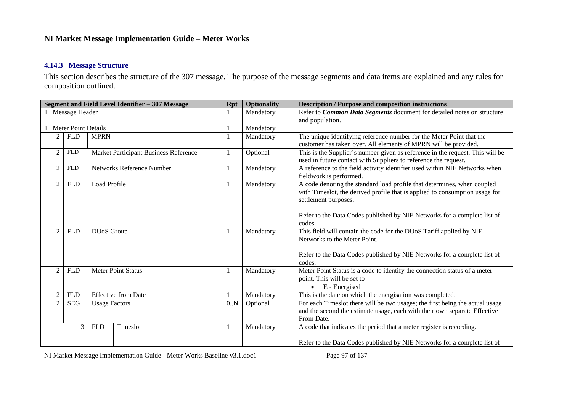### **4.14.3 Message Structure**

This section describes the structure of the 307 message. The purpose of the message segments and data items are explained and any rules for composition outlined.

|                                                      |                |                   | Segment and Field Level Identifier - 307 Message | <b>Rpt</b>                                                                   | <b>Optionality</b>         | <b>Description / Purpose and composition instructions</b>                     |
|------------------------------------------------------|----------------|-------------------|--------------------------------------------------|------------------------------------------------------------------------------|----------------------------|-------------------------------------------------------------------------------|
|                                                      | Message Header |                   |                                                  |                                                                              | Mandatory                  | Refer to Common Data Segments document for detailed notes on structure        |
| <b>Meter Point Details</b>                           |                |                   |                                                  |                                                                              |                            | and population.                                                               |
|                                                      |                |                   |                                                  |                                                                              | Mandatory                  |                                                                               |
| 2                                                    | <b>FLD</b>     | <b>MPRN</b>       |                                                  |                                                                              | Mandatory                  | The unique identifying reference number for the Meter Point that the          |
|                                                      |                |                   |                                                  |                                                                              |                            | customer has taken over. All elements of MPRN will be provided.               |
| $\overline{2}$                                       | <b>FLD</b>     |                   | Market Participant Business Reference            | 1                                                                            | Optional                   | This is the Supplier's number given as reference in the request. This will be |
|                                                      |                |                   |                                                  |                                                                              |                            | used in future contact with Suppliers to reference the request.               |
| $\overline{c}$                                       | <b>FLD</b>     |                   | Networks Reference Number                        |                                                                              | Mandatory                  | A reference to the field activity identifier used within NIE Networks when    |
|                                                      |                |                   |                                                  |                                                                              |                            | fieldwork is performed.                                                       |
| 2                                                    | <b>FLD</b>     | Load Profile      |                                                  | 1                                                                            | Mandatory                  | A code denoting the standard load profile that determines, when coupled       |
|                                                      |                |                   |                                                  |                                                                              |                            | with Timeslot, the derived profile that is applied to consumption usage for   |
|                                                      |                |                   |                                                  |                                                                              |                            | settlement purposes.                                                          |
|                                                      |                |                   |                                                  |                                                                              |                            |                                                                               |
|                                                      |                |                   |                                                  |                                                                              |                            | Refer to the Data Codes published by NIE Networks for a complete list of      |
|                                                      |                |                   |                                                  |                                                                              |                            | codes.                                                                        |
| $\overline{2}$                                       | <b>FLD</b>     | <b>DUoS</b> Group |                                                  | 1                                                                            | Mandatory                  | This field will contain the code for the DUoS Tariff applied by NIE           |
|                                                      |                |                   |                                                  |                                                                              |                            | Networks to the Meter Point.                                                  |
|                                                      |                |                   |                                                  |                                                                              |                            |                                                                               |
|                                                      |                |                   |                                                  |                                                                              |                            | Refer to the Data Codes published by NIE Networks for a complete list of      |
|                                                      |                |                   |                                                  |                                                                              |                            | codes.                                                                        |
| 2                                                    | <b>FLD</b>     |                   | <b>Meter Point Status</b>                        |                                                                              | Mandatory                  | Meter Point Status is a code to identify the connection status of a meter     |
|                                                      |                |                   |                                                  |                                                                              | point. This will be set to |                                                                               |
|                                                      |                |                   |                                                  |                                                                              | E - Energised<br>$\bullet$ |                                                                               |
| $\overline{2}$                                       | <b>FLD</b>     |                   | <b>Effective from Date</b>                       |                                                                              | Mandatory                  | This is the date on which the energisation was completed.                     |
| $\overline{2}$<br><b>SEG</b><br><b>Usage Factors</b> |                | 0.N               | Optional                                         | For each Timeslot there will be two usages; the first being the actual usage |                            |                                                                               |
|                                                      |                |                   |                                                  |                                                                              |                            | and the second the estimate usage, each with their own separate Effective     |
|                                                      |                |                   |                                                  |                                                                              |                            | From Date.                                                                    |
|                                                      | 3              | <b>FLD</b>        | Timeslot                                         | $\mathbf{1}$                                                                 | Mandatory                  | A code that indicates the period that a meter register is recording.          |
|                                                      |                |                   |                                                  |                                                                              |                            |                                                                               |
|                                                      |                |                   |                                                  |                                                                              |                            | Refer to the Data Codes published by NIE Networks for a complete list of      |

NI Market Message Implementation Guide - Meter Works Baseline v3.1.doc1 Page 97 of 137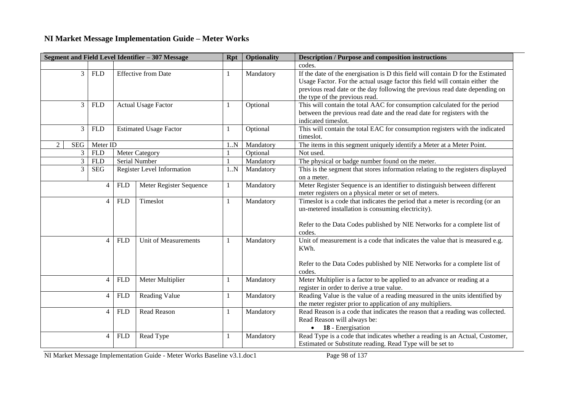| Segment and Field Level Identifier - 307 Message |                |                                          |            |                               | <b>Rpt</b>   | <b>Optionality</b> | <b>Description / Purpose and composition instructions</b>                                                                                                                                                                                                                         |
|--------------------------------------------------|----------------|------------------------------------------|------------|-------------------------------|--------------|--------------------|-----------------------------------------------------------------------------------------------------------------------------------------------------------------------------------------------------------------------------------------------------------------------------------|
|                                                  |                |                                          |            |                               |              |                    | codes.                                                                                                                                                                                                                                                                            |
|                                                  | $\overline{3}$ | <b>FLD</b><br><b>Effective from Date</b> |            |                               |              | Mandatory          | If the date of the energisation is D this field will contain D for the Estimated<br>Usage Factor. For the actual usage factor this field will contain either the<br>previous read date or the day following the previous read date depending on<br>the type of the previous read. |
|                                                  | 3              | <b>FLD</b>                               |            | <b>Actual Usage Factor</b>    | $\mathbf{1}$ | Optional           | This will contain the total AAC for consumption calculated for the period<br>between the previous read date and the read date for registers with the<br>indicated timeslot.                                                                                                       |
|                                                  | 3              | <b>FLD</b>                               |            | <b>Estimated Usage Factor</b> | $\mathbf{1}$ | Optional           | This will contain the total EAC for consumption registers with the indicated<br>timeslot.                                                                                                                                                                                         |
| 2                                                | SEG            | Meter ID                                 |            |                               | 1.N          | Mandatory          | The items in this segment uniquely identify a Meter at a Meter Point.                                                                                                                                                                                                             |
|                                                  | 3              | <b>FLD</b>                               |            | <b>Meter Category</b>         |              | Optional           | Not used.                                                                                                                                                                                                                                                                         |
|                                                  | $\overline{3}$ | <b>FLD</b>                               |            | Serial Number                 |              | Mandatory          | The physical or badge number found on the meter.                                                                                                                                                                                                                                  |
|                                                  | 3              | <b>SEG</b>                               |            | Register Level Information    | 1.N          | Mandatory          | This is the segment that stores information relating to the registers displayed<br>on a meter.                                                                                                                                                                                    |
|                                                  | $\overline{4}$ |                                          | <b>FLD</b> | Meter Register Sequence       | $\mathbf{1}$ | Mandatory          | Meter Register Sequence is an identifier to distinguish between different<br>meter registers on a physical meter or set of meters.                                                                                                                                                |
|                                                  |                | $\overline{4}$                           | <b>FLD</b> | Timeslot                      | $\mathbf{1}$ | Mandatory          | Timeslot is a code that indicates the period that a meter is recording (or an<br>un-metered installation is consuming electricity).<br>Refer to the Data Codes published by NIE Networks for a complete list of<br>codes.                                                         |
|                                                  | $\overline{4}$ |                                          | <b>FLD</b> | <b>Unit of Measurements</b>   | -1           | Mandatory          | Unit of measurement is a code that indicates the value that is measured e.g.<br>KWh.<br>Refer to the Data Codes published by NIE Networks for a complete list of<br>codes.                                                                                                        |
|                                                  |                | $\overline{4}$                           | <b>FLD</b> | Meter Multiplier              | 1            | Mandatory          | Meter Multiplier is a factor to be applied to an advance or reading at a<br>register in order to derive a true value.                                                                                                                                                             |
|                                                  |                | $\overline{4}$                           | <b>FLD</b> | Reading Value                 | 1            | Mandatory          | Reading Value is the value of a reading measured in the units identified by<br>the meter register prior to application of any multipliers.                                                                                                                                        |
|                                                  |                | $\overline{4}$                           | <b>FLD</b> | Read Reason                   | -1           | Mandatory          | Read Reason is a code that indicates the reason that a reading was collected.<br>Read Reason will always be:<br>$\bullet$ <b>18</b> - Energisation                                                                                                                                |
|                                                  |                | $\overline{4}$                           | <b>FLD</b> | Read Type                     | -1           | Mandatory          | Read Type is a code that indicates whether a reading is an Actual, Customer,<br>Estimated or Substitute reading. Read Type will be set to                                                                                                                                         |

NI Market Message Implementation Guide - Meter Works Baseline v3.1.doc1 Page 98 of 137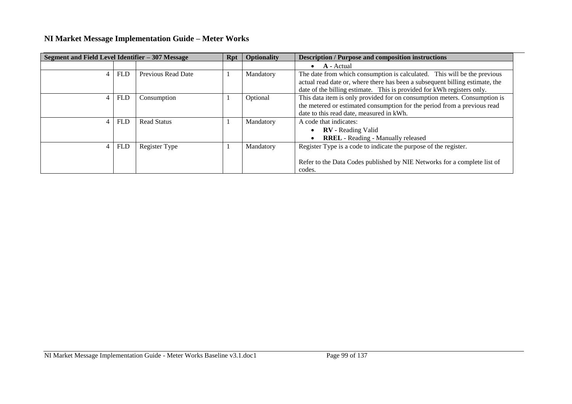| Segment and Field Level Identifier - 307 Message |            |                    | <b>Rpt</b> | <b>Optionality</b> | <b>Description / Purpose and composition instructions</b>                                                                                                                                                                          |
|--------------------------------------------------|------------|--------------------|------------|--------------------|------------------------------------------------------------------------------------------------------------------------------------------------------------------------------------------------------------------------------------|
|                                                  |            |                    |            |                    | A - Actual                                                                                                                                                                                                                         |
| 4                                                | <b>FLD</b> | Previous Read Date |            | Mandatory          | The date from which consumption is calculated. This will be the previous<br>actual read date or, where there has been a subsequent billing estimate, the<br>date of the billing estimate. This is provided for kWh registers only. |
| 4                                                | <b>FLD</b> | Consumption        |            | Optional           | This data item is only provided for on consumption meters. Consumption is<br>the metered or estimated consumption for the period from a previous read<br>date to this read date, measured in kWh.                                  |
| 4                                                | <b>FLD</b> | <b>Read Status</b> |            | Mandatory          | A code that indicates:<br><b>RV</b> - Reading Valid<br><b>RREL</b> - Reading - Manually released                                                                                                                                   |
|                                                  | <b>FLD</b> | Register Type      |            | Mandatory          | Register Type is a code to indicate the purpose of the register.<br>Refer to the Data Codes published by NIE Networks for a complete list of<br>codes.                                                                             |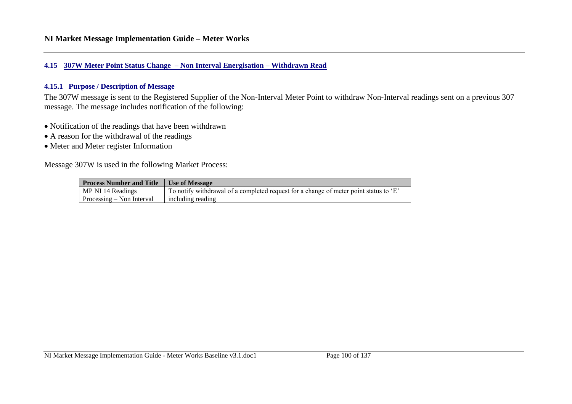#### **4.15 307W Meter Point Status Change – Non Interval Energisation – Withdrawn Read**

### **4.15.1 Purpose / Description of Message**

The 307W message is sent to the Registered Supplier of the Non-Interval Meter Point to withdraw Non-Interval readings sent on a previous 307 message. The message includes notification of the following:

- Notification of the readings that have been withdrawn
- A reason for the withdrawal of the readings
- Meter and Meter register Information

Message 307W is used in the following Market Process:

| <b>Process Number and Title</b>    | Use of Message                                                                        |
|------------------------------------|---------------------------------------------------------------------------------------|
| MP NI 14 Readings                  | To notify withdrawal of a completed request for a change of meter point status to 'E' |
| $\Gamma$ Processing – Non Interval | including reading                                                                     |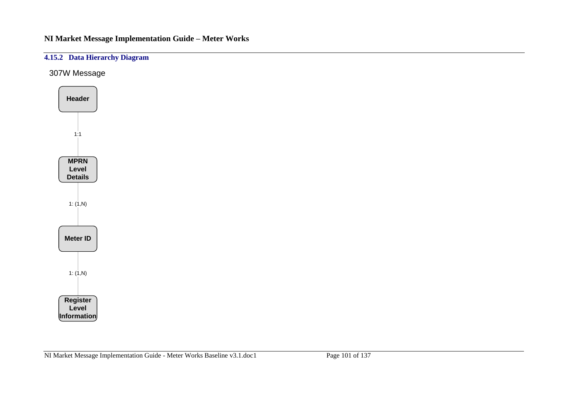## **4.15.2 Data Hierarchy Diagram**

307W Message

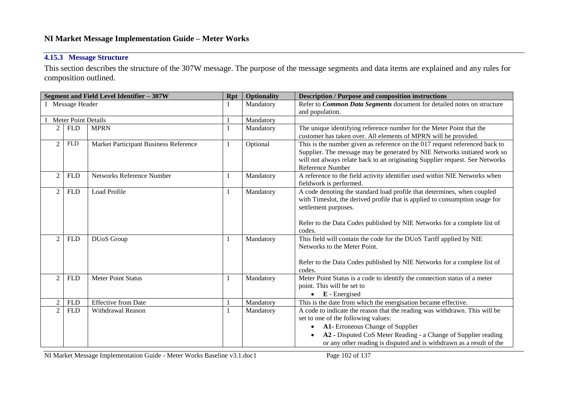## **4.15.3 Message Structure**

This section describes the structure of the 307W message. The purpose of the message segments and data items are explained and any rules for composition outlined.

|                |                            | Segment and Field Level Identifier - 307W | <b>Rpt</b>   | <b>Optionality</b> | <b>Description / Purpose and composition instructions</b>                          |
|----------------|----------------------------|-------------------------------------------|--------------|--------------------|------------------------------------------------------------------------------------|
|                | Message Header             |                                           |              | Mandatory          | Refer to Common Data Segments document for detailed notes on structure             |
|                |                            |                                           |              |                    | and population.                                                                    |
|                | <b>Meter Point Details</b> |                                           |              | Mandatory          |                                                                                    |
| $\overline{c}$ | ${\hbox{\rm FLD}}$         | <b>MPRN</b>                               | $\mathbf{1}$ | Mandatory          | The unique identifying reference number for the Meter Point that the               |
|                |                            |                                           |              |                    | customer has taken over. All elements of MPRN will be provided.                    |
| $\overline{2}$ | <b>FLD</b>                 | Market Participant Business Reference     | 1            | Optional           | This is the number given as reference on the 017 request referenced back to        |
|                |                            |                                           |              |                    | Supplier. The message may be generated by NIE Networks initiated work so           |
|                |                            |                                           |              |                    | will not always relate back to an originating Supplier request. See Networks       |
|                |                            |                                           |              |                    | Reference Number                                                                   |
| $\overline{2}$ | <b>FLD</b>                 | Networks Reference Number                 | $\mathbf{1}$ | Mandatory          | A reference to the field activity identifier used within NIE Networks when         |
|                |                            |                                           |              |                    | fieldwork is performed.                                                            |
| $\overline{2}$ | <b>FLD</b>                 | Load Profile                              | $\mathbf{1}$ | Mandatory          | A code denoting the standard load profile that determines, when coupled            |
|                |                            |                                           |              |                    | with Timeslot, the derived profile that is applied to consumption usage for        |
|                |                            |                                           |              |                    | settlement purposes.                                                               |
|                |                            |                                           |              |                    |                                                                                    |
|                |                            |                                           |              |                    | Refer to the Data Codes published by NIE Networks for a complete list of<br>codes. |
| $\overline{2}$ | <b>FLD</b>                 | DUoS Group                                |              | Mandatory          | This field will contain the code for the DUoS Tariff applied by NIE                |
|                |                            |                                           |              |                    | Networks to the Meter Point.                                                       |
|                |                            |                                           |              |                    |                                                                                    |
|                |                            |                                           |              |                    | Refer to the Data Codes published by NIE Networks for a complete list of           |
|                |                            |                                           |              |                    | codes.                                                                             |
| $\overline{2}$ | <b>FLD</b>                 | Meter Point Status                        | 1            | Mandatory          | Meter Point Status is a code to identify the connection status of a meter          |
|                |                            |                                           |              |                    | point. This will be set to                                                         |
|                |                            |                                           |              |                    | $\bullet$ E - Energised                                                            |
| $\overline{2}$ | <b>FLD</b>                 | <b>Effective from Date</b>                |              | Mandatory          | This is the date from which the energisation became effective.                     |
| $\overline{2}$ | <b>FLD</b>                 | Withdrawal Reason                         | 1            | Mandatory          | A code to indicate the reason that the reading was withdrawn. This will be         |
|                |                            |                                           |              |                    | set to one of the following values:                                                |
|                |                            |                                           |              |                    | A1- Erroneous Change of Supplier<br>$\bullet$                                      |
|                |                            |                                           |              |                    | A2 - Disputed CoS Meter Reading - a Change of Supplier reading                     |
|                |                            |                                           |              |                    | or any other reading is disputed and is withdrawn as a result of the               |

NI Market Message Implementation Guide - Meter Works Baseline v3.1.doc1 Page 102 of 137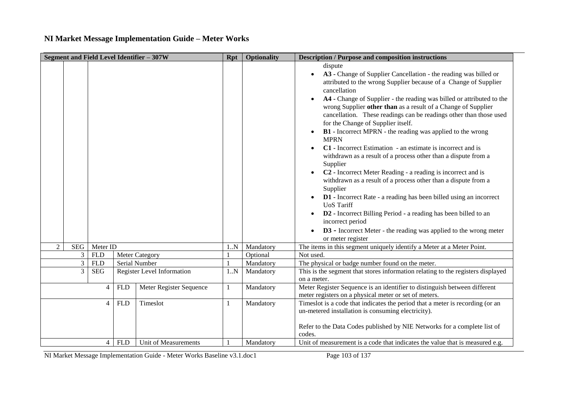| Segment and Field Level Identifier - 307W |                |            |                                   | <b>Rpt</b> | <b>Optionality</b> | <b>Description / Purpose and composition instructions</b>                                                                                                                                                                                                                                                                                                                                                                                                                                                                                                                                                                                                                                                                                                                                                                                                                                                                                                                                                                                                                                            |
|-------------------------------------------|----------------|------------|-----------------------------------|------------|--------------------|------------------------------------------------------------------------------------------------------------------------------------------------------------------------------------------------------------------------------------------------------------------------------------------------------------------------------------------------------------------------------------------------------------------------------------------------------------------------------------------------------------------------------------------------------------------------------------------------------------------------------------------------------------------------------------------------------------------------------------------------------------------------------------------------------------------------------------------------------------------------------------------------------------------------------------------------------------------------------------------------------------------------------------------------------------------------------------------------------|
|                                           |                |            |                                   |            |                    | dispute<br>A3 - Change of Supplier Cancellation - the reading was billed or<br>$\bullet$<br>attributed to the wrong Supplier because of a Change of Supplier<br>cancellation<br>A4 - Change of Supplier - the reading was billed or attributed to the<br>wrong Supplier other than as a result of a Change of Supplier<br>cancellation. These readings can be readings other than those used<br>for the Change of Supplier itself.<br>B1 - Incorrect MPRN - the reading was applied to the wrong<br><b>MPRN</b><br>C1 - Incorrect Estimation - an estimate is incorrect and is<br>withdrawn as a result of a process other than a dispute from a<br>Supplier<br>C2 - Incorrect Meter Reading - a reading is incorrect and is<br>withdrawn as a result of a process other than a dispute from a<br>Supplier<br><b>D1</b> - Incorrect Rate - a reading has been billed using an incorrect<br><b>UoS</b> Tariff<br>D2 - Incorrect Billing Period - a reading has been billed to an<br>incorrect period<br><b>D3</b> - Incorrect Meter - the reading was applied to the wrong meter<br>or meter register |
| $\overline{2}$<br>SEG                     | Meter ID       |            |                                   | $1N$       | Mandatory          | The items in this segment uniquely identify a Meter at a Meter Point.                                                                                                                                                                                                                                                                                                                                                                                                                                                                                                                                                                                                                                                                                                                                                                                                                                                                                                                                                                                                                                |
| 3                                         | <b>FLD</b>     |            | <b>Meter Category</b>             |            | Optional           | Not used.                                                                                                                                                                                                                                                                                                                                                                                                                                                                                                                                                                                                                                                                                                                                                                                                                                                                                                                                                                                                                                                                                            |
| $\mathfrak{Z}$                            | <b>FLD</b>     |            | Serial Number                     |            | Mandatory          | The physical or badge number found on the meter.                                                                                                                                                                                                                                                                                                                                                                                                                                                                                                                                                                                                                                                                                                                                                                                                                                                                                                                                                                                                                                                     |
| 3                                         | <b>SEG</b>     |            | <b>Register Level Information</b> | 1.N        | Mandatory          | This is the segment that stores information relating to the registers displayed<br>on a meter.                                                                                                                                                                                                                                                                                                                                                                                                                                                                                                                                                                                                                                                                                                                                                                                                                                                                                                                                                                                                       |
|                                           | $\overline{4}$ | <b>FLD</b> | Meter Register Sequence           | 1          | Mandatory          | Meter Register Sequence is an identifier to distinguish between different<br>meter registers on a physical meter or set of meters.                                                                                                                                                                                                                                                                                                                                                                                                                                                                                                                                                                                                                                                                                                                                                                                                                                                                                                                                                                   |
|                                           | $\overline{4}$ | <b>FLD</b> | Timeslot                          | -1         | Mandatory          | Timeslot is a code that indicates the period that a meter is recording (or an<br>un-metered installation is consuming electricity).<br>Refer to the Data Codes published by NIE Networks for a complete list of<br>codes.                                                                                                                                                                                                                                                                                                                                                                                                                                                                                                                                                                                                                                                                                                                                                                                                                                                                            |
|                                           | $\overline{4}$ | <b>FLD</b> | <b>Unit of Measurements</b>       |            | Mandatory          | Unit of measurement is a code that indicates the value that is measured e.g.                                                                                                                                                                                                                                                                                                                                                                                                                                                                                                                                                                                                                                                                                                                                                                                                                                                                                                                                                                                                                         |

NI Market Message Implementation Guide - Meter Works Baseline v3.1.doc1 Page 103 of 137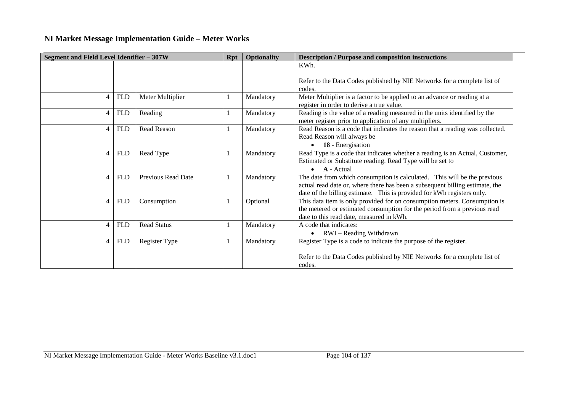| Segment and Field Level Identifier - 307W |                    |                           | <b>Rpt</b> | <b>Optionality</b> | <b>Description / Purpose and composition instructions</b>                     |
|-------------------------------------------|--------------------|---------------------------|------------|--------------------|-------------------------------------------------------------------------------|
|                                           |                    |                           |            |                    | KWh.                                                                          |
|                                           |                    |                           |            |                    |                                                                               |
|                                           |                    |                           |            |                    | Refer to the Data Codes published by NIE Networks for a complete list of      |
|                                           |                    |                           |            |                    | codes.                                                                        |
| $\overline{4}$                            | <b>FLD</b>         | Meter Multiplier          |            | Mandatory          | Meter Multiplier is a factor to be applied to an advance or reading at a      |
|                                           |                    |                           |            |                    | register in order to derive a true value.                                     |
| 4                                         | <b>FLD</b>         | Reading                   |            | Mandatory          | Reading is the value of a reading measured in the units identified by the     |
|                                           |                    |                           |            |                    | meter register prior to application of any multipliers.                       |
| $\overline{4}$                            | <b>FLD</b>         | Read Reason               |            | Mandatory          | Read Reason is a code that indicates the reason that a reading was collected. |
|                                           |                    |                           |            |                    | Read Reason will always be                                                    |
|                                           |                    |                           |            |                    | 18 - Energisation                                                             |
| $\overline{4}$                            | ${\hbox{\rm FLD}}$ | Read Type                 |            | Mandatory          | Read Type is a code that indicates whether a reading is an Actual, Customer,  |
|                                           |                    |                           |            |                    | Estimated or Substitute reading. Read Type will be set to                     |
|                                           |                    |                           |            |                    | A - Actual                                                                    |
| $\overline{4}$                            | <b>FLD</b>         | <b>Previous Read Date</b> |            | Mandatory          | The date from which consumption is calculated. This will be the previous      |
|                                           |                    |                           |            |                    | actual read date or, where there has been a subsequent billing estimate, the  |
|                                           |                    |                           |            |                    | date of the billing estimate. This is provided for kWh registers only.        |
| $\overline{4}$                            | <b>FLD</b>         | Consumption               |            | Optional           | This data item is only provided for on consumption meters. Consumption is     |
|                                           |                    |                           |            |                    | the metered or estimated consumption for the period from a previous read      |
|                                           |                    |                           |            |                    | date to this read date, measured in kWh.                                      |
| $\overline{4}$                            | <b>FLD</b>         | <b>Read Status</b>        |            | Mandatory          | A code that indicates:                                                        |
|                                           |                    |                           |            |                    | RWI – Reading Withdrawn                                                       |
| $\overline{4}$                            | <b>FLD</b>         | Register Type             |            | Mandatory          | Register Type is a code to indicate the purpose of the register.              |
|                                           |                    |                           |            |                    |                                                                               |
|                                           |                    |                           |            |                    | Refer to the Data Codes published by NIE Networks for a complete list of      |
|                                           |                    |                           |            |                    | codes.                                                                        |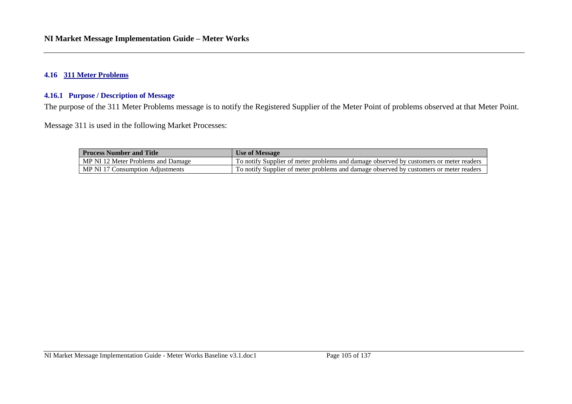### **4.16 311 Meter Problems**

### **4.16.1 Purpose / Description of Message**

The purpose of the 311 Meter Problems message is to notify the Registered Supplier of the Meter Point of problems observed at that Meter Point.

Message 311 is used in the following Market Processes:

| <b>Process Number and Title</b>    | Use of Message                                                                         |
|------------------------------------|----------------------------------------------------------------------------------------|
| MP NI 12 Meter Problems and Damage | To notify Supplier of meter problems and damage observed by customers or meter readers |
| MP NI 17 Consumption Adjustments   | To notify Supplier of meter problems and damage observed by customers or meter readers |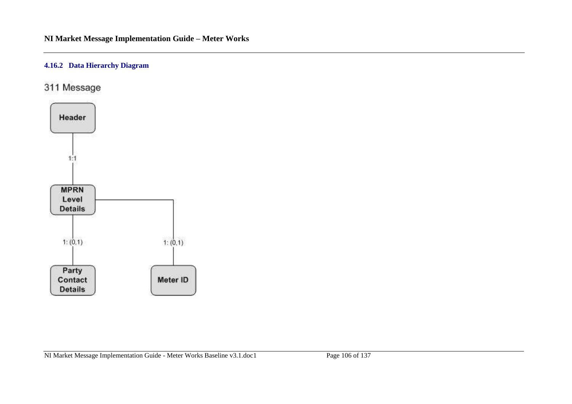## **4.16.2 Data Hierarchy Diagram**

311 Message

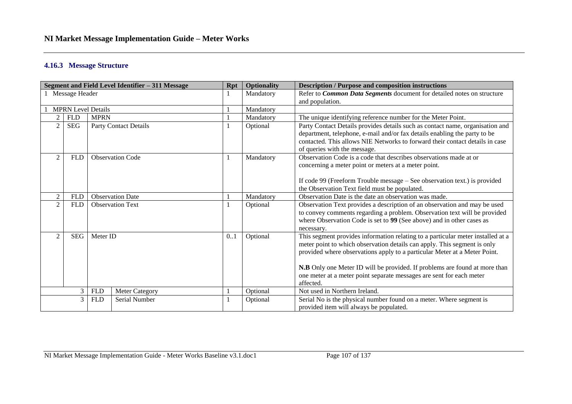### **4.16.3 Message Structure**

| Segment and Field Level Identifier - 311 Message |            |                                     | <b>Rpt</b>    | <b>Optionality</b> | <b>Description / Purpose and composition instructions</b>              |                                                                                                                                                                                                                                                                                                                                                                                                             |
|--------------------------------------------------|------------|-------------------------------------|---------------|--------------------|------------------------------------------------------------------------|-------------------------------------------------------------------------------------------------------------------------------------------------------------------------------------------------------------------------------------------------------------------------------------------------------------------------------------------------------------------------------------------------------------|
| Message Header                                   |            |                                     |               | Mandatory          | Refer to Common Data Segments document for detailed notes on structure |                                                                                                                                                                                                                                                                                                                                                                                                             |
|                                                  |            |                                     |               | and population.    |                                                                        |                                                                                                                                                                                                                                                                                                                                                                                                             |
| <b>MPRN Level Details</b>                        |            |                                     |               | Mandatory          |                                                                        |                                                                                                                                                                                                                                                                                                                                                                                                             |
| $\overline{2}$                                   | <b>FLD</b> | <b>MPRN</b>                         |               |                    | Mandatory                                                              | The unique identifying reference number for the Meter Point.                                                                                                                                                                                                                                                                                                                                                |
|                                                  | <b>SEG</b> | <b>Party Contact Details</b>        |               |                    | Optional                                                               | Party Contact Details provides details such as contact name, organisation and<br>department, telephone, e-mail and/or fax details enabling the party to be<br>contacted. This allows NIE Networks to forward their contact details in case<br>of queries with the message.                                                                                                                                  |
| $\overline{2}$                                   | <b>FLD</b> | <b>Observation Code</b>             |               |                    | Mandatory                                                              | Observation Code is a code that describes observations made at or<br>concerning a meter point or meters at a meter point.<br>If code 99 (Freeform Trouble message – See observation text.) is provided<br>the Observation Text field must be populated.                                                                                                                                                     |
| $\mathfrak{D}$                                   | <b>FLD</b> | <b>Observation Date</b>             |               |                    | Mandatory                                                              | Observation Date is the date an observation was made.                                                                                                                                                                                                                                                                                                                                                       |
| 2                                                | <b>FLD</b> | <b>Observation Text</b>             |               |                    | Optional                                                               | Observation Text provides a description of an observation and may be used<br>to convey comments regarding a problem. Observation text will be provided<br>where Observation Code is set to 99 (See above) and in other cases as<br>necessary.                                                                                                                                                               |
| $\overline{2}$                                   | <b>SEG</b> | Meter ID                            |               | 0.1                | Optional                                                               | This segment provides information relating to a particular meter installed at a<br>meter point to which observation details can apply. This segment is only<br>provided where observations apply to a particular Meter at a Meter Point.<br>N.B Only one Meter ID will be provided. If problems are found at more than<br>one meter at a meter point separate messages are sent for each meter<br>affected. |
|                                                  | 3          | <b>FLD</b><br><b>Meter Category</b> |               |                    | Optional                                                               | Not used in Northern Ireland.                                                                                                                                                                                                                                                                                                                                                                               |
|                                                  | 3          | <b>FLD</b>                          | Serial Number |                    | Optional                                                               | Serial No is the physical number found on a meter. Where segment is<br>provided item will always be populated.                                                                                                                                                                                                                                                                                              |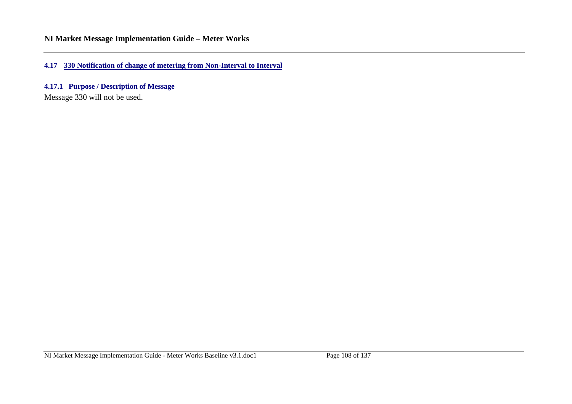**4.17 330 Notification of change of metering from Non-Interval to Interval**

**4.17.1 Purpose / Description of Message**

Message 330 will not be used.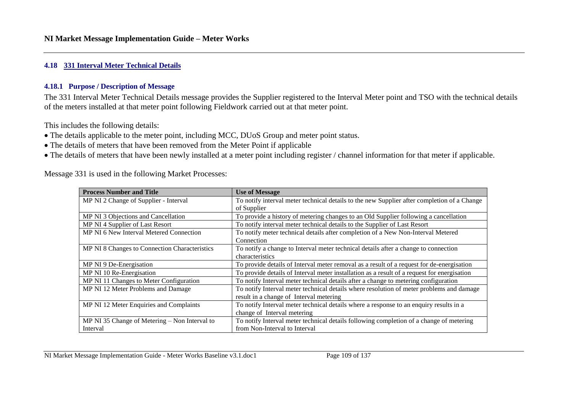#### **4.18 331 Interval Meter Technical Details**

#### **4.18.1 Purpose / Description of Message**

The 331 Interval Meter Technical Details message provides the Supplier registered to the Interval Meter point and TSO with the technical details of the meters installed at that meter point following Fieldwork carried out at that meter point.

This includes the following details:

- The details applicable to the meter point, including MCC, DUoS Group and meter point status.
- The details of meters that have been removed from the Meter Point if applicable
- The details of meters that have been newly installed at a meter point including register / channel information for that meter if applicable.

Message 331 is used in the following Market Processes:

| <b>Process Number and Title</b>                 | <b>Use of Message</b>                                                                       |
|-------------------------------------------------|---------------------------------------------------------------------------------------------|
| MP NI 2 Change of Supplier - Interval           | To notify interval meter technical details to the new Supplier after completion of a Change |
|                                                 | of Supplier                                                                                 |
| MP NI 3 Objections and Cancellation             | To provide a history of metering changes to an Old Supplier following a cancellation        |
| MP NI 4 Supplier of Last Resort                 | To notify interval meter technical details to the Supplier of Last Resort                   |
| MP NI 6 New Interval Metered Connection         | To notify meter technical details after completion of a New Non-Interval Metered            |
|                                                 | Connection                                                                                  |
| MP NI 8 Changes to Connection Characteristics   | To notify a change to Interval meter technical details after a change to connection         |
|                                                 | characteristics                                                                             |
| MP NI 9 De-Energisation                         | To provide details of Interval meter removal as a result of a request for de-energisation   |
| MP NI 10 Re-Energisation                        | To provide details of Interval meter installation as a result of a request for energisation |
| MP NI 11 Changes to Meter Configuration         | To notify Interval meter technical details after a change to metering configuration         |
| MP NI 12 Meter Problems and Damage              | To notify Interval meter technical details where resolution of meter problems and damage    |
|                                                 | result in a change of Interval metering                                                     |
| MP NI 12 Meter Enquiries and Complaints         | To notify Interval meter technical details where a response to an enquiry results in a      |
|                                                 | change of Interval metering                                                                 |
| MP NI 35 Change of Metering $-$ Non Interval to | To notify Interval meter technical details following completion of a change of metering     |
| Interval                                        | from Non-Interval to Interval                                                               |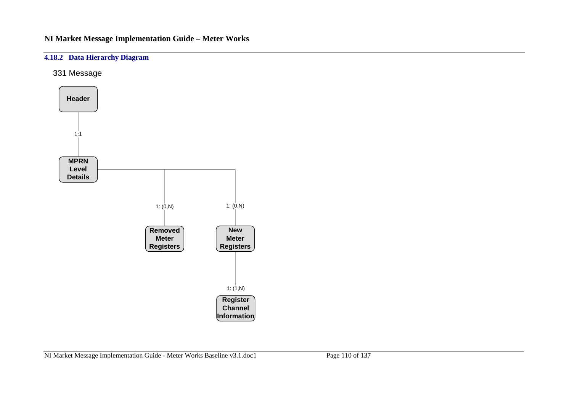### **4.18.2 Data Hierarchy Diagram**

331 Message

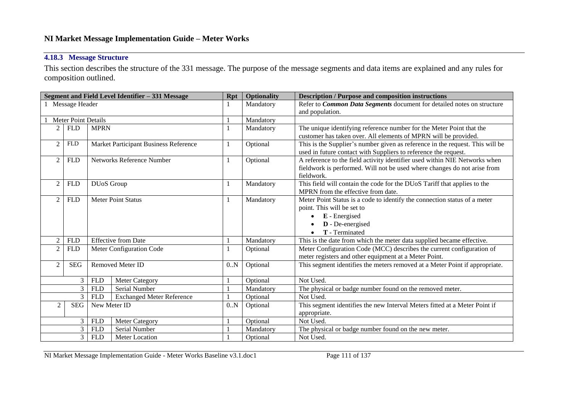### **4.18.3 Message Structure**

This section describes the structure of the 331 message. The purpose of the message segments and data items are explained and any rules for composition outlined.

|                                               |                                                     |                   | Segment and Field Level Identifier - 331 Message | <b>Rpt</b>                                                                 | <b>Optionality</b> | <b>Description / Purpose and composition instructions</b>                     |
|-----------------------------------------------|-----------------------------------------------------|-------------------|--------------------------------------------------|----------------------------------------------------------------------------|--------------------|-------------------------------------------------------------------------------|
|                                               | 1 Message Header                                    |                   |                                                  |                                                                            | Mandatory          | Refer to Common Data Segments document for detailed notes on structure        |
|                                               |                                                     |                   |                                                  |                                                                            |                    | and population.                                                               |
|                                               | <b>Meter Point Details</b>                          |                   |                                                  |                                                                            | Mandatory          |                                                                               |
|                                               | <b>FLD</b>                                          | <b>MPRN</b>       |                                                  |                                                                            | Mandatory          | The unique identifying reference number for the Meter Point that the          |
|                                               |                                                     |                   |                                                  |                                                                            |                    | customer has taken over. All elements of MPRN will be provided.               |
| $\overline{2}$                                | <b>FLD</b>                                          |                   | Market Participant Business Reference            | $\mathbf{1}$                                                               | Optional           | This is the Supplier's number given as reference in the request. This will be |
|                                               |                                                     |                   |                                                  |                                                                            |                    | used in future contact with Suppliers to reference the request.               |
| $\overline{2}$                                | <b>FLD</b>                                          |                   | Networks Reference Number                        | 1                                                                          | Optional           | A reference to the field activity identifier used within NIE Networks when    |
|                                               |                                                     |                   |                                                  |                                                                            |                    | fieldwork is performed. Will not be used where changes do not arise from      |
|                                               |                                                     |                   |                                                  |                                                                            |                    | fieldwork.                                                                    |
| $\overline{2}$                                | <b>FLD</b>                                          | <b>DUoS</b> Group |                                                  | 1                                                                          | Mandatory          | This field will contain the code for the DUoS Tariff that applies to the      |
|                                               |                                                     |                   |                                                  |                                                                            |                    | MPRN from the effective from date.                                            |
| 2                                             | <b>FLD</b>                                          |                   | <b>Meter Point Status</b>                        | 1                                                                          | Mandatory          | Meter Point Status is a code to identify the connection status of a meter     |
|                                               |                                                     |                   |                                                  |                                                                            |                    | point. This will be set to                                                    |
|                                               |                                                     |                   |                                                  |                                                                            |                    | E - Energised                                                                 |
|                                               |                                                     |                   |                                                  |                                                                            |                    | D - De-energised                                                              |
|                                               |                                                     |                   |                                                  |                                                                            |                    | T - Terminated                                                                |
| $\overline{2}$                                | <b>FLD</b>                                          |                   | <b>Effective from Date</b>                       |                                                                            | Mandatory          | This is the date from which the meter data supplied became effective.         |
| $\mathcal{D}$                                 | <b>FLD</b>                                          |                   | Meter Configuration Code                         |                                                                            | Optional           | Meter Configuration Code (MCC) describes the current configuration of         |
|                                               |                                                     |                   |                                                  |                                                                            |                    | meter registers and other equipment at a Meter Point.                         |
| $\overline{2}$                                | <b>SEG</b>                                          |                   | <b>Removed Meter ID</b>                          | 0.N                                                                        | Optional           | This segment identifies the meters removed at a Meter Point if appropriate.   |
|                                               |                                                     |                   |                                                  |                                                                            |                    |                                                                               |
|                                               | 3<br><b>FLD</b><br><b>Meter Category</b>            |                   |                                                  | Optional                                                                   | Not Used.          |                                                                               |
| $\overline{3}$<br>Serial Number<br><b>FLD</b> |                                                     |                   | Mandatory                                        | The physical or badge number found on the removed meter.                   |                    |                                                                               |
|                                               | 3<br><b>Exchanged Meter Reference</b><br><b>FLD</b> |                   |                                                  | Optional                                                                   | Not Used.          |                                                                               |
| <b>SEG</b><br>$\overline{2}$<br>New Meter ID  |                                                     | 0.N               | Optional                                         | This segment identifies the new Interval Meters fitted at a Meter Point if |                    |                                                                               |
|                                               |                                                     |                   |                                                  |                                                                            |                    | appropriate.                                                                  |
|                                               | 3                                                   | <b>FLD</b>        | <b>Meter Category</b>                            |                                                                            | Optional           | Not Used.                                                                     |
|                                               | 3                                                   | <b>FLD</b>        | Serial Number                                    |                                                                            | Mandatory          | The physical or badge number found on the new meter.                          |
|                                               | 3                                                   | <b>FLD</b>        | Meter Location                                   |                                                                            | Optional           | Not Used.                                                                     |

NI Market Message Implementation Guide - Meter Works Baseline v3.1.doc1 Page 111 of 137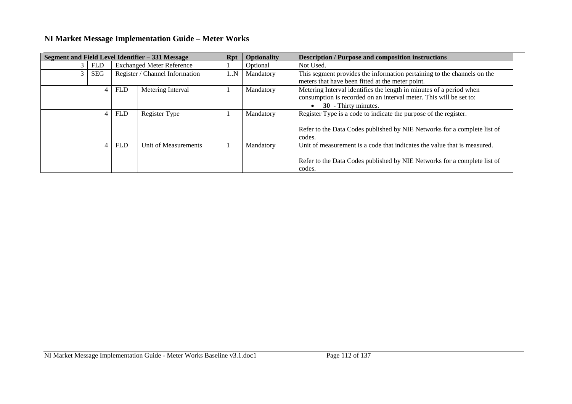|                |                |            | Segment and Field Level Identifier - 331 Message | Rpt | Optionality | <b>Description / Purpose and composition instructions</b>                                                                                                         |
|----------------|----------------|------------|--------------------------------------------------|-----|-------------|-------------------------------------------------------------------------------------------------------------------------------------------------------------------|
| 3 <sup>1</sup> | <b>FLD</b>     |            | <b>Exchanged Meter Reference</b>                 |     | Optional    | Not Used.                                                                                                                                                         |
| 3              | <b>SEG</b>     |            | Register / Channel Information                   | 1.N | Mandatory   | This segment provides the information pertaining to the channels on the<br>meters that have been fitted at the meter point.                                       |
|                | $\overline{4}$ | <b>FLD</b> | Metering Interval                                |     | Mandatory   | Metering Interval identifies the length in minutes of a period when<br>consumption is recorded on an interval meter. This will be set to:<br>30 - Thirty minutes. |
|                | $\overline{4}$ | <b>FLD</b> | Register Type                                    |     | Mandatory   | Register Type is a code to indicate the purpose of the register.<br>Refer to the Data Codes published by NIE Networks for a complete list of<br>codes.            |
|                |                | <b>FLD</b> | Unit of Measurements                             |     | Mandatory   | Unit of measurement is a code that indicates the value that is measured.<br>Refer to the Data Codes published by NIE Networks for a complete list of<br>codes.    |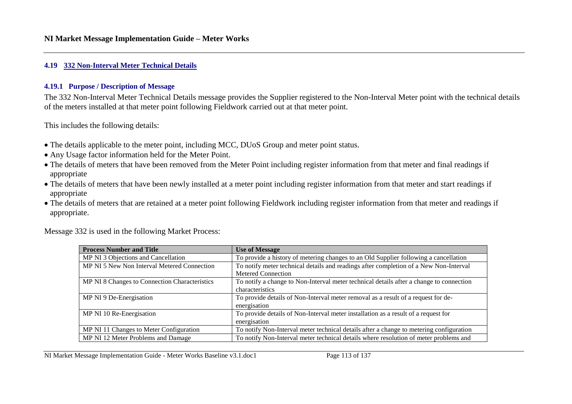#### **4.19 332 Non-Interval Meter Technical Details**

#### **4.19.1 Purpose / Description of Message**

The 332 Non-Interval Meter Technical Details message provides the Supplier registered to the Non-Interval Meter point with the technical details of the meters installed at that meter point following Fieldwork carried out at that meter point.

This includes the following details:

- The details applicable to the meter point, including MCC, DUoS Group and meter point status.
- Any Usage factor information held for the Meter Point.
- The details of meters that have been removed from the Meter Point including register information from that meter and final readings if appropriate
- The details of meters that have been newly installed at a meter point including register information from that meter and start readings if appropriate
- The details of meters that are retained at a meter point following Fieldwork including register information from that meter and readings if appropriate.

|  |  |  |  | Message 332 is used in the following Market Process: |
|--|--|--|--|------------------------------------------------------|
|--|--|--|--|------------------------------------------------------|

| <b>Process Number and Title</b>               | <b>Use of Message</b>                                                                   |
|-----------------------------------------------|-----------------------------------------------------------------------------------------|
| MP NI 3 Objections and Cancellation           | To provide a history of metering changes to an Old Supplier following a cancellation    |
| MP NI 5 New Non Interval Metered Connection   | To notify meter technical details and readings after completion of a New Non-Interval   |
|                                               | <b>Metered Connection</b>                                                               |
| MP NI 8 Changes to Connection Characteristics | To notify a change to Non-Interval meter technical details after a change to connection |
|                                               | characteristics                                                                         |
| MP NI 9 De-Energisation                       | To provide details of Non-Interval meter removal as a result of a request for de-       |
|                                               | energisation                                                                            |
| MP NI 10 Re-Energisation                      | To provide details of Non-Interval meter installation as a result of a request for      |
|                                               | energisation                                                                            |
| MP NI 11 Changes to Meter Configuration       | To notify Non-Interval meter technical details after a change to metering configuration |
| MP NI 12 Meter Problems and Damage            | To notify Non-Interval meter technical details where resolution of meter problems and   |

NI Market Message Implementation Guide - Meter Works Baseline v3.1.doc1 Page 113 of 137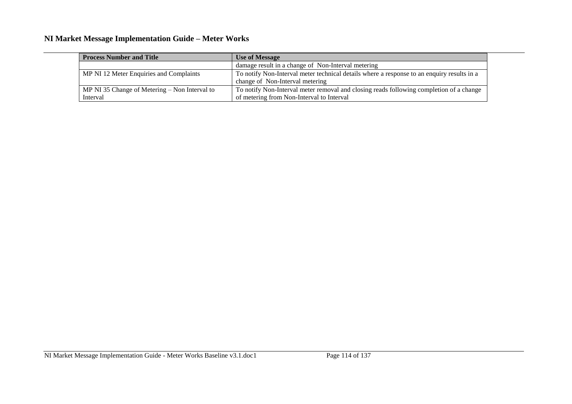| <b>Process Number and Title</b>                 | <b>Use of Message</b>                                                                      |
|-------------------------------------------------|--------------------------------------------------------------------------------------------|
|                                                 | damage result in a change of Non-Interval metering                                         |
| MP NI 12 Meter Enquiries and Complaints         | To notify Non-Interval meter technical details where a response to an enquiry results in a |
|                                                 | change of Non-Interval metering                                                            |
| MP NI 35 Change of Metering $-$ Non Interval to | To notify Non-Interval meter removal and closing reads following completion of a change    |
| Interval                                        | of metering from Non-Interval to Interval                                                  |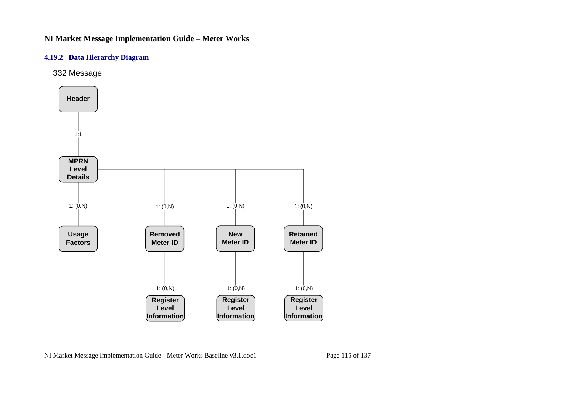### **4.19.2 Data Hierarchy Diagram**

332 Message

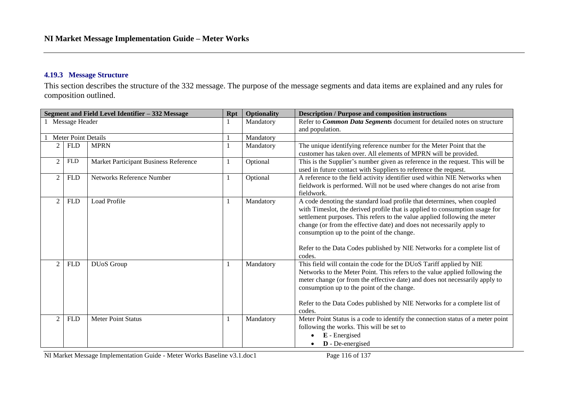#### **4.19.3 Message Structure**

This section describes the structure of the 332 message. The purpose of the message segments and data items are explained and any rules for composition outlined.

|                |                            | Segment and Field Level Identifier - 332 Message | <b>Rpt</b> | <b>Optionality</b> | <b>Description / Purpose and composition instructions</b>                       |
|----------------|----------------------------|--------------------------------------------------|------------|--------------------|---------------------------------------------------------------------------------|
|                | 1 Message Header           |                                                  |            | Mandatory          | Refer to Common Data Segments document for detailed notes on structure          |
|                |                            |                                                  |            |                    | and population.                                                                 |
|                | <b>Meter Point Details</b> |                                                  |            | Mandatory          |                                                                                 |
| $\overline{2}$ | <b>FLD</b>                 | <b>MPRN</b>                                      |            | Mandatory          | The unique identifying reference number for the Meter Point that the            |
|                |                            |                                                  |            |                    | customer has taken over. All elements of MPRN will be provided.                 |
| $\overline{c}$ | <b>FLD</b>                 | Market Participant Business Reference            |            | Optional           | This is the Supplier's number given as reference in the request. This will be   |
|                |                            |                                                  |            |                    | used in future contact with Suppliers to reference the request.                 |
| $\overline{c}$ | <b>FLD</b>                 | <b>Networks Reference Number</b>                 |            | Optional           | A reference to the field activity identifier used within NIE Networks when      |
|                |                            |                                                  |            |                    | fieldwork is performed. Will not be used where changes do not arise from        |
|                |                            |                                                  |            |                    | fieldwork.                                                                      |
| $\mathfrak{D}$ | <b>FLD</b>                 | <b>Load Profile</b>                              |            | Mandatory          | A code denoting the standard load profile that determines, when coupled         |
|                |                            |                                                  |            |                    | with Timeslot, the derived profile that is applied to consumption usage for     |
|                |                            |                                                  |            |                    | settlement purposes. This refers to the value applied following the meter       |
|                |                            |                                                  |            |                    | change (or from the effective date) and does not necessarily apply to           |
|                |                            |                                                  |            |                    | consumption up to the point of the change.                                      |
|                |                            |                                                  |            |                    |                                                                                 |
|                |                            |                                                  |            |                    | Refer to the Data Codes published by NIE Networks for a complete list of        |
|                |                            |                                                  |            |                    | codes.                                                                          |
| $\overline{2}$ | <b>FLD</b>                 | DUoS Group                                       |            | Mandatory          | This field will contain the code for the DUoS Tariff applied by NIE             |
|                |                            |                                                  |            |                    | Networks to the Meter Point. This refers to the value applied following the     |
|                |                            |                                                  |            |                    | meter change (or from the effective date) and does not necessarily apply to     |
|                |                            |                                                  |            |                    | consumption up to the point of the change.                                      |
|                |                            |                                                  |            |                    |                                                                                 |
|                |                            |                                                  |            |                    | Refer to the Data Codes published by NIE Networks for a complete list of        |
|                |                            |                                                  |            |                    | codes.                                                                          |
| $\overline{2}$ | <b>FLD</b>                 | <b>Meter Point Status</b>                        |            | Mandatory          | Meter Point Status is a code to identify the connection status of a meter point |
|                |                            |                                                  |            |                    | following the works. This will be set to                                        |
|                |                            |                                                  |            |                    | E - Energised                                                                   |
|                |                            |                                                  |            |                    | <b>D</b> - De-energised                                                         |

NI Market Message Implementation Guide - Meter Works Baseline v3.1.doc1 Page 116 of 137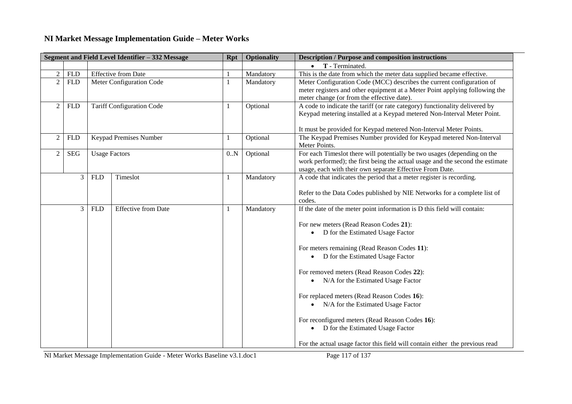|                | Segment and Field Level Identifier - 332 Message<br><b>Optionality</b><br><b>Rpt</b> |                            |                                  |     |           | <b>Description / Purpose and composition instructions</b>                                                                                                                                                                   |
|----------------|--------------------------------------------------------------------------------------|----------------------------|----------------------------------|-----|-----------|-----------------------------------------------------------------------------------------------------------------------------------------------------------------------------------------------------------------------------|
|                |                                                                                      |                            |                                  |     |           | $\bullet$ T - Terminated.                                                                                                                                                                                                   |
| $\overline{2}$ | <b>FLD</b>                                                                           | <b>Effective from Date</b> |                                  |     | Mandatory | This is the date from which the meter data supplied became effective.                                                                                                                                                       |
| $\overline{2}$ | <b>FLD</b>                                                                           |                            | Meter Configuration Code         |     | Mandatory | Meter Configuration Code (MCC) describes the current configuration of<br>meter registers and other equipment at a Meter Point applying following the<br>meter change (or from the effective date).                          |
| $\overline{2}$ | <b>FLD</b>                                                                           |                            | <b>Tariff Configuration Code</b> |     | Optional  | A code to indicate the tariff (or rate category) functionality delivered by<br>Keypad metering installed at a Keypad metered Non-Interval Meter Point.<br>It must be provided for Keypad metered Non-Interval Meter Points. |
| $\sqrt{2}$     | ${\hbox{\rm FLD}}$                                                                   |                            | Keypad Premises Number           |     | Optional  | The Keypad Premises Number provided for Keypad metered Non-Interval<br>Meter Points.                                                                                                                                        |
| 2              | <b>SEG</b>                                                                           | <b>Usage Factors</b>       |                                  | 0.N | Optional  | For each Timeslot there will potentially be two usages (depending on the<br>work performed); the first being the actual usage and the second the estimate<br>usage, each with their own separate Effective From Date.       |
|                | 3                                                                                    | <b>FLD</b>                 | Timeslot                         |     | Mandatory | A code that indicates the period that a meter register is recording.                                                                                                                                                        |
|                |                                                                                      |                            |                                  |     |           | Refer to the Data Codes published by NIE Networks for a complete list of<br>codes.                                                                                                                                          |
|                | 3                                                                                    | <b>FLD</b>                 | <b>Effective from Date</b>       |     | Mandatory | If the date of the meter point information is D this field will contain:                                                                                                                                                    |
|                |                                                                                      |                            |                                  |     |           | For new meters (Read Reason Codes 21):<br>D for the Estimated Usage Factor<br>$\bullet$                                                                                                                                     |
|                |                                                                                      |                            |                                  |     |           | For meters remaining (Read Reason Codes 11):                                                                                                                                                                                |
|                |                                                                                      |                            |                                  |     |           | • D for the Estimated Usage Factor                                                                                                                                                                                          |
|                |                                                                                      |                            |                                  |     |           | For removed meters (Read Reason Codes 22):                                                                                                                                                                                  |
|                |                                                                                      |                            |                                  |     |           | • N/A for the Estimated Usage Factor                                                                                                                                                                                        |
|                |                                                                                      |                            |                                  |     |           | For replaced meters (Read Reason Codes 16):                                                                                                                                                                                 |
|                |                                                                                      |                            |                                  |     |           | • N/A for the Estimated Usage Factor                                                                                                                                                                                        |
|                |                                                                                      |                            |                                  |     |           | For reconfigured meters (Read Reason Codes 16):                                                                                                                                                                             |
|                |                                                                                      |                            |                                  |     |           | D for the Estimated Usage Factor<br>$\bullet$                                                                                                                                                                               |
|                |                                                                                      |                            |                                  |     |           | For the actual usage factor this field will contain either the previous read                                                                                                                                                |

NI Market Message Implementation Guide - Meter Works Baseline v3.1.doc1 Page 117 of 137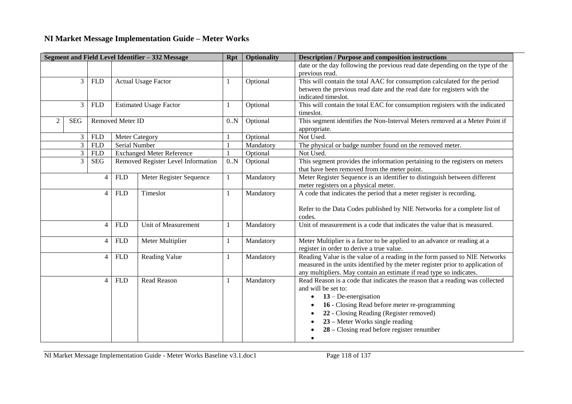|   |                |                    |                  | Segment and Field Level Identifier - 332 Message | <b>Rpt</b>   | <b>Optionality</b> | <b>Description / Purpose and composition instructions</b>                                                                                                                                                                                                                                                                 |
|---|----------------|--------------------|------------------|--------------------------------------------------|--------------|--------------------|---------------------------------------------------------------------------------------------------------------------------------------------------------------------------------------------------------------------------------------------------------------------------------------------------------------------------|
|   |                |                    |                  |                                                  |              |                    | date or the day following the previous read date depending on the type of the<br>previous read.                                                                                                                                                                                                                           |
|   | 3              | <b>FLD</b>         |                  | <b>Actual Usage Factor</b>                       |              | Optional           | This will contain the total AAC for consumption calculated for the period<br>between the previous read date and the read date for registers with the<br>indicated timeslot.                                                                                                                                               |
|   | 3              | <b>FLD</b>         |                  | <b>Estimated Usage Factor</b>                    | $\mathbf{I}$ | Optional           | This will contain the total EAC for consumption registers with the indicated<br>timeslot.                                                                                                                                                                                                                                 |
| 2 | <b>SEG</b>     |                    | Removed Meter ID |                                                  | 0.N          | Optional           | This segment identifies the Non-Interval Meters removed at a Meter Point if<br>appropriate.                                                                                                                                                                                                                               |
|   | 3              | <b>FLD</b>         |                  | <b>Meter Category</b>                            |              | Optional           | Not Used.                                                                                                                                                                                                                                                                                                                 |
|   | $\overline{3}$ | <b>FLD</b>         | Serial Number    |                                                  |              | Mandatory          | The physical or badge number found on the removed meter.                                                                                                                                                                                                                                                                  |
|   | 3              | ${\hbox{\rm FLD}}$ |                  | <b>Exchanged Meter Reference</b>                 |              | Optional           | Not Used.                                                                                                                                                                                                                                                                                                                 |
|   | 3              | <b>SEG</b>         |                  | Removed Register Level Information               | 0.N          | Optional           | This segment provides the information pertaining to the registers on meters<br>that have been removed from the meter point.                                                                                                                                                                                               |
|   |                | $\overline{4}$     | <b>FLD</b>       | Meter Register Sequence                          | 1            | Mandatory          | Meter Register Sequence is an identifier to distinguish between different<br>meter registers on a physical meter.                                                                                                                                                                                                         |
|   |                | $\overline{4}$     | <b>FLD</b>       | Timeslot                                         | 1            | Mandatory          | A code that indicates the period that a meter register is recording.<br>Refer to the Data Codes published by NIE Networks for a complete list of<br>codes.                                                                                                                                                                |
|   |                | $\overline{4}$     | <b>FLD</b>       | Unit of Measurement                              | 1            | Mandatory          | Unit of measurement is a code that indicates the value that is measured.                                                                                                                                                                                                                                                  |
|   |                | $\overline{4}$     | <b>FLD</b>       | Meter Multiplier                                 | 1            | Mandatory          | Meter Multiplier is a factor to be applied to an advance or reading at a<br>register in order to derive a true value.                                                                                                                                                                                                     |
|   |                | $\overline{4}$     | <b>FLD</b>       | Reading Value                                    |              | Mandatory          | Reading Value is the value of a reading in the form passed to NIE Networks<br>measured in the units identified by the meter register prior to application of<br>any multipliers. May contain an estimate if read type so indicates.                                                                                       |
|   |                | $\overline{4}$     | <b>FLD</b>       | Read Reason                                      | 1            | Mandatory          | Read Reason is a code that indicates the reason that a reading was collected<br>and will be set to:<br>$13 - De-energisation$<br>16 - Closing Read before meter re-programming<br>22 - Closing Reading (Register removed)<br>23 – Meter Works single reading<br>$28 -$ Closing read before register renumber<br>$\bullet$ |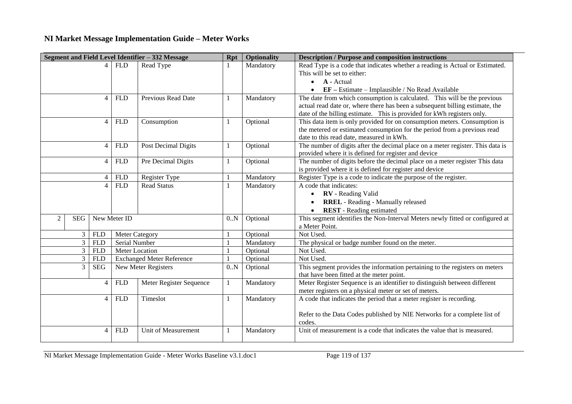| Segment and Field Level Identifier - 332 Message |            |                |                       |                                  | <b>Rpt</b> | <b>Optionality</b> | <b>Description / Purpose and composition instructions</b>                          |
|--------------------------------------------------|------------|----------------|-----------------------|----------------------------------|------------|--------------------|------------------------------------------------------------------------------------|
|                                                  |            |                | FLD                   | Read Type                        |            | Mandatory          | Read Type is a code that indicates whether a reading is Actual or Estimated.       |
|                                                  |            |                |                       |                                  |            |                    | This will be set to either:                                                        |
|                                                  |            |                |                       |                                  |            |                    | <b>A</b> - Actual<br>$\bullet$                                                     |
|                                                  |            |                |                       |                                  |            |                    | $EF - Estimate - Implausible / No Read Available$<br>$\bullet$                     |
|                                                  |            | $\overline{4}$ | <b>FLD</b>            | Previous Read Date               | 1          | Mandatory          | The date from which consumption is calculated. This will be the previous           |
|                                                  |            |                |                       |                                  |            |                    | actual read date or, where there has been a subsequent billing estimate, the       |
|                                                  |            |                |                       |                                  |            |                    | date of the billing estimate. This is provided for kWh registers only.             |
|                                                  |            | $\overline{4}$ | <b>FLD</b>            | Consumption                      | 1          | Optional           | This data item is only provided for on consumption meters. Consumption is          |
|                                                  |            |                |                       |                                  |            |                    | the metered or estimated consumption for the period from a previous read           |
|                                                  |            |                |                       |                                  |            |                    | date to this read date, measured in kWh.                                           |
|                                                  |            | $\overline{4}$ | <b>FLD</b>            | Post Decimal Digits              | 1          | Optional           | The number of digits after the decimal place on a meter register. This data is     |
|                                                  |            |                |                       |                                  |            |                    | provided where it is defined for register and device                               |
|                                                  |            | $\overline{4}$ | <b>FLD</b>            | Pre Decimal Digits               | 1          | Optional           | The number of digits before the decimal place on a meter register This data        |
|                                                  |            |                |                       |                                  |            |                    | is provided where it is defined for register and device                            |
|                                                  |            | 4              | <b>FLD</b>            | Register Type                    | 1          | Mandatory          | Register Type is a code to indicate the purpose of the register.                   |
|                                                  |            | $\overline{4}$ | <b>FLD</b>            | <b>Read Status</b>               | 1          | Mandatory          | A code that indicates:                                                             |
|                                                  |            |                |                       |                                  |            |                    | <b>RV</b> - Reading Valid<br>$\bullet$                                             |
|                                                  |            |                |                       |                                  |            |                    | <b>RREL</b> - Reading - Manually released<br>$\bullet$                             |
|                                                  |            |                |                       |                                  |            |                    | <b>REST</b> - Reading estimated<br>$\bullet$                                       |
| 2                                                | <b>SEG</b> | New Meter ID   |                       |                                  | 0.N        | Optional           | This segment identifies the Non-Interval Meters newly fitted or configured at      |
|                                                  |            |                |                       |                                  |            |                    | a Meter Point.                                                                     |
|                                                  | 3          | <b>FLD</b>     | <b>Meter Category</b> |                                  |            | Optional           | Not Used.                                                                          |
|                                                  | 3          | <b>FLD</b>     | Serial Number         |                                  |            | Mandatory          | The physical or badge number found on the meter.                                   |
|                                                  | 3          | <b>FLD</b>     | Meter Location        |                                  |            | Optional           | Not Used.                                                                          |
|                                                  | 3          | <b>FLD</b>     |                       | <b>Exchanged Meter Reference</b> |            | Optional           | Not Used.                                                                          |
|                                                  | 3          | <b>SEG</b>     |                       | New Meter Registers              | 0.N        | Optional           | This segment provides the information pertaining to the registers on meters        |
|                                                  |            |                |                       |                                  |            |                    | that have been fitted at the meter point.                                          |
|                                                  |            | $\overline{4}$ | <b>FLD</b>            | Meter Register Sequence          | 1          | Mandatory          | Meter Register Sequence is an identifier to distinguish between different          |
|                                                  |            |                |                       |                                  |            |                    | meter registers on a physical meter or set of meters.                              |
|                                                  |            | $\overline{4}$ | <b>FLD</b>            | Timeslot                         | 1          | Mandatory          | A code that indicates the period that a meter register is recording.               |
|                                                  |            |                |                       |                                  |            |                    | Refer to the Data Codes published by NIE Networks for a complete list of<br>codes. |
|                                                  |            | 4              | <b>FLD</b>            | Unit of Measurement              | 1          | Mandatory          | Unit of measurement is a code that indicates the value that is measured.           |

NI Market Message Implementation Guide - Meter Works Baseline v3.1.doc1 Page 119 of 137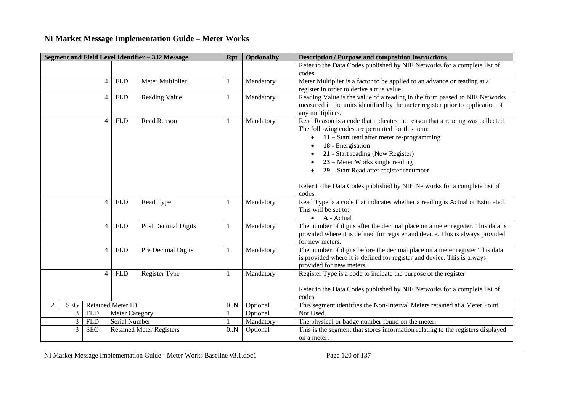|                 |                |                          | Segment and Field Level Identifier - 332 Message | <b>Rpt</b> | <b>Optionality</b> | <b>Description / Purpose and composition instructions</b>                                                                                                                                                                                                                                                                                                                                                         |
|-----------------|----------------|--------------------------|--------------------------------------------------|------------|--------------------|-------------------------------------------------------------------------------------------------------------------------------------------------------------------------------------------------------------------------------------------------------------------------------------------------------------------------------------------------------------------------------------------------------------------|
|                 |                |                          |                                                  |            |                    | Refer to the Data Codes published by NIE Networks for a complete list of                                                                                                                                                                                                                                                                                                                                          |
|                 |                |                          |                                                  |            |                    | codes.                                                                                                                                                                                                                                                                                                                                                                                                            |
|                 | 4              | <b>FLD</b>               | Meter Multiplier                                 |            | Mandatory          | Meter Multiplier is a factor to be applied to an advance or reading at a<br>register in order to derive a true value.                                                                                                                                                                                                                                                                                             |
|                 | $\overline{4}$ | <b>FLD</b>               | Reading Value                                    | -1         | Mandatory          | Reading Value is the value of a reading in the form passed to NIE Networks<br>measured in the units identified by the meter register prior to application of<br>any multipliers.                                                                                                                                                                                                                                  |
|                 | $\overline{4}$ | <b>FLD</b>               | <b>Read Reason</b>                               |            | Mandatory          | Read Reason is a code that indicates the reason that a reading was collected.<br>The following codes are permitted for this item:<br>$11 -$ Start read after meter re-programming<br>18 - Energisation<br>21 - Start reading (New Register)<br>$23$ – Meter Works single reading<br>29 – Start Read after register renumber<br>Refer to the Data Codes published by NIE Networks for a complete list of<br>codes. |
|                 | $\overline{4}$ | <b>FLD</b>               | Read Type                                        |            | Mandatory          | Read Type is a code that indicates whether a reading is Actual or Estimated.<br>This will be set to:<br>$\bullet$ <b>A</b> - Actual                                                                                                                                                                                                                                                                               |
|                 | $\overline{4}$ | <b>FLD</b>               | Post Decimal Digits                              |            | Mandatory          | The number of digits after the decimal place on a meter register. This data is<br>provided where it is defined for register and device. This is always provided<br>for new meters.                                                                                                                                                                                                                                |
|                 | $\overline{4}$ | <b>FLD</b>               | Pre Decimal Digits                               |            | Mandatory          | The number of digits before the decimal place on a meter register This data<br>is provided where it is defined for register and device. This is always<br>provided for new meters.                                                                                                                                                                                                                                |
|                 | 4              | <b>FLD</b>               | Register Type                                    |            | Mandatory          | Register Type is a code to indicate the purpose of the register.<br>Refer to the Data Codes published by NIE Networks for a complete list of<br>codes.                                                                                                                                                                                                                                                            |
| <b>SEG</b><br>2 |                | <b>Retained Meter ID</b> |                                                  | 0.N        | Optional           | This segment identifies the Non-Interval Meters retained at a Meter Point.                                                                                                                                                                                                                                                                                                                                        |
| $\mathfrak{Z}$  | <b>FLD</b>     | <b>Meter Category</b>    |                                                  |            | Optional           | Not Used.                                                                                                                                                                                                                                                                                                                                                                                                         |
| 3               | <b>FLD</b>     | Serial Number            |                                                  |            | Mandatory          | The physical or badge number found on the meter.                                                                                                                                                                                                                                                                                                                                                                  |
| $\overline{3}$  | <b>SEG</b>     |                          | <b>Retained Meter Registers</b>                  | 0.N        | Optional           | This is the segment that stores information relating to the registers displayed<br>on a meter.                                                                                                                                                                                                                                                                                                                    |

NI Market Message Implementation Guide - Meter Works Baseline v3.1.doc1 Page 120 of 137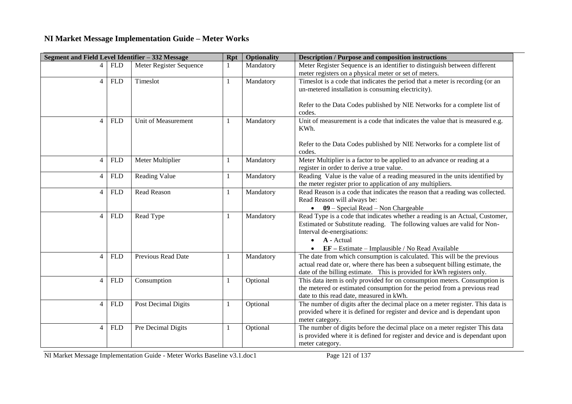| Segment and Field Level Identifier - 332 Message |            |                         | <b>Rpt</b> | <b>Optionality</b> | <b>Description / Purpose and composition instructions</b>                                              |  |  |
|--------------------------------------------------|------------|-------------------------|------------|--------------------|--------------------------------------------------------------------------------------------------------|--|--|
| 4                                                | <b>FLD</b> | Meter Register Sequence | 1          | Mandatory          | Meter Register Sequence is an identifier to distinguish between different                              |  |  |
|                                                  |            |                         |            |                    | meter registers on a physical meter or set of meters.                                                  |  |  |
| $\overline{4}$                                   | <b>FLD</b> | Timeslot                | 1          | Mandatory          | Timeslot is a code that indicates the period that a meter is recording (or an                          |  |  |
|                                                  |            |                         |            |                    | un-metered installation is consuming electricity).                                                     |  |  |
|                                                  |            |                         |            |                    |                                                                                                        |  |  |
|                                                  |            |                         |            |                    | Refer to the Data Codes published by NIE Networks for a complete list of                               |  |  |
| $\overline{4}$                                   | <b>FLD</b> | Unit of Measurement     |            | Mandatory          | codes.<br>Unit of measurement is a code that indicates the value that is measured e.g.                 |  |  |
|                                                  |            |                         | -1         |                    | KWh.                                                                                                   |  |  |
|                                                  |            |                         |            |                    |                                                                                                        |  |  |
|                                                  |            |                         |            |                    | Refer to the Data Codes published by NIE Networks for a complete list of                               |  |  |
|                                                  |            |                         |            |                    | codes.                                                                                                 |  |  |
| $\overline{4}$                                   | <b>FLD</b> | Meter Multiplier        | 1          | Mandatory          | Meter Multiplier is a factor to be applied to an advance or reading at a                               |  |  |
|                                                  |            |                         |            |                    | register in order to derive a true value.                                                              |  |  |
| $\overline{4}$                                   | <b>FLD</b> | Reading Value           | 1          | Mandatory          | Reading Value is the value of a reading measured in the units identified by                            |  |  |
|                                                  |            |                         |            |                    | the meter register prior to application of any multipliers.                                            |  |  |
| $\overline{4}$                                   | <b>FLD</b> | <b>Read Reason</b>      | 1          | Mandatory          | Read Reason is a code that indicates the reason that a reading was collected.                          |  |  |
|                                                  |            |                         |            |                    | Read Reason will always be:                                                                            |  |  |
|                                                  |            |                         |            |                    | $\bullet$ 09 – Special Read – Non Chargeable                                                           |  |  |
| $\overline{4}$                                   | <b>FLD</b> | Read Type               | 1          | Mandatory          | Read Type is a code that indicates whether a reading is an Actual, Customer,                           |  |  |
|                                                  |            |                         |            |                    | Estimated or Substitute reading. The following values are valid for Non-<br>Interval de-energisations: |  |  |
|                                                  |            |                         |            |                    | A - Actual<br>$\bullet$                                                                                |  |  |
|                                                  |            |                         |            |                    | $EF - Estimate - Implausible / No Read Available$                                                      |  |  |
| $\overline{4}$                                   | <b>FLD</b> | Previous Read Date      | 1          | Mandatory          | The date from which consumption is calculated. This will be the previous                               |  |  |
|                                                  |            |                         |            |                    | actual read date or, where there has been a subsequent billing estimate, the                           |  |  |
|                                                  |            |                         |            |                    | date of the billing estimate. This is provided for kWh registers only.                                 |  |  |
| $\overline{4}$                                   | <b>FLD</b> | Consumption             | 1          | Optional           | This data item is only provided for on consumption meters. Consumption is                              |  |  |
|                                                  |            |                         |            |                    | the metered or estimated consumption for the period from a previous read                               |  |  |
|                                                  |            |                         |            |                    | date to this read date, measured in kWh.                                                               |  |  |
| $\overline{4}$                                   | <b>FLD</b> | Post Decimal Digits     | 1          | Optional           | The number of digits after the decimal place on a meter register. This data is                         |  |  |
|                                                  |            |                         |            |                    | provided where it is defined for register and device and is dependant upon                             |  |  |
|                                                  |            |                         |            |                    | meter category.                                                                                        |  |  |
| $\overline{4}$                                   | <b>FLD</b> | Pre Decimal Digits      | 1          | Optional           | The number of digits before the decimal place on a meter register This data                            |  |  |
|                                                  |            |                         |            |                    | is provided where it is defined for register and device and is dependant upon                          |  |  |
|                                                  |            |                         |            |                    | meter category.                                                                                        |  |  |

NI Market Message Implementation Guide - Meter Works Baseline v3.1.doc1 Page 121 of 137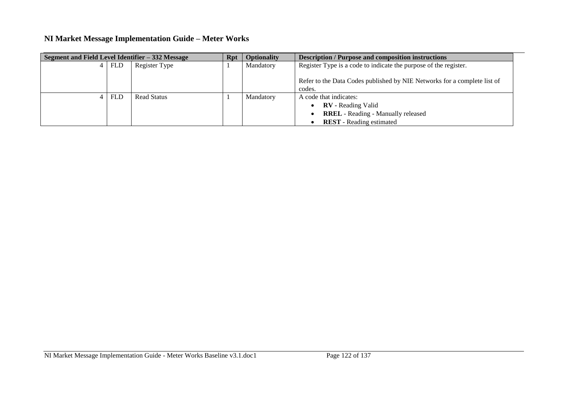| Segment and Field Level Identifier - 332 Message |            | Rpt                | <b>Optionality</b> | <b>Description / Purpose and composition instructions</b>                     |                                                                                    |  |
|--------------------------------------------------|------------|--------------------|--------------------|-------------------------------------------------------------------------------|------------------------------------------------------------------------------------|--|
|                                                  | <b>FLD</b> | Register Type      |                    | Register Type is a code to indicate the purpose of the register.<br>Mandatory |                                                                                    |  |
|                                                  |            |                    |                    |                                                                               | Refer to the Data Codes published by NIE Networks for a complete list of<br>codes. |  |
|                                                  | <b>FLD</b> | <b>Read Status</b> |                    | Mandatory                                                                     | A code that indicates:                                                             |  |
|                                                  |            |                    |                    |                                                                               | <b>RV</b> - Reading Valid                                                          |  |
|                                                  |            |                    |                    |                                                                               | <b>RREL</b> - Reading - Manually released                                          |  |
|                                                  |            |                    |                    |                                                                               | <b>REST</b> - Reading estimated                                                    |  |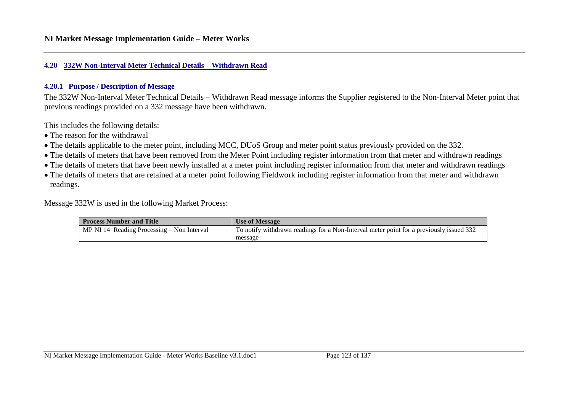#### **4.20 332W Non-Interval Meter Technical Details – Withdrawn Read**

#### **4.20.1 Purpose / Description of Message**

The 332W Non-Interval Meter Technical Details – Withdrawn Read message informs the Supplier registered to the Non-Interval Meter point that previous readings provided on a 332 message have been withdrawn.

This includes the following details:

- The reason for the withdrawal
- The details applicable to the meter point, including MCC, DUoS Group and meter point status previously provided on the 332.
- The details of meters that have been removed from the Meter Point including register information from that meter and withdrawn readings
- The details of meters that have been newly installed at a meter point including register information from that meter and withdrawn readings
- The details of meters that are retained at a meter point following Fieldwork including register information from that meter and withdrawn readings.

Message 332W is used in the following Market Process:

| <b>Process Number and Title</b>            | Use of Message                                                                          |  |  |  |
|--------------------------------------------|-----------------------------------------------------------------------------------------|--|--|--|
| MP NI 14 Reading Processing – Non Interval | To notify withdrawn readings for a Non-Interval meter point for a previously issued 332 |  |  |  |
|                                            | message                                                                                 |  |  |  |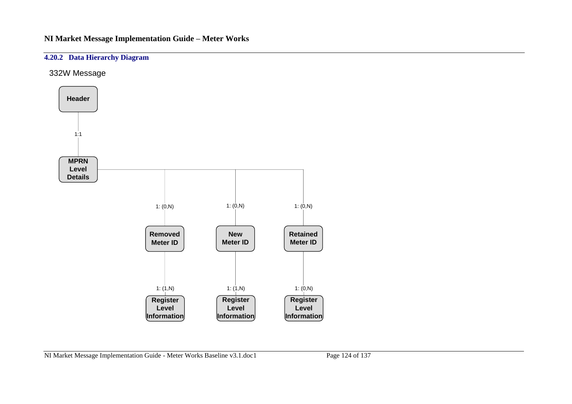### **4.20.2 Data Hierarchy Diagram**

332W Message

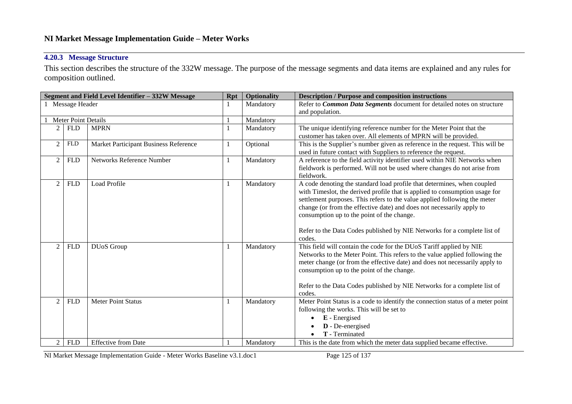### **4.20.3 Message Structure**

This section describes the structure of the 332W message. The purpose of the message segments and data items are explained and any rules for composition outlined.

| Segment and Field Level Identifier - 332W Message |                            |                                       |              | <b>Optionality</b> | <b>Description / Purpose and composition instructions</b>                       |  |  |
|---------------------------------------------------|----------------------------|---------------------------------------|--------------|--------------------|---------------------------------------------------------------------------------|--|--|
| Message Header                                    |                            |                                       |              | Mandatory          | Refer to Common Data Segments document for detailed notes on structure          |  |  |
|                                                   |                            |                                       |              |                    | and population.                                                                 |  |  |
|                                                   | <b>Meter Point Details</b> |                                       |              | Mandatory          |                                                                                 |  |  |
|                                                   | <b>FLD</b>                 | <b>MPRN</b>                           |              | Mandatory          | The unique identifying reference number for the Meter Point that the            |  |  |
|                                                   |                            |                                       |              |                    | customer has taken over. All elements of MPRN will be provided.                 |  |  |
| $\overline{2}$                                    | <b>FLD</b>                 | Market Participant Business Reference | 1            | Optional           | This is the Supplier's number given as reference in the request. This will be   |  |  |
|                                                   |                            |                                       |              |                    | used in future contact with Suppliers to reference the request.                 |  |  |
| $\overline{2}$                                    | <b>FLD</b>                 | Networks Reference Number             | $\mathbf{1}$ | Mandatory          | A reference to the field activity identifier used within NIE Networks when      |  |  |
|                                                   |                            |                                       |              |                    | fieldwork is performed. Will not be used where changes do not arise from        |  |  |
|                                                   |                            |                                       |              |                    | fieldwork.                                                                      |  |  |
| $\overline{2}$                                    | <b>FLD</b>                 | <b>Load Profile</b>                   | 1            | Mandatory          | A code denoting the standard load profile that determines, when coupled         |  |  |
|                                                   |                            |                                       |              |                    | with Timeslot, the derived profile that is applied to consumption usage for     |  |  |
|                                                   |                            |                                       |              |                    | settlement purposes. This refers to the value applied following the meter       |  |  |
|                                                   |                            |                                       |              |                    | change (or from the effective date) and does not necessarily apply to           |  |  |
|                                                   |                            |                                       |              |                    | consumption up to the point of the change.                                      |  |  |
|                                                   |                            |                                       |              |                    | Refer to the Data Codes published by NIE Networks for a complete list of        |  |  |
|                                                   |                            |                                       |              |                    | codes.                                                                          |  |  |
| 2                                                 | <b>FLD</b>                 | <b>DUoS</b> Group                     | 1            | Mandatory          | This field will contain the code for the DUoS Tariff applied by NIE             |  |  |
|                                                   |                            |                                       |              |                    | Networks to the Meter Point. This refers to the value applied following the     |  |  |
|                                                   |                            |                                       |              |                    | meter change (or from the effective date) and does not necessarily apply to     |  |  |
|                                                   |                            |                                       |              |                    | consumption up to the point of the change.                                      |  |  |
|                                                   |                            |                                       |              |                    |                                                                                 |  |  |
|                                                   |                            |                                       |              |                    | Refer to the Data Codes published by NIE Networks for a complete list of        |  |  |
|                                                   |                            |                                       |              |                    | codes.                                                                          |  |  |
| $\overline{2}$                                    | <b>FLD</b>                 | <b>Meter Point Status</b>             | $\mathbf{1}$ | Mandatory          | Meter Point Status is a code to identify the connection status of a meter point |  |  |
|                                                   |                            |                                       |              |                    | following the works. This will be set to                                        |  |  |
|                                                   |                            |                                       |              |                    | E - Energised                                                                   |  |  |
|                                                   |                            |                                       |              |                    | D - De-energised                                                                |  |  |
|                                                   |                            |                                       |              |                    | T - Terminated                                                                  |  |  |
| 2                                                 | <b>FLD</b>                 | <b>Effective from Date</b>            |              | Mandatory          | This is the date from which the meter data supplied became effective.           |  |  |

NI Market Message Implementation Guide - Meter Works Baseline v3.1.doc1 Page 125 of 137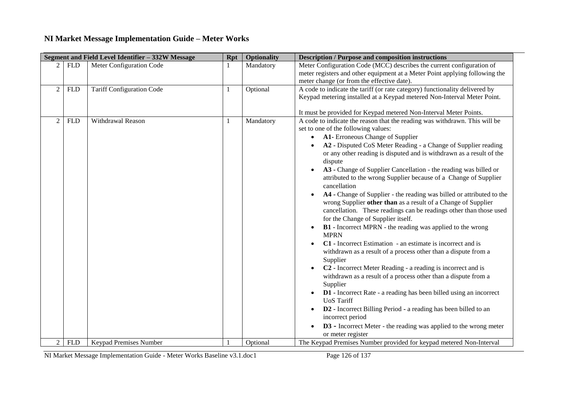|                |            | Segment and Field Level Identifier - 332W Message | <b>Rpt</b> | <b>Optionality</b> | <b>Description / Purpose and composition instructions</b>                                                                                                                                                                                                                                                                                                                                                                                                                                                                                                                                                                                                                                                                                                                                                                                                                                                                                                                                                                                                                                                                                                                                                                                                                                                                                                                                                                               |
|----------------|------------|---------------------------------------------------|------------|--------------------|-----------------------------------------------------------------------------------------------------------------------------------------------------------------------------------------------------------------------------------------------------------------------------------------------------------------------------------------------------------------------------------------------------------------------------------------------------------------------------------------------------------------------------------------------------------------------------------------------------------------------------------------------------------------------------------------------------------------------------------------------------------------------------------------------------------------------------------------------------------------------------------------------------------------------------------------------------------------------------------------------------------------------------------------------------------------------------------------------------------------------------------------------------------------------------------------------------------------------------------------------------------------------------------------------------------------------------------------------------------------------------------------------------------------------------------------|
|                | <b>FLD</b> | Meter Configuration Code                          |            | Mandatory          | Meter Configuration Code (MCC) describes the current configuration of<br>meter registers and other equipment at a Meter Point applying following the<br>meter change (or from the effective date).                                                                                                                                                                                                                                                                                                                                                                                                                                                                                                                                                                                                                                                                                                                                                                                                                                                                                                                                                                                                                                                                                                                                                                                                                                      |
| $\overline{2}$ | <b>FLD</b> | <b>Tariff Configuration Code</b>                  | 1          | Optional           | A code to indicate the tariff (or rate category) functionality delivered by<br>Keypad metering installed at a Keypad metered Non-Interval Meter Point.<br>It must be provided for Keypad metered Non-Interval Meter Points.                                                                                                                                                                                                                                                                                                                                                                                                                                                                                                                                                                                                                                                                                                                                                                                                                                                                                                                                                                                                                                                                                                                                                                                                             |
| $\overline{2}$ | <b>FLD</b> | Withdrawal Reason                                 | 1          | Mandatory          | A code to indicate the reason that the reading was withdrawn. This will be<br>set to one of the following values:<br>A1- Erroneous Change of Supplier<br>$\bullet$<br>A2 - Disputed CoS Meter Reading - a Change of Supplier reading<br>or any other reading is disputed and is withdrawn as a result of the<br>dispute<br>A3 - Change of Supplier Cancellation - the reading was billed or<br>attributed to the wrong Supplier because of a Change of Supplier<br>cancellation<br>A4 - Change of Supplier - the reading was billed or attributed to the<br>wrong Supplier other than as a result of a Change of Supplier<br>cancellation. These readings can be readings other than those used<br>for the Change of Supplier itself.<br><b>B1</b> - Incorrect MPRN - the reading was applied to the wrong<br>$\bullet$<br><b>MPRN</b><br>C1 - Incorrect Estimation - an estimate is incorrect and is<br>withdrawn as a result of a process other than a dispute from a<br>Supplier<br>C <sub>2</sub> - Incorrect Meter Reading - a reading is incorrect and is<br>withdrawn as a result of a process other than a dispute from a<br>Supplier<br><b>D1</b> - Incorrect Rate - a reading has been billed using an incorrect<br><b>UoS</b> Tariff<br>D2 - Incorrect Billing Period - a reading has been billed to an<br>incorrect period<br><b>D3</b> - Incorrect Meter - the reading was applied to the wrong meter<br>or meter register |
| 2              | <b>FLD</b> | Keypad Premises Number                            |            | Optional           | The Keypad Premises Number provided for keypad metered Non-Interval                                                                                                                                                                                                                                                                                                                                                                                                                                                                                                                                                                                                                                                                                                                                                                                                                                                                                                                                                                                                                                                                                                                                                                                                                                                                                                                                                                     |

NI Market Message Implementation Guide - Meter Works Baseline v3.1.doc1 Page 126 of 137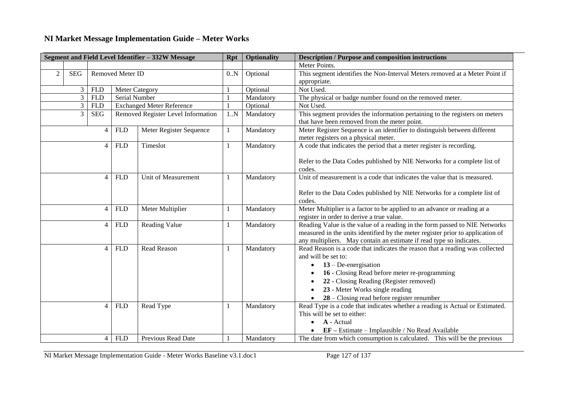| Segment and Field Level Identifier - 332W Message |                                |                | <b>Rpt</b>              | <b>Optionality</b>                 | <b>Description / Purpose and composition instructions</b>                   |           |                                                                                                                                                                                                                                                                                                              |
|---------------------------------------------------|--------------------------------|----------------|-------------------------|------------------------------------|-----------------------------------------------------------------------------|-----------|--------------------------------------------------------------------------------------------------------------------------------------------------------------------------------------------------------------------------------------------------------------------------------------------------------------|
|                                                   |                                |                |                         |                                    |                                                                             |           | Meter Points.                                                                                                                                                                                                                                                                                                |
| 2                                                 | Removed Meter ID<br><b>SEG</b> |                | 0.N                     | Optional                           | This segment identifies the Non-Interval Meters removed at a Meter Point if |           |                                                                                                                                                                                                                                                                                                              |
|                                                   |                                |                |                         |                                    |                                                                             |           | appropriate.                                                                                                                                                                                                                                                                                                 |
|                                                   | 3                              | <b>FLD</b>     | <b>Meter Category</b>   |                                    |                                                                             | Optional  | Not Used.                                                                                                                                                                                                                                                                                                    |
|                                                   | $\overline{3}$                 | <b>FLD</b>     | Serial Number           |                                    |                                                                             | Mandatory | The physical or badge number found on the removed meter.                                                                                                                                                                                                                                                     |
|                                                   | $\mathfrak{Z}$                 | <b>FLD</b>     |                         | <b>Exchanged Meter Reference</b>   |                                                                             | Optional  | Not Used.                                                                                                                                                                                                                                                                                                    |
|                                                   | $\overline{3}$                 | $\rm SEG$      |                         | Removed Register Level Information | 1.N                                                                         | Mandatory | This segment provides the information pertaining to the registers on meters<br>that have been removed from the meter point.                                                                                                                                                                                  |
|                                                   |                                | $\overline{4}$ | <b>FLD</b>              | Meter Register Sequence            | 1                                                                           | Mandatory | Meter Register Sequence is an identifier to distinguish between different<br>meter registers on a physical meter.                                                                                                                                                                                            |
|                                                   |                                | $\overline{4}$ | <b>FLD</b>              | Timeslot                           | 1                                                                           | Mandatory | A code that indicates the period that a meter register is recording.<br>Refer to the Data Codes published by NIE Networks for a complete list of<br>codes.                                                                                                                                                   |
|                                                   |                                | $\overline{4}$ | <b>FLD</b>              | Unit of Measurement                | 1                                                                           | Mandatory | Unit of measurement is a code that indicates the value that is measured.<br>Refer to the Data Codes published by NIE Networks for a complete list of<br>codes.                                                                                                                                               |
|                                                   |                                | $\overline{4}$ | <b>FLD</b>              | Meter Multiplier                   |                                                                             | Mandatory | Meter Multiplier is a factor to be applied to an advance or reading at a<br>register in order to derive a true value.                                                                                                                                                                                        |
|                                                   |                                | $\overline{4}$ | <b>FLD</b>              | <b>Reading Value</b>               | -1                                                                          | Mandatory | Reading Value is the value of a reading in the form passed to NIE Networks<br>measured in the units identified by the meter register prior to application of<br>any multipliers. May contain an estimate if read type so indicates.                                                                          |
|                                                   |                                | $\overline{4}$ | <b>FLD</b>              | Read Reason                        | -1                                                                          | Mandatory | Read Reason is a code that indicates the reason that a reading was collected<br>and will be set to:<br>$13 - De-energisation$<br>16 - Closing Read before meter re-programming<br>22 - Closing Reading (Register removed)<br>23 - Meter Works single reading<br>$28$ – Closing read before register renumber |
|                                                   |                                | $\overline{4}$ | <b>FLD</b><br>Read Type |                                    | 1                                                                           | Mandatory | Read Type is a code that indicates whether a reading is Actual or Estimated.<br>This will be set to either:<br>A - Actual<br>EF - Estimate - Implausible / No Read Available                                                                                                                                 |
|                                                   |                                | $\overline{4}$ | <b>FLD</b>              | Previous Read Date                 |                                                                             | Mandatory | The date from which consumption is calculated. This will be the previous                                                                                                                                                                                                                                     |

NI Market Message Implementation Guide - Meter Works Baseline v3.1.doc1 Page 127 of 137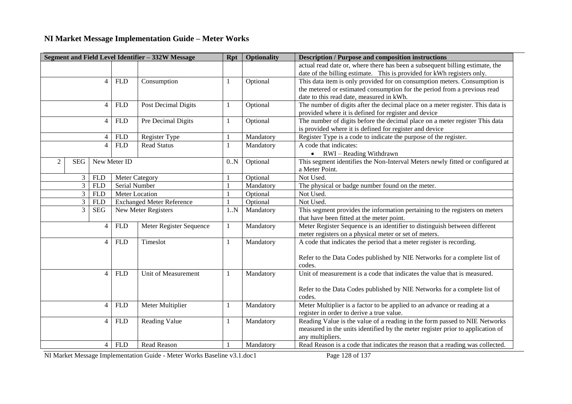| Segment and Field Level Identifier - 332W Message |                 |                | <b>Rpt</b>            | <b>Optionality</b>               | <b>Description / Purpose and composition instructions</b> |           |                                                                                |  |
|---------------------------------------------------|-----------------|----------------|-----------------------|----------------------------------|-----------------------------------------------------------|-----------|--------------------------------------------------------------------------------|--|
|                                                   |                 |                |                       |                                  |                                                           |           | actual read date or, where there has been a subsequent billing estimate, the   |  |
|                                                   |                 |                |                       |                                  |                                                           |           | date of the billing estimate. This is provided for kWh registers only.         |  |
|                                                   |                 | $\overline{4}$ | <b>FLD</b>            | Consumption                      |                                                           | Optional  | This data item is only provided for on consumption meters. Consumption is      |  |
|                                                   |                 |                |                       |                                  |                                                           |           | the metered or estimated consumption for the period from a previous read       |  |
|                                                   |                 |                |                       |                                  |                                                           |           | date to this read date, measured in kWh.                                       |  |
|                                                   |                 | $\overline{4}$ | <b>FLD</b>            | Post Decimal Digits              | 1                                                         | Optional  | The number of digits after the decimal place on a meter register. This data is |  |
|                                                   |                 |                |                       |                                  |                                                           |           | provided where it is defined for register and device                           |  |
|                                                   |                 | $\overline{4}$ | <b>FLD</b>            | Pre Decimal Digits               | 1                                                         | Optional  | The number of digits before the decimal place on a meter register This data    |  |
|                                                   |                 |                |                       |                                  |                                                           |           | is provided where it is defined for register and device                        |  |
|                                                   |                 | 4              | <b>FLD</b>            | Register Type                    |                                                           | Mandatory | Register Type is a code to indicate the purpose of the register.               |  |
|                                                   |                 | $\overline{4}$ | <b>FLD</b>            | <b>Read Status</b>               | 1                                                         | Mandatory | A code that indicates:                                                         |  |
|                                                   |                 |                |                       |                                  |                                                           |           | $\bullet$ RWI – Reading Withdrawn                                              |  |
| $\overline{2}$                                    | <b>SEG</b>      |                | New Meter ID          |                                  | 0.N                                                       | Optional  | This segment identifies the Non-Interval Meters newly fitted or configured at  |  |
|                                                   |                 |                |                       |                                  |                                                           |           | a Meter Point.                                                                 |  |
|                                                   | $\mathfrak{Z}$  | <b>FLD</b>     | <b>Meter Category</b> |                                  |                                                           | Optional  | Not Used.                                                                      |  |
|                                                   | 3               | <b>FLD</b>     |                       | Serial Number                    |                                                           | Mandatory | The physical or badge number found on the meter.                               |  |
|                                                   | 3<br><b>FLD</b> |                |                       | Meter Location                   |                                                           | Optional  | Not Used.                                                                      |  |
|                                                   | 3<br><b>FLD</b> |                |                       | <b>Exchanged Meter Reference</b> |                                                           | Optional  | Not Used.                                                                      |  |
|                                                   | 3<br><b>SEG</b> |                |                       | New Meter Registers              | 1.N                                                       | Mandatory | This segment provides the information pertaining to the registers on meters    |  |
|                                                   |                 |                |                       |                                  |                                                           |           | that have been fitted at the meter point.                                      |  |
|                                                   |                 | $\overline{4}$ | <b>FLD</b>            | Meter Register Sequence          | 1                                                         | Mandatory | Meter Register Sequence is an identifier to distinguish between different      |  |
|                                                   |                 |                |                       |                                  |                                                           |           | meter registers on a physical meter or set of meters.                          |  |
|                                                   |                 | $\overline{4}$ | <b>FLD</b>            | Timeslot                         | 1                                                         | Mandatory | A code that indicates the period that a meter register is recording.           |  |
|                                                   |                 |                |                       |                                  |                                                           |           |                                                                                |  |
|                                                   |                 |                |                       |                                  |                                                           |           | Refer to the Data Codes published by NIE Networks for a complete list of       |  |
|                                                   |                 |                |                       |                                  |                                                           |           | codes.                                                                         |  |
|                                                   |                 | $\overline{4}$ | <b>FLD</b>            | Unit of Measurement              | 1                                                         | Mandatory | Unit of measurement is a code that indicates the value that is measured.       |  |
|                                                   |                 |                |                       |                                  |                                                           |           |                                                                                |  |
|                                                   |                 |                |                       |                                  |                                                           |           | Refer to the Data Codes published by NIE Networks for a complete list of       |  |
|                                                   |                 |                |                       |                                  |                                                           |           | codes.                                                                         |  |
|                                                   |                 | $\overline{4}$ | <b>FLD</b>            | Meter Multiplier                 | 1                                                         | Mandatory | Meter Multiplier is a factor to be applied to an advance or reading at a       |  |
|                                                   |                 |                |                       |                                  |                                                           |           | register in order to derive a true value.                                      |  |
|                                                   |                 | 4              | <b>FLD</b>            | <b>Reading Value</b>             | 1                                                         | Mandatory | Reading Value is the value of a reading in the form passed to NIE Networks     |  |
|                                                   |                 |                |                       |                                  |                                                           |           | measured in the units identified by the meter register prior to application of |  |
|                                                   |                 |                |                       |                                  |                                                           |           | any multipliers.                                                               |  |
|                                                   |                 | $\overline{4}$ | <b>FLD</b>            | Read Reason                      |                                                           | Mandatory | Read Reason is a code that indicates the reason that a reading was collected.  |  |

NI Market Message Implementation Guide - Meter Works Baseline v3.1.doc1 Page 128 of 137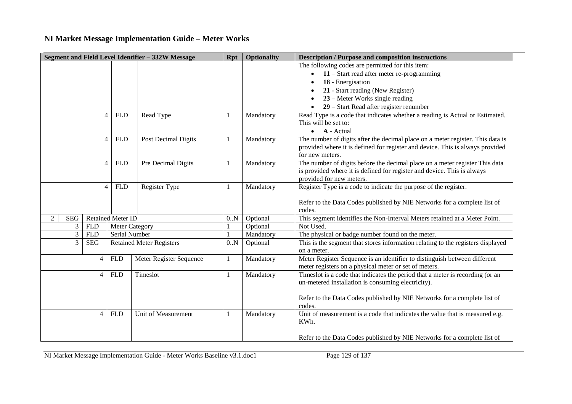| Segment and Field Level Identifier - 332W Message |                |                              | Rpt                                    | <b>Optionality</b> | <b>Description / Purpose and composition instructions</b> |                                                                                      |
|---------------------------------------------------|----------------|------------------------------|----------------------------------------|--------------------|-----------------------------------------------------------|--------------------------------------------------------------------------------------|
|                                                   |                |                              |                                        |                    |                                                           | The following codes are permitted for this item:                                     |
|                                                   |                |                              |                                        |                    |                                                           | $11 -$ Start read after meter re-programming                                         |
|                                                   |                |                              |                                        |                    |                                                           | 18 - Energisation                                                                    |
|                                                   |                |                              |                                        |                    |                                                           | 21 - Start reading (New Register)                                                    |
|                                                   |                |                              |                                        |                    |                                                           | 23 – Meter Works single reading                                                      |
|                                                   |                |                              |                                        |                    |                                                           | 29 – Start Read after register renumber                                              |
|                                                   | $\overline{4}$ | <b>FLD</b>                   | Read Type                              |                    | Mandatory                                                 | Read Type is a code that indicates whether a reading is Actual or Estimated.         |
|                                                   |                |                              |                                        |                    |                                                           | This will be set to:                                                                 |
|                                                   |                |                              |                                        |                    |                                                           | $\bullet$ <b>A</b> - Actual                                                          |
|                                                   | $\overline{4}$ | <b>FLD</b>                   | Post Decimal Digits                    |                    | Mandatory                                                 | The number of digits after the decimal place on a meter register. This data is       |
|                                                   |                |                              |                                        |                    |                                                           | provided where it is defined for register and device. This is always provided        |
|                                                   |                |                              |                                        |                    |                                                           | for new meters.                                                                      |
|                                                   |                | $\overline{4}$<br><b>FLD</b> | Pre Decimal Digits                     |                    | Mandatory                                                 | The number of digits before the decimal place on a meter register This data          |
|                                                   |                |                              |                                        |                    |                                                           | is provided where it is defined for register and device. This is always              |
|                                                   |                |                              |                                        |                    |                                                           | provided for new meters.                                                             |
|                                                   |                | $\overline{4}$<br><b>FLD</b> | Register Type                          |                    | Mandatory                                                 | Register Type is a code to indicate the purpose of the register.                     |
|                                                   |                |                              |                                        |                    |                                                           |                                                                                      |
|                                                   |                |                              |                                        |                    |                                                           | Refer to the Data Codes published by NIE Networks for a complete list of             |
| $\overline{2}$<br><b>SEG</b>                      |                | <b>Retained Meter ID</b>     |                                        | 0.N                | Optional                                                  | codes.<br>This segment identifies the Non-Interval Meters retained at a Meter Point. |
| 3                                                 | <b>FLD</b>     |                              |                                        |                    | Optional                                                  | Not Used.                                                                            |
| $\mathfrak{Z}$                                    | <b>FLD</b>     |                              | <b>Meter Category</b><br>Serial Number |                    | Mandatory                                                 | The physical or badge number found on the meter.                                     |
| 3                                                 | <b>SEG</b>     |                              | <b>Retained Meter Registers</b>        |                    | Optional                                                  | This is the segment that stores information relating to the registers displayed      |
|                                                   |                |                              |                                        | 0.N                |                                                           | on a meter.                                                                          |
|                                                   | $\overline{4}$ | <b>FLD</b>                   | Meter Register Sequence                | 1                  | Mandatory                                                 | Meter Register Sequence is an identifier to distinguish between different            |
|                                                   |                |                              |                                        |                    |                                                           | meter registers on a physical meter or set of meters.                                |
|                                                   | $\overline{4}$ | <b>FLD</b>                   | Timeslot                               |                    | Mandatory                                                 | Timeslot is a code that indicates the period that a meter is recording (or an        |
|                                                   |                |                              |                                        |                    |                                                           | un-metered installation is consuming electricity).                                   |
|                                                   |                |                              |                                        |                    |                                                           |                                                                                      |
|                                                   |                |                              |                                        |                    |                                                           | Refer to the Data Codes published by NIE Networks for a complete list of             |
|                                                   |                |                              |                                        |                    |                                                           | codes.                                                                               |
|                                                   | $\overline{4}$ | <b>FLD</b>                   | Unit of Measurement                    |                    | Mandatory                                                 | Unit of measurement is a code that indicates the value that is measured e.g.         |
|                                                   |                |                              |                                        |                    |                                                           | KWh.                                                                                 |
|                                                   |                |                              |                                        |                    |                                                           |                                                                                      |
|                                                   |                |                              |                                        |                    |                                                           | Refer to the Data Codes published by NIE Networks for a complete list of             |

NI Market Message Implementation Guide - Meter Works Baseline v3.1.doc1 Page 129 of 137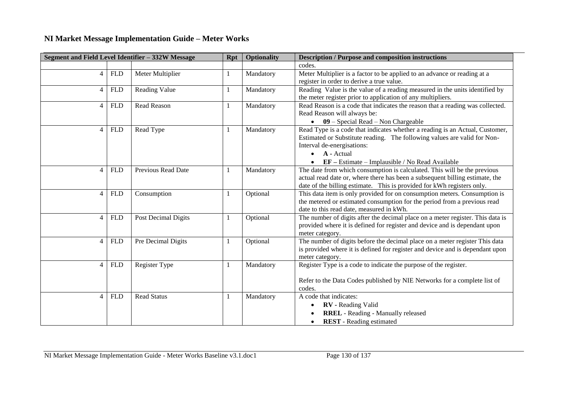|                |                    | Segment and Field Level Identifier - 332W Message | <b>Rpt</b> | <b>Optionality</b> | <b>Description / Purpose and composition instructions</b>                                                                                                                                                                                               |  |
|----------------|--------------------|---------------------------------------------------|------------|--------------------|---------------------------------------------------------------------------------------------------------------------------------------------------------------------------------------------------------------------------------------------------------|--|
|                |                    |                                                   |            |                    | codes.                                                                                                                                                                                                                                                  |  |
| $\overline{4}$ | <b>FLD</b>         | Meter Multiplier                                  |            | Mandatory          | Meter Multiplier is a factor to be applied to an advance or reading at a<br>register in order to derive a true value.                                                                                                                                   |  |
| $\overline{4}$ | <b>FLD</b>         | <b>Reading Value</b>                              |            | Mandatory          | Reading Value is the value of a reading measured in the units identified by<br>the meter register prior to application of any multipliers.                                                                                                              |  |
| $\overline{4}$ | <b>FLD</b>         | <b>Read Reason</b>                                |            | Mandatory          | Read Reason is a code that indicates the reason that a reading was collected.<br>Read Reason will always be:<br>$\bullet$ 09 – Special Read – Non Chargeable                                                                                            |  |
| $\overline{4}$ | <b>FLD</b>         | Read Type                                         |            | Mandatory          | Read Type is a code that indicates whether a reading is an Actual, Customer,<br>Estimated or Substitute reading. The following values are valid for Non-<br>Interval de-energisations:<br>A - Actual<br>EF - Estimate - Implausible / No Read Available |  |
| $\overline{4}$ | <b>FLD</b>         | Previous Read Date                                |            | Mandatory          | The date from which consumption is calculated. This will be the previous<br>actual read date or, where there has been a subsequent billing estimate, the<br>date of the billing estimate. This is provided for kWh registers only.                      |  |
| $\overline{4}$ | <b>FLD</b>         | Consumption                                       |            | Optional           | This data item is only provided for on consumption meters. Consumption is<br>the metered or estimated consumption for the period from a previous read<br>date to this read date, measured in kWh.                                                       |  |
| $\overline{4}$ | <b>FLD</b>         | Post Decimal Digits                               |            | Optional           | The number of digits after the decimal place on a meter register. This data is<br>provided where it is defined for register and device and is dependant upon<br>meter category.                                                                         |  |
| $\overline{4}$ | <b>FLD</b>         | Pre Decimal Digits                                |            | Optional           | The number of digits before the decimal place on a meter register This data<br>is provided where it is defined for register and device and is dependant upon<br>meter category.                                                                         |  |
| $\overline{4}$ | <b>FLD</b>         | Register Type                                     | -1         | Mandatory          | Register Type is a code to indicate the purpose of the register.<br>Refer to the Data Codes published by NIE Networks for a complete list of<br>codes.                                                                                                  |  |
| $\overline{4}$ | ${\hbox{\rm FLD}}$ | <b>Read Status</b>                                |            | Mandatory          | A code that indicates:<br><b>RV</b> - Reading Valid<br><b>RREL</b> - Reading - Manually released<br><b>REST</b> - Reading estimated                                                                                                                     |  |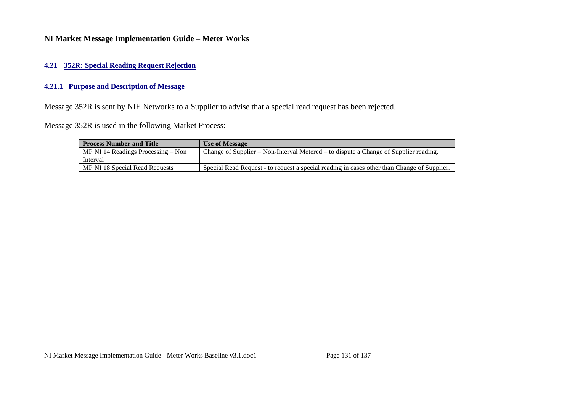#### **4.21 352R: Special Reading Request Rejection**

#### **4.21.1 Purpose and Description of Message**

Message 352R is sent by NIE Networks to a Supplier to advise that a special read request has been rejected.

Message 352R is used in the following Market Process:

| <b>Process Number and Title</b>      | Use of Message                                                                              |  |  |  |  |  |
|--------------------------------------|---------------------------------------------------------------------------------------------|--|--|--|--|--|
| MP NI 14 Readings Processing $-$ Non | Change of Supplier – Non-Interval Metered – to dispute a Change of Supplier reading.        |  |  |  |  |  |
| Interval                             |                                                                                             |  |  |  |  |  |
| MP NI 18 Special Read Requests       | Special Read Request - to request a special reading in cases other than Change of Supplier. |  |  |  |  |  |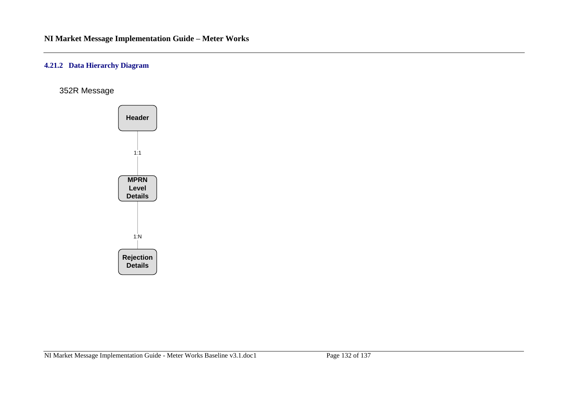#### **4.21.2 Data Hierarchy Diagram**

352R Message

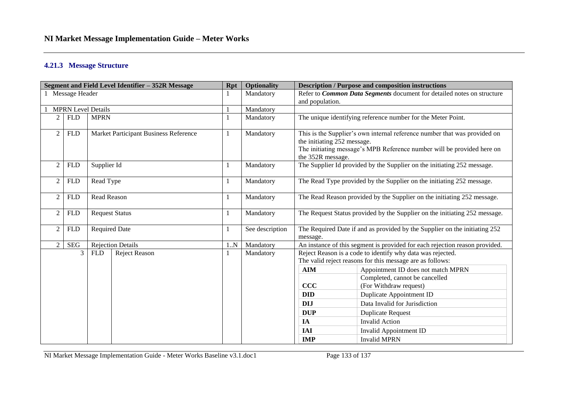#### **4.21.3 Message Structure**

| Segment and Field Level Identifier - 352R Message |                           |                                       |                          |    | <b>Optionality</b> |                                                                                                                                                                                                         | <b>Description / Purpose and composition instructions</b>                   |  |
|---------------------------------------------------|---------------------------|---------------------------------------|--------------------------|----|--------------------|---------------------------------------------------------------------------------------------------------------------------------------------------------------------------------------------------------|-----------------------------------------------------------------------------|--|
| 1 Message Header                                  |                           |                                       |                          |    | Mandatory          | and population.                                                                                                                                                                                         | Refer to Common Data Segments document for detailed notes on structure      |  |
|                                                   | <b>MPRN Level Details</b> |                                       |                          |    | Mandatory          |                                                                                                                                                                                                         |                                                                             |  |
| 2                                                 | <b>FLD</b>                | <b>MPRN</b>                           |                          |    | Mandatory          |                                                                                                                                                                                                         | The unique identifying reference number for the Meter Point.                |  |
| $\overline{c}$                                    | <b>FLD</b>                | Market Participant Business Reference |                          |    | Mandatory          | This is the Supplier's own internal reference number that was provided on<br>the initiating 252 message.<br>The initiating message's MPB Reference number will be provided here on<br>the 352R message. |                                                                             |  |
| $\overline{2}$                                    | <b>FLD</b>                | Supplier Id                           |                          |    | Mandatory          |                                                                                                                                                                                                         | The Supplier Id provided by the Supplier on the initiating 252 message.     |  |
| 2                                                 | <b>FLD</b>                | Read Type                             |                          |    | Mandatory          |                                                                                                                                                                                                         | The Read Type provided by the Supplier on the initiating 252 message.       |  |
| $\overline{c}$                                    | <b>FLD</b>                | Read Reason                           |                          |    | Mandatory          | The Read Reason provided by the Supplier on the initiating 252 message.                                                                                                                                 |                                                                             |  |
| $\overline{c}$                                    | ${\rm FLD}$               | <b>Request Status</b>                 |                          |    | Mandatory          | The Request Status provided by the Supplier on the initiating 252 message.                                                                                                                              |                                                                             |  |
| 2                                                 | <b>FLD</b>                | <b>Required Date</b>                  |                          |    | See description    | The Required Date if and as provided by the Supplier on the initiating 252<br>message.                                                                                                                  |                                                                             |  |
| 2                                                 | <b>SEG</b>                |                                       | <b>Rejection Details</b> | 1N | Mandatory          |                                                                                                                                                                                                         | An instance of this segment is provided for each rejection reason provided. |  |
|                                                   | 3                         | <b>FLD</b>                            | Reject Reason            |    | Mandatory          | Reject Reason is a code to identify why data was rejected.<br>The valid reject reasons for this message are as follows:                                                                                 |                                                                             |  |
|                                                   |                           |                                       |                          |    |                    | <b>AIM</b>                                                                                                                                                                                              | Appointment ID does not match MPRN                                          |  |
|                                                   |                           |                                       |                          |    |                    | CCC                                                                                                                                                                                                     | Completed, cannot be cancelled<br>(For Withdraw request)                    |  |
|                                                   |                           |                                       |                          |    |                    | <b>DID</b>                                                                                                                                                                                              | Duplicate Appointment ID                                                    |  |
|                                                   |                           |                                       |                          |    |                    | <b>DIJ</b>                                                                                                                                                                                              | Data Invalid for Jurisdiction                                               |  |
|                                                   |                           |                                       |                          |    |                    | <b>DUP</b>                                                                                                                                                                                              | <b>Duplicate Request</b>                                                    |  |
|                                                   |                           |                                       |                          |    |                    | IA                                                                                                                                                                                                      | <b>Invalid Action</b>                                                       |  |
|                                                   |                           |                                       |                          |    |                    | <b>IAI</b>                                                                                                                                                                                              | Invalid Appointment ID                                                      |  |
|                                                   |                           |                                       |                          |    |                    | <b>IMP</b>                                                                                                                                                                                              | <b>Invalid MPRN</b>                                                         |  |

NI Market Message Implementation Guide - Meter Works Baseline v3.1.doc1 Page 133 of 137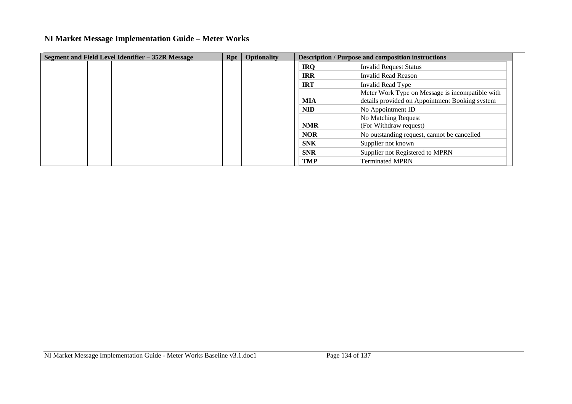| Segment and Field Level Identifier – 352R Message | <b>Rpt</b> | <b>Optionality</b> |            | <b>Description / Purpose and composition instructions</b>                                         |
|---------------------------------------------------|------------|--------------------|------------|---------------------------------------------------------------------------------------------------|
|                                                   |            |                    | <b>IRQ</b> | <b>Invalid Request Status</b>                                                                     |
|                                                   |            |                    | <b>IRR</b> | Invalid Read Reason                                                                               |
|                                                   |            |                    | <b>IRT</b> | Invalid Read Type                                                                                 |
|                                                   |            |                    | <b>MIA</b> | Meter Work Type on Message is incompatible with<br>details provided on Appointment Booking system |
|                                                   |            |                    | <b>NID</b> | No Appointment ID                                                                                 |
|                                                   |            |                    | <b>NMR</b> | No Matching Request<br>(For Withdraw request)                                                     |
|                                                   |            |                    | <b>NOR</b> | No outstanding request, cannot be cancelled                                                       |
|                                                   |            |                    | <b>SNK</b> | Supplier not known                                                                                |
|                                                   |            |                    | <b>SNR</b> | Supplier not Registered to MPRN                                                                   |
|                                                   |            |                    | <b>TMP</b> | <b>Terminated MPRN</b>                                                                            |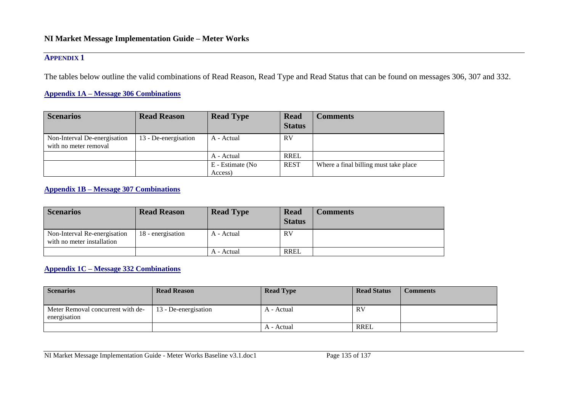### **APPENDIX 1**

The tables below outline the valid combinations of Read Reason, Read Type and Read Status that can be found on messages 306, 307 and 332.

#### **Appendix 1A – Message 306 Combinations**

| <b>Scenarios</b>                                      | <b>Read Reason</b>   | <b>Read Type</b>            | <b>Read</b><br><b>Status</b> | <b>Comments</b>                       |
|-------------------------------------------------------|----------------------|-----------------------------|------------------------------|---------------------------------------|
| Non-Interval De-energisation<br>with no meter removal | 13 - De-energisation | A - Actual                  | RV                           |                                       |
|                                                       |                      | A - Actual                  | <b>RREL</b>                  |                                       |
|                                                       |                      | E - Estimate (No<br>Access) | <b>REST</b>                  | Where a final billing must take place |

#### **Appendix 1B – Message 307 Combinations**

| <b>Scenarios</b>                                           | <b>Read Reason</b> | <b>Read Type</b> | <b>Read</b><br><b>Status</b> | Comments |
|------------------------------------------------------------|--------------------|------------------|------------------------------|----------|
| Non-Interval Re-energisation<br>with no meter installation | 18 - energisation  | A - Actual       | RV                           |          |
|                                                            |                    | A - Actual       | RREL                         |          |

#### **Appendix 1C – Message 332 Combinations**

| <b>Scenarios</b>                                  | <b>Read Reason</b>   | <b>Read Type</b> | <b>Read Status</b> | <b>Comments</b> |
|---------------------------------------------------|----------------------|------------------|--------------------|-----------------|
| Meter Removal concurrent with de-<br>energisation | 13 - De-energisation | A - Actual       | <b>RV</b>          |                 |
|                                                   |                      | A - Actual       | <b>RREL</b>        |                 |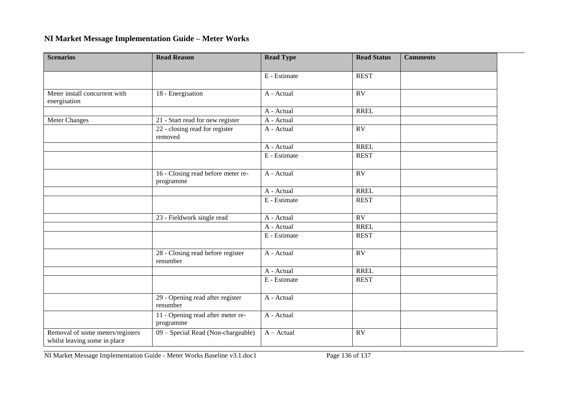| <b>Scenarios</b>                                                 | <b>Read Reason</b>                              | <b>Read Type</b> | <b>Read Status</b> | <b>Comments</b> |  |
|------------------------------------------------------------------|-------------------------------------------------|------------------|--------------------|-----------------|--|
|                                                                  |                                                 | E - Estimate     | <b>REST</b>        |                 |  |
|                                                                  |                                                 |                  |                    |                 |  |
| Meter install concurrent with<br>energisation                    | 18 - Energisation                               | A - Actual       | $\overline{RV}$    |                 |  |
|                                                                  |                                                 | A - Actual       | <b>RREL</b>        |                 |  |
| <b>Meter Changes</b>                                             | 21 - Start read for new register                | A - Actual       |                    |                 |  |
|                                                                  | 22 - closing read for register<br>removed       | A - Actual       | $\overline{RV}$    |                 |  |
|                                                                  |                                                 | A - Actual       | <b>RREL</b>        |                 |  |
|                                                                  |                                                 | E - Estimate     | <b>REST</b>        |                 |  |
|                                                                  | 16 - Closing read before meter re-<br>programme | A - Actual       | RV                 |                 |  |
|                                                                  |                                                 | A - Actual       | <b>RREL</b>        |                 |  |
|                                                                  |                                                 | E - Estimate     | <b>REST</b>        |                 |  |
|                                                                  | 23 - Fieldwork single read                      | A - Actual       | RV                 |                 |  |
|                                                                  |                                                 | A - Actual       | <b>RREL</b>        |                 |  |
|                                                                  |                                                 | E - Estimate     | <b>REST</b>        |                 |  |
|                                                                  | 28 - Closing read before register<br>renumber   | A - Actual       | RV                 |                 |  |
|                                                                  |                                                 | A - Actual       | <b>RREL</b>        |                 |  |
|                                                                  |                                                 | E - Estimate     | <b>REST</b>        |                 |  |
|                                                                  | 29 - Opening read after register<br>renumber    | A - Actual       |                    |                 |  |
|                                                                  | 11 - Opening read after meter re-<br>programme  | A - Actual       |                    |                 |  |
| Removal of some meters/registers<br>whilst leaving some in place | 09 - Special Read (Non-chargeable)              | $A - Actual$     | <b>RV</b>          |                 |  |

NI Market Message Implementation Guide - Meter Works Baseline v3.1.doc1 Page 136 of 137